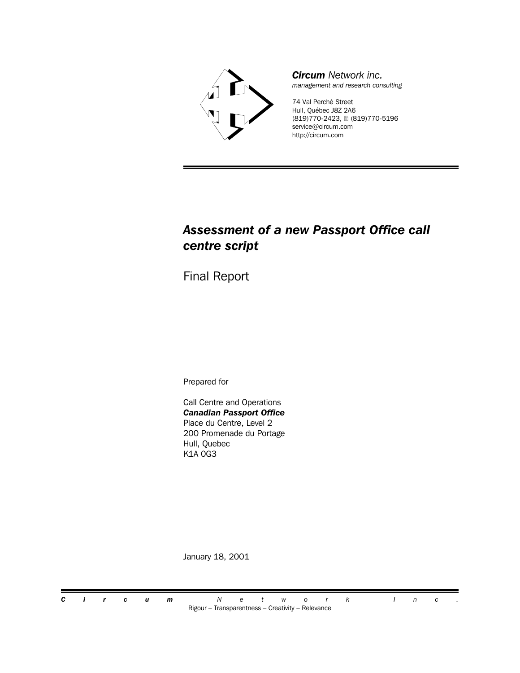

*Circum Network inc. management and research consulting*

74 Val Perché Street Hull, Québec J8Z 2A6 (819)770-2423, 2 (819)770-5196 service@circum.com http://circum.com

## *Assessment of a new Passport Office call centre script*

Final Report

Prepared for

Call Centre and Operations *Canadian Passport Office* Place du Centre, Level 2 200 Promenade du Portage Hull, Quebec K1A 0G3

January 18, 2001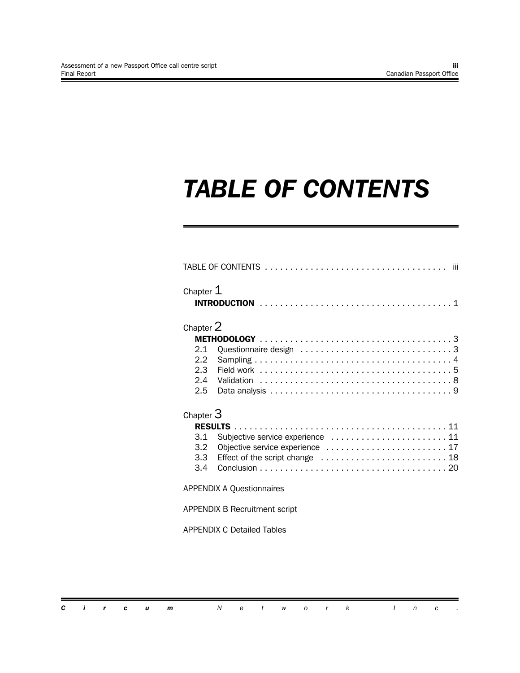# *TABLE OF CONTENTS*

| Chapter $\mathtt{1}$                 |                                  |  |  |  |  |  |
|--------------------------------------|----------------------------------|--|--|--|--|--|
| Chapter $2\,$                        |                                  |  |  |  |  |  |
|                                      |                                  |  |  |  |  |  |
| 2.1                                  |                                  |  |  |  |  |  |
| $2.2^{\circ}$                        |                                  |  |  |  |  |  |
| $2.3 -$                              |                                  |  |  |  |  |  |
| 2.4                                  |                                  |  |  |  |  |  |
| $2.5^{\circ}$                        |                                  |  |  |  |  |  |
| Chapter $3\,$                        |                                  |  |  |  |  |  |
|                                      |                                  |  |  |  |  |  |
| 3.1                                  |                                  |  |  |  |  |  |
| 3.2 <sub>2</sub>                     | Objective service experience  17 |  |  |  |  |  |
| 3.3                                  | Effect of the script change  18  |  |  |  |  |  |
| $3.4^{\circ}$                        |                                  |  |  |  |  |  |
| <b>APPENDIX A Questionnaires</b>     |                                  |  |  |  |  |  |
| <b>APPENDIX B Recruitment script</b> |                                  |  |  |  |  |  |
| APPENDIX C Detailed Tables           |                                  |  |  |  |  |  |
|                                      |                                  |  |  |  |  |  |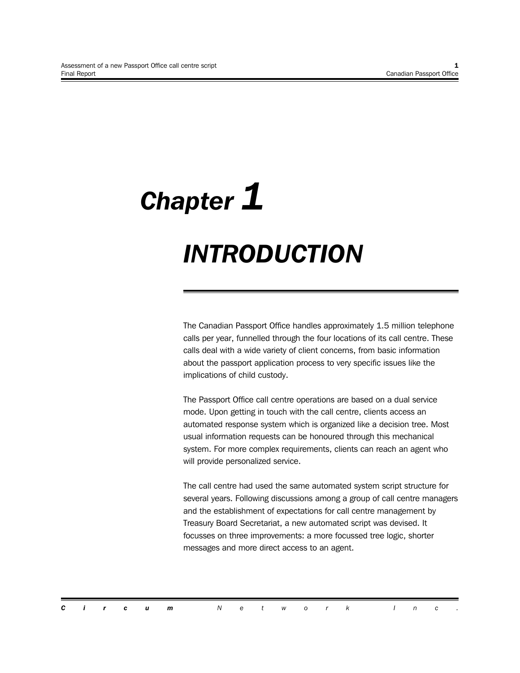# *Chapter 1 INTRODUCTION*

The Canadian Passport Office handles approximately 1.5 million telephone calls per year, funnelled through the four locations of its call centre. These calls deal with a wide variety of client concerns, from basic information about the passport application process to very specific issues like the implications of child custody.

The Passport Office call centre operations are based on a dual service mode. Upon getting in touch with the call centre, clients access an automated response system which is organized like a decision tree. Most usual information requests can be honoured through this mechanical system. For more complex requirements, clients can reach an agent who will provide personalized service.

The call centre had used the same automated system script structure for several years. Following discussions among a group of call centre managers and the establishment of expectations for call centre management by Treasury Board Secretariat, a new automated script was devised. It focusses on three improvements: a more focussed tree logic, shorter messages and more direct access to an agent.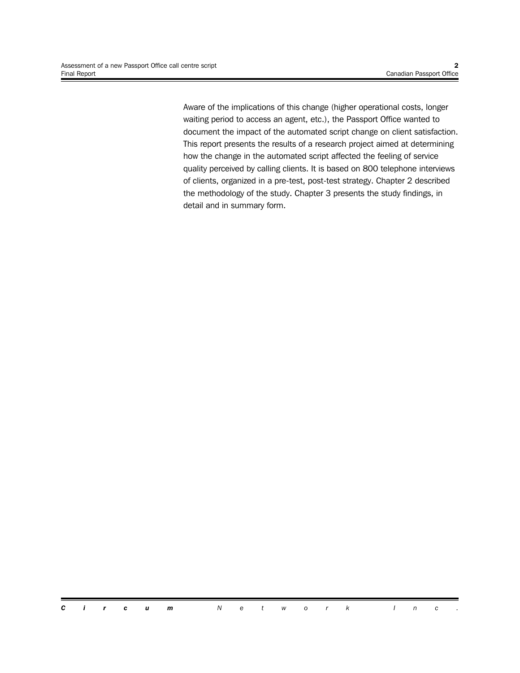Aware of the implications of this change (higher operational costs, longer waiting period to access an agent, etc.), the Passport Office wanted to document the impact of the automated script change on client satisfaction. This report presents the results of a research project aimed at determining how the change in the automated script affected the feeling of service quality perceived by calling clients. It is based on 800 telephone interviews of clients, organized in a pre-test, post-test strategy. Chapter 2 described the methodology of the study. Chapter 3 presents the study findings, in detail and in summary form.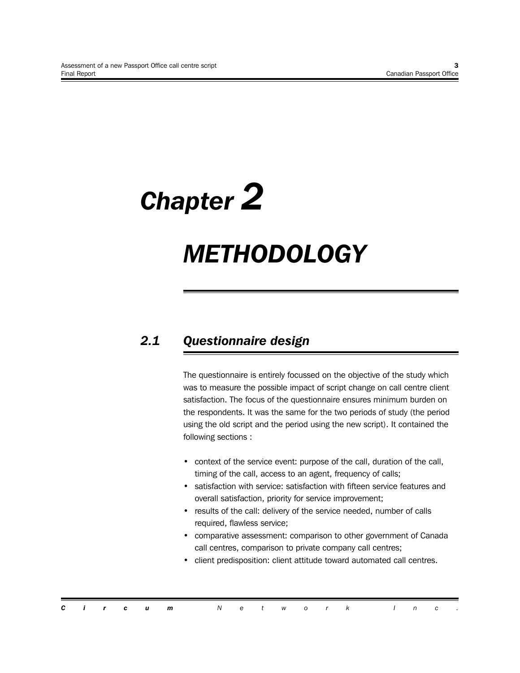# *Chapter 2*

# *METHODOLOGY*

# *2.1 Questionnaire design*

The questionnaire is entirely focussed on the objective of the study which was to measure the possible impact of script change on call centre client satisfaction. The focus of the questionnaire ensures minimum burden on the respondents. It was the same for the two periods of study (the period using the old script and the period using the new script). It contained the following sections :

- context of the service event: purpose of the call, duration of the call, timing of the call, access to an agent, frequency of calls;
- satisfaction with service: satisfaction with fifteen service features and overall satisfaction, priority for service improvement;
- results of the call: delivery of the service needed, number of calls required, flawless service;
- comparative assessment: comparison to other government of Canada call centres, comparison to private company call centres;
- client predisposition: client attitude toward automated call centres.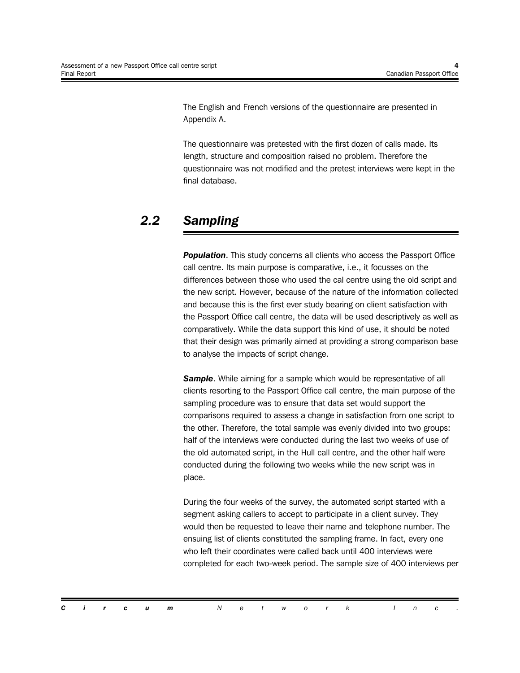The English and French versions of the questionnaire are presented in Appendix A.

The questionnaire was pretested with the first dozen of calls made. Its length, structure and composition raised no problem. Therefore the questionnaire was not modified and the pretest interviews were kept in the final database.

# *2.2 Sampling*

**Population**. This study concerns all clients who access the Passport Office call centre. Its main purpose is comparative, i.e., it focusses on the differences between those who used the cal centre using the old script and the new script. However, because of the nature of the information collected and because this is the first ever study bearing on client satisfaction with the Passport Office call centre, the data will be used descriptively as well as comparatively. While the data support this kind of use, it should be noted that their design was primarily aimed at providing a strong comparison base to analyse the impacts of script change.

**Sample**. While aiming for a sample which would be representative of all clients resorting to the Passport Office call centre, the main purpose of the sampling procedure was to ensure that data set would support the comparisons required to assess a change in satisfaction from one script to the other. Therefore, the total sample was evenly divided into two groups: half of the interviews were conducted during the last two weeks of use of the old automated script, in the Hull call centre, and the other half were conducted during the following two weeks while the new script was in place.

During the four weeks of the survey, the automated script started with a segment asking callers to accept to participate in a client survey. They would then be requested to leave their name and telephone number. The ensuing list of clients constituted the sampling frame. In fact, every one who left their coordinates were called back until 400 interviews were completed for each two-week period. The sample size of 400 interviews per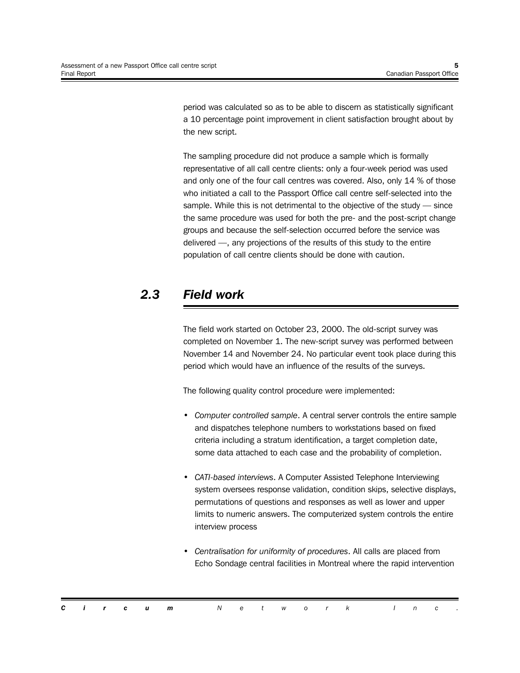period was calculated so as to be able to discern as statistically significant a 10 percentage point improvement in client satisfaction brought about by the new script.

The sampling procedure did not produce a sample which is formally representative of all call centre clients: only a four-week period was used and only one of the four call centres was covered. Also, only 14 % of those who initiated a call to the Passport Office call centre self-selected into the sample. While this is not detrimental to the objective of the study — since the same procedure was used for both the pre- and the post-script change groups and because the self-selection occurred before the service was delivered —, any projections of the results of this study to the entire population of call centre clients should be done with caution.

# *2.3 Field work*

The field work started on October 23, 2000. The old-script survey was completed on November 1. The new-script survey was performed between November 14 and November 24. No particular event took place during this period which would have an influence of the results of the surveys.

The following quality control procedure were implemented:

- *Computer controlled sample*. A central server controls the entire sample and dispatches telephone numbers to workstations based on fixed criteria including a stratum identification, a target completion date, some data attached to each case and the probability of completion.
- *CATI-based interviews*. A Computer Assisted Telephone Interviewing system oversees response validation, condition skips, selective displays, permutations of questions and responses as well as lower and upper limits to numeric answers. The computerized system controls the entire interview process
- *Centralisation for uniformity of procedures*. All calls are placed from Echo Sondage central facilities in Montreal where the rapid intervention

|  |  | <b>Circum</b> Network Inc. |  |  |  |  |  |  |
|--|--|----------------------------|--|--|--|--|--|--|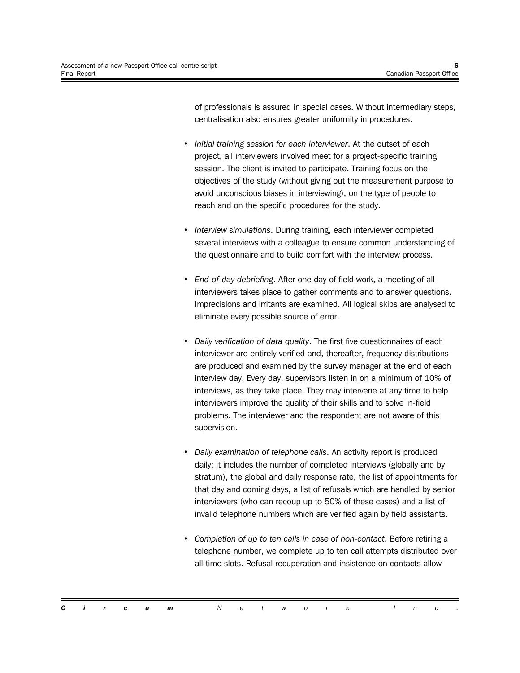of professionals is assured in special cases. Without intermediary steps, centralisation also ensures greater uniformity in procedures.

- *Initial training session for each interviewer*. At the outset of each project, all interviewers involved meet for a project-specific training session. The client is invited to participate. Training focus on the objectives of the study (without giving out the measurement purpose to avoid unconscious biases in interviewing), on the type of people to reach and on the specific procedures for the study.
- *Interview simulations*. During training, each interviewer completed several interviews with a colleague to ensure common understanding of the questionnaire and to build comfort with the interview process.
- *End-of-day debriefing*. After one day of field work, a meeting of all interviewers takes place to gather comments and to answer questions. Imprecisions and irritants are examined. All logical skips are analysed to eliminate every possible source of error.
- *Daily verification of data quality*. The first five questionnaires of each interviewer are entirely verified and, thereafter, frequency distributions are produced and examined by the survey manager at the end of each interview day. Every day, supervisors listen in on a minimum of 10% of interviews, as they take place. They may intervene at any time to help interviewers improve the quality of their skills and to solve in-field problems. The interviewer and the respondent are not aware of this supervision.
- *Daily examination of telephone calls*. An activity report is produced daily; it includes the number of completed interviews (globally and by stratum), the global and daily response rate, the list of appointments for that day and coming days, a list of refusals which are handled by senior interviewers (who can recoup up to 50% of these cases) and a list of invalid telephone numbers which are verified again by field assistants.
- *Completion of up to ten calls in case of non-contact*. Before retiring a telephone number, we complete up to ten call attempts distributed over all time slots. Refusal recuperation and insistence on contacts allow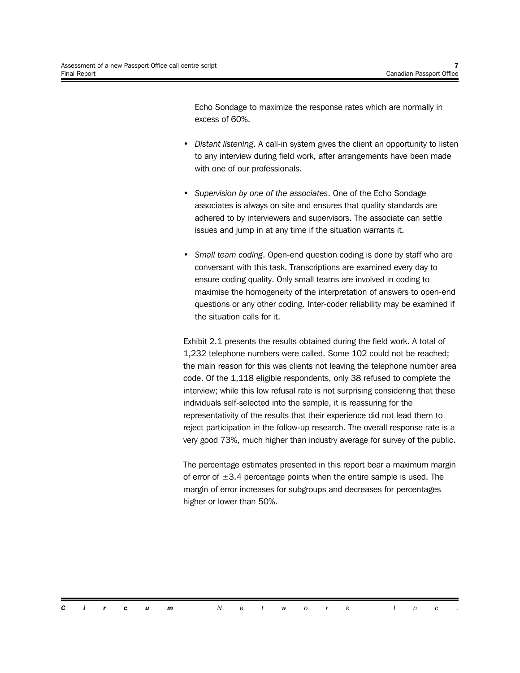Echo Sondage to maximize the response rates which are normally in excess of 60%.

- *Distant listening*. A call-in system gives the client an opportunity to listen to any interview during field work, after arrangements have been made with one of our professionals.
- *Supervision by one of the associates*. One of the Echo Sondage associates is always on site and ensures that quality standards are adhered to by interviewers and supervisors. The associate can settle issues and jump in at any time if the situation warrants it.
- *Small team coding*. Open-end question coding is done by staff who are conversant with this task. Transcriptions are examined every day to ensure coding quality. Only small teams are involved in coding to maximise the homogeneity of the interpretation of answers to open-end questions or any other coding. Inter-coder reliability may be examined if the situation calls for it.

Exhibit 2.1 presents the results obtained during the field work. A total of 1,232 telephone numbers were called. Some 102 could not be reached; the main reason for this was clients not leaving the telephone number area code. Of the 1,118 eligible respondents, only 38 refused to complete the interview; while this low refusal rate is not surprising considering that these individuals self-selected into the sample, it is reassuring for the representativity of the results that their experience did not lead them to reject participation in the follow-up research. The overall response rate is a very good 73%, much higher than industry average for survey of the public.

The percentage estimates presented in this report bear a maximum margin of error of  $\pm 3.4$  percentage points when the entire sample is used. The margin of error increases for subgroups and decreases for percentages higher or lower than 50%.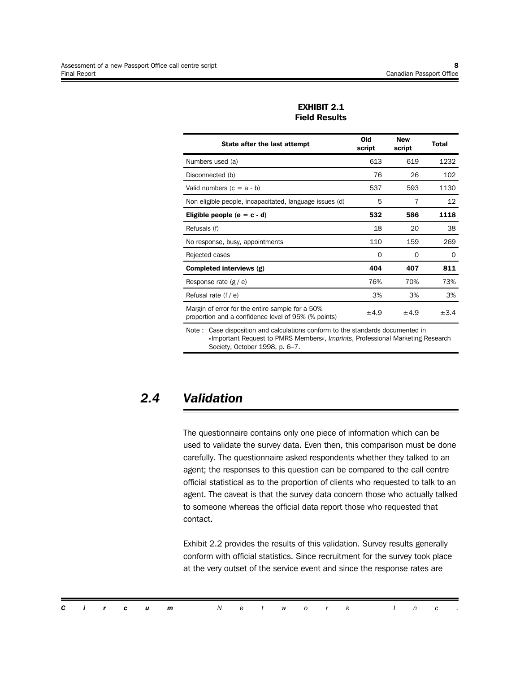| State after the last attempt                                                                           | Old<br>script | <b>New</b><br>script | <b>Total</b> |
|--------------------------------------------------------------------------------------------------------|---------------|----------------------|--------------|
| Numbers used (a)                                                                                       | 613           | 619                  | 1232         |
| Disconnected (b)                                                                                       | 76            | 26                   | 102          |
| Valid numbers $(c = a - b)$                                                                            | 537           | 593                  | 1130         |
| Non eligible people, incapacitated, language issues (d)                                                | 5             | 7                    | 12           |
| Eligible people $(e = c - d)$                                                                          | 532           | 586                  | 1118         |
| Refusals (f)                                                                                           | 18            | 20                   | 38           |
| No response, busy, appointments                                                                        | 110           | 159                  | 269          |
| Rejected cases                                                                                         | $\Omega$      | $\Omega$             | $\Omega$     |
| Completed interviews (g)                                                                               | 404           | 407                  | 811          |
| Response rate $(g / e)$                                                                                | 76%           | 70%                  | 73%          |
| Refusal rate $(f / e)$                                                                                 | 3%            | 3%                   | 3%           |
| Margin of error for the entire sample for a 50%<br>proportion and a confidence level of 95% (% points) | ±4.9          | ±4.9                 | $\pm 3.4$    |
| Note : Caso disposition and coloulations conferm to the standards desumented in                        |               |                      |              |

**EXHIBIT 2.1 Field Results**

Case disposition and calculations conform to the standards documented in «Important Request to PMRS Members», *Imprints*, Professional Marketing Research Society, October 1998, p. 6–7.

## *2.4 Validation*

The questionnaire contains only one piece of information which can be used to validate the survey data. Even then, this comparison must be done carefully. The questionnaire asked respondents whether they talked to an agent; the responses to this question can be compared to the call centre official statistical as to the proportion of clients who requested to talk to an agent. The caveat is that the survey data concern those who actually talked to someone whereas the official data report those who requested that contact.

Exhibit 2.2 provides the results of this validation. Survey results generally conform with official statistics. Since recruitment for the survey took place at the very outset of the service event and since the response rates are

|  |  | <b>Circum</b> Network Inc. |  |  |  |  |  |  |
|--|--|----------------------------|--|--|--|--|--|--|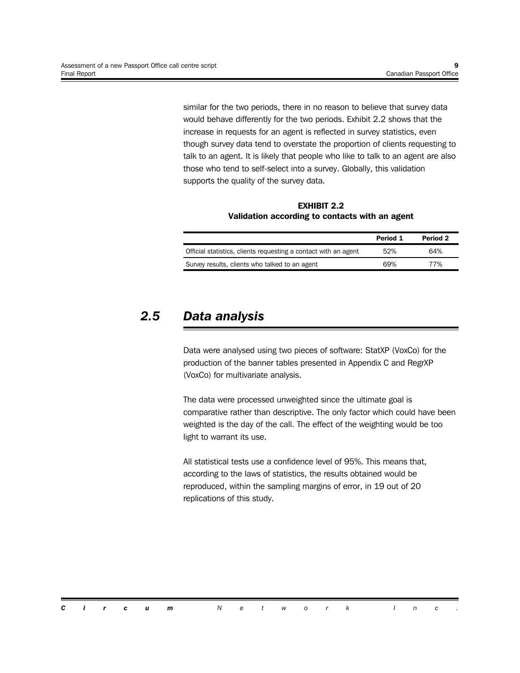similar for the two periods, there in no reason to believe that survey data would behave differently for the two periods. Exhibit 2.2 shows that the increase in requests for an agent is reflected in survey statistics, even though survey data tend to overstate the proportion of clients requesting to talk to an agent. It is likely that people who like to talk to an agent are also those who tend to self-select into a survey. Globally, this validation supports the quality of the survey data.

**EXHIBIT 2.2 Validation according to contacts with an agent**

|                                                                 | Period 1 | Period 2 |
|-----------------------------------------------------------------|----------|----------|
| Official statistics, clients requesting a contact with an agent | 52%      | 64%      |
| Survey results, clients who talked to an agent                  | 69%      | 77%      |

### *2.5 Data analysis*

Data were analysed using two pieces of software: StatXP (VoxCo) for the production of the banner tables presented in Appendix C and RegrXP (VoxCo) for multivariate analysis.

The data were processed unweighted since the ultimate goal is comparative rather than descriptive. The only factor which could have been weighted is the day of the call. The effect of the weighting would be too light to warrant its use.

All statistical tests use a confidence level of 95%. This means that, according to the laws of statistics, the results obtained would be reproduced, within the sampling margins of error, in 19 out of 20 replications of this study.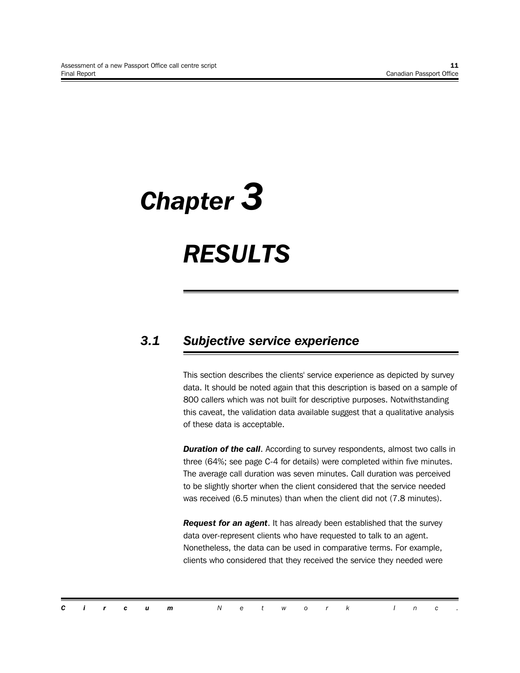# *Chapter 3*

# *RESULTS*

# *3.1 Subjective service experience*

This section describes the clients' service experience as depicted by survey data. It should be noted again that this description is based on a sample of 800 callers which was not built for descriptive purposes. Notwithstanding this caveat, the validation data available suggest that a qualitative analysis of these data is acceptable.

**Duration of the call.** According to survey respondents, almost two calls in three (64%; see page C-4 for details) were completed within five minutes. The average call duration was seven minutes. Call duration was perceived to be slightly shorter when the client considered that the service needed was received (6.5 minutes) than when the client did not (7.8 minutes).

*Request for an agent*. It has already been established that the survey data over-represent clients who have requested to talk to an agent. Nonetheless, the data can be used in comparative terms. For example, clients who considered that they received the service they needed were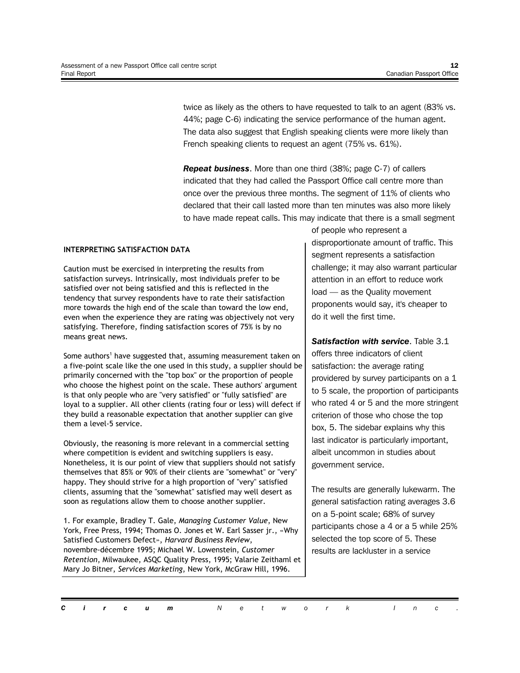twice as likely as the others to have requested to talk to an agent (83% vs. 44%; page C-6) indicating the service performance of the human agent. The data also suggest that English speaking clients were more likely than French speaking clients to request an agent (75% vs. 61%).

*Repeat business*. More than one third (38%; page C-7) of callers indicated that they had called the Passport Office call centre more than once over the previous three months. The segment of 11% of clients who declared that their call lasted more than ten minutes was also more likely to have made repeat calls. This may indicate that there is a small segment

#### **INTERPRETING SATISFACTION DATA**

Caution must be exercised in interpreting the results from satisfaction surveys. Intrinsically, most individuals prefer to be satisfied over not being satisfied and this is reflected in the tendency that survey respondents have to rate their satisfaction more towards the high end of the scale than toward the low end, even when the experience they are rating was objectively not very satisfying. Therefore, finding satisfaction scores of 75% is by no means great news.

Some authors<sup>1</sup> have suggested that, assuming measurement taken on a five-point scale like the one used in this study, a supplier should be primarily concerned with the "top box" or the proportion of people who choose the highest point on the scale. These authors' argument is that only people who are "very satisfied" or "fully satisfied" are loyal to a supplier. All other clients (rating four or less) will defect if they build a reasonable expectation that another supplier can give them a level-5 service.

Obviously, the reasoning is more relevant in a commercial setting where competition is evident and switching suppliers is easy. Nonetheless, it is our point of view that suppliers should not satisfy themselves that 85% or 90% of their clients are "somewhat" or "very" happy. They should strive for a high proportion of "very" satisfied clients, assuming that the "somewhat" satisfied may well desert as soon as regulations allow them to choose another supplier.

1. For example, Bradley T. Gale, *Managing Customer Value*, New York, Free Press, 1994; Thomas O. Jones et W. Earl Sasser jr., «Why Satisfied Customers Defect», *Harvard Business Review*, novembre-décembre 1995; Michael W. Lowenstein, *Customer Retention*, Milwaukee, ASQC Quality Press, 1995; Valarie Zeithaml et Mary Jo Bitner, *Services Marketing*, New York, McGraw Hill, 1996.

of people who represent a disproportionate amount of traffic. This segment represents a satisfaction challenge; it may also warrant particular attention in an effort to reduce work load — as the Quality movement proponents would say, it's cheaper to do it well the first time.

*Satisfaction with service*. Table 3.1 offers three indicators of client satisfaction: the average rating providered by survey participants on a 1 to 5 scale, the proportion of participants who rated 4 or 5 and the more stringent criterion of those who chose the top box, 5. The sidebar explains why this last indicator is particularly important, albeit uncommon in studies about government service.

The results are generally lukewarm. The general satisfaction rating averages 3.6 on a 5-point scale; 68% of survey participants chose a 4 or a 5 while 25% selected the top score of 5. These results are lackluster in a service

*Circum Network Inc .*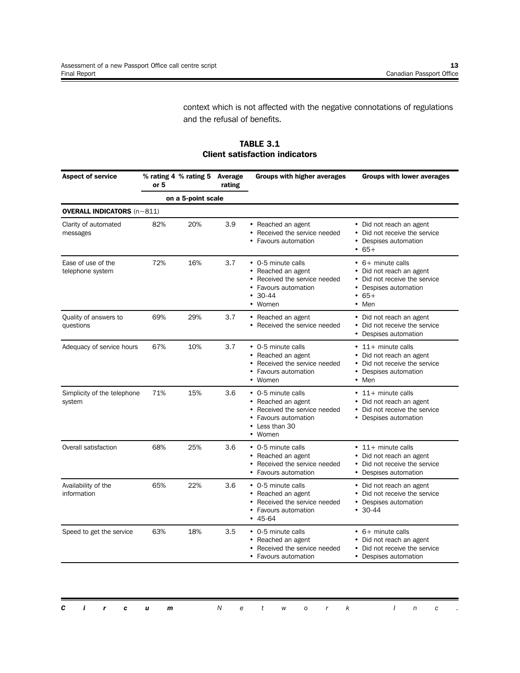context which is not affected with the negative connotations of regulations and the refusal of benefits.

**TABLE 3.1 Client satisfaction indicators**

| <b>Aspect of service</b>                 | % rating 4 % rating 5 Average<br>rating<br>or 5 |                    |     | <b>Groups with higher averages</b>                                                                                             | <b>Groups with lower averages</b>                                                                                               |  |  |
|------------------------------------------|-------------------------------------------------|--------------------|-----|--------------------------------------------------------------------------------------------------------------------------------|---------------------------------------------------------------------------------------------------------------------------------|--|--|
|                                          |                                                 | on a 5-point scale |     |                                                                                                                                |                                                                                                                                 |  |  |
| <b>OVERALL INDICATORS</b> $(n \sim 811)$ |                                                 |                    |     |                                                                                                                                |                                                                                                                                 |  |  |
| Clarity of automated<br>messages         | 82%                                             | 20%                | 3.9 | • Reached an agent<br>• Received the service needed<br>• Favours automation                                                    | • Did not reach an agent<br>• Did not receive the service<br>• Despises automation<br>$• 65+$                                   |  |  |
| Ease of use of the<br>telephone system   | 72%                                             | 16%                | 3.7 | • 0-5 minute calls<br>• Reached an agent<br>• Received the service needed<br>• Favours automation<br>$• 30-44$<br>• Women      | • 6+ minute calls<br>• Did not reach an agent<br>• Did not receive the service<br>• Despises automation<br>$• 65+$<br>$•$ Men   |  |  |
| Quality of answers to<br>questions       | 69%                                             | 29%                | 3.7 | • Reached an agent<br>• Received the service needed                                                                            | • Did not reach an agent<br>• Did not receive the service<br>• Despises automation                                              |  |  |
| Adequacy of service hours                | 67%                                             | 10%                | 3.7 | • 0-5 minute calls<br>• Reached an agent<br>• Received the service needed<br>• Favours automation<br>• Women                   | $\cdot$ 11+ minute calls<br>• Did not reach an agent<br>• Did not receive the service<br>• Despises automation<br>$\bullet$ Men |  |  |
| Simplicity of the telephone<br>system    | 71%                                             | 15%                | 3.6 | • 0-5 minute calls<br>• Reached an agent<br>• Received the service needed<br>• Favours automation<br>• Less than 30<br>• Women | $\cdot$ 11+ minute calls<br>• Did not reach an agent<br>• Did not receive the service<br>• Despises automation                  |  |  |
| Overall satisfaction                     | 68%                                             | 25%                | 3.6 | • 0-5 minute calls<br>• Reached an agent<br>Received the service needed<br>• Favours automation                                | $\cdot$ 11+ minute calls<br>• Did not reach an agent<br>• Did not receive the service<br>• Despises automation                  |  |  |
| Availability of the<br>information       | 65%                                             | 22%                | 3.6 | • 0-5 minute calls<br>• Reached an agent<br>Received the service needed<br>• Favours automation<br>$• 45-64$                   | • Did not reach an agent<br>• Did not receive the service<br>• Despises automation<br>$• 30-44$                                 |  |  |
| Speed to get the service                 | 63%                                             | 18%                | 3.5 | • 0-5 minute calls<br>• Reached an agent<br>• Received the service needed<br>• Favours automation                              | $\cdot$ 6+ minute calls<br>• Did not reach an agent<br>• Did not receive the service<br>• Despises automation                   |  |  |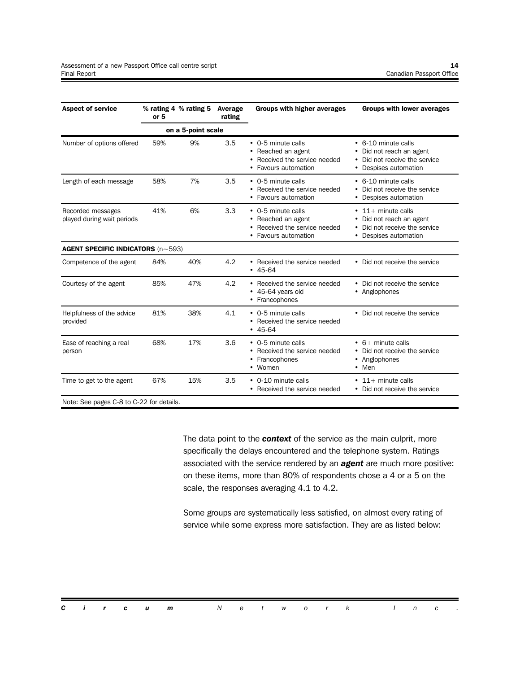| <b>Aspect of service</b>                        | or 5 | % rating 4 % rating 5 | Average<br>rating | <b>Groups with higher averages</b><br><b>Groups with lower averages</b>                                                                                                                                                |
|-------------------------------------------------|------|-----------------------|-------------------|------------------------------------------------------------------------------------------------------------------------------------------------------------------------------------------------------------------------|
|                                                 |      | on a 5-point scale    |                   |                                                                                                                                                                                                                        |
| Number of options offered                       | 59%  | 9%                    | 3.5               | • 0-5 minute calls<br>• 6-10 minute calls<br>• Reached an agent<br>Did not reach an agent<br>٠<br>Received the service needed<br>Did not receive the service<br>$\bullet$<br>Favours automation<br>Despises automation |
| Length of each message                          | 58%  | 7%                    | 3.5               | • 0-5 minute calls<br>• 6-10 minute calls<br>• Received the service needed<br>Did not receive the service<br>• Favours automation<br>• Despises automation                                                             |
| Recorded messages<br>played during wait periods | 41%  | 6%                    | 3.3               | • 0-5 minute calls<br>$\cdot$ 11+ minute calls<br>Reached an agent<br>Did not reach an agent<br>Received the service needed<br>Did not receive the service<br>• Favours automation<br>Despises automation<br>$\bullet$ |
| <b>AGENT SPECIFIC INDICATORS (n~593)</b>        |      |                       |                   |                                                                                                                                                                                                                        |
| Competence of the agent                         | 84%  | 40%                   | 4.2               | • Received the service needed<br>• Did not receive the service<br>$• 45-64$                                                                                                                                            |
| Courtesy of the agent                           | 85%  | 47%                   | 4.2               | • Received the service needed<br>• Did not receive the service<br>• 45-64 years old<br>• Anglophones<br>• Francophones                                                                                                 |
| Helpfulness of the advice<br>provided           | 81%  | 38%                   | 4.1               | • 0-5 minute calls<br>• Did not receive the service<br>• Received the service needed<br>$• 45-64$                                                                                                                      |
| Ease of reaching a real<br>person               | 68%  | 17%                   | 3.6               | • 0-5 minute calls<br>$\cdot$ 6+ minute calls<br>Received the service needed<br>Did not receive the service<br>Francophones<br>• Anglophones<br>• Women<br>$•$ Men                                                     |
| Time to get to the agent                        | 67%  | 15%                   | 3.5               | • 0-10 minute calls<br>$\cdot$ 11+ minute calls<br>Did not receive the service<br>• Received the service needed                                                                                                        |

Note: See pages C-8 to C-22 for details.

The data point to the *context* of the service as the main culprit, more specifically the delays encountered and the telephone system. Ratings associated with the service rendered by an *agent* are much more positive: on these items, more than 80% of respondents chose a 4 or a 5 on the scale, the responses averaging 4.1 to 4.2.

Some groups are systematically less satisfied, on almost every rating of service while some express more satisfaction. They are as listed below: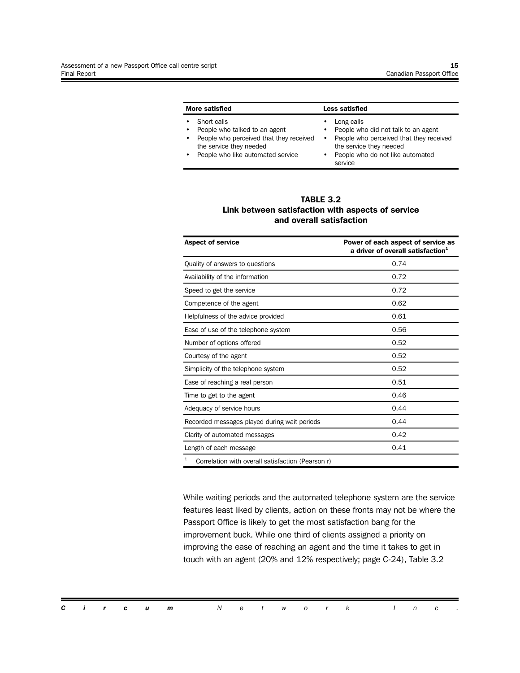| More satisfied |                                                                                                                                                         |                                          | Less satisfied                                                                                                                                                         |  |  |  |  |
|----------------|---------------------------------------------------------------------------------------------------------------------------------------------------------|------------------------------------------|------------------------------------------------------------------------------------------------------------------------------------------------------------------------|--|--|--|--|
|                | Short calls<br>People who talked to an agent<br>People who perceived that they received<br>the service they needed<br>People who like automated service | ٠<br>$\bullet$<br>$\bullet$<br>$\bullet$ | Long calls<br>People who did not talk to an agent<br>People who perceived that they received<br>the service they needed<br>People who do not like automated<br>service |  |  |  |  |

#### **TABLE 3.2 Link between satisfaction with aspects of service and overall satisfaction**

| <b>Aspect of service</b>                               | Power of each aspect of service as<br>a driver of overall satisfaction <sup>1</sup> |
|--------------------------------------------------------|-------------------------------------------------------------------------------------|
| Quality of answers to questions                        | 0.74                                                                                |
| Availability of the information                        | 0.72                                                                                |
| Speed to get the service                               | 0.72                                                                                |
| Competence of the agent                                | 0.62                                                                                |
| Helpfulness of the advice provided                     | 0.61                                                                                |
| Ease of use of the telephone system                    | 0.56                                                                                |
| Number of options offered                              | 0.52                                                                                |
| Courtesy of the agent                                  | 0.52                                                                                |
| Simplicity of the telephone system                     | 0.52                                                                                |
| Ease of reaching a real person                         | 0.51                                                                                |
| Time to get to the agent                               | 0.46                                                                                |
| Adequacy of service hours                              | 0.44                                                                                |
| Recorded messages played during wait periods           | 0.44                                                                                |
| Clarity of automated messages                          | 0.42                                                                                |
| Length of each message                                 | 0.41                                                                                |
| 1<br>Correlation with overall satisfaction (Pearson r) |                                                                                     |

While waiting periods and the automated telephone system are the service features least liked by clients, action on these fronts may not be where the Passport Office is likely to get the most satisfaction bang for the improvement buck. While one third of clients assigned a priority on improving the ease of reaching an agent and the time it takes to get in touch with an agent (20% and 12% respectively; page C-24), Table 3.2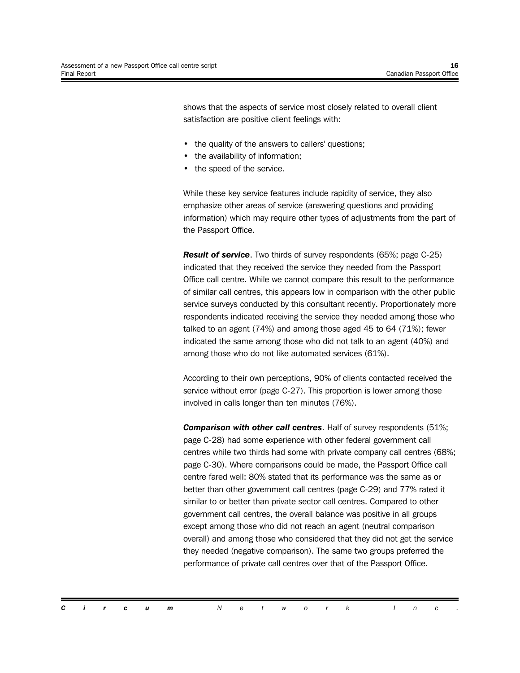shows that the aspects of service most closely related to overall client satisfaction are positive client feelings with:

- the quality of the answers to callers' questions;
- the availability of information;
- the speed of the service.

While these key service features include rapidity of service, they also emphasize other areas of service (answering questions and providing information) which may require other types of adjustments from the part of the Passport Office.

*Result of service*. Two thirds of survey respondents (65%; page C-25) indicated that they received the service they needed from the Passport Office call centre. While we cannot compare this result to the performance of similar call centres, this appears low in comparison with the other public service surveys conducted by this consultant recently. Proportionately more respondents indicated receiving the service they needed among those who talked to an agent (74%) and among those aged 45 to 64 (71%); fewer indicated the same among those who did not talk to an agent (40%) and among those who do not like automated services (61%).

According to their own perceptions, 90% of clients contacted received the service without error (page C-27). This proportion is lower among those involved in calls longer than ten minutes (76%).

*Comparison with other call centres*. Half of survey respondents (51%; page C-28) had some experience with other federal government call centres while two thirds had some with private company call centres (68%; page C-30). Where comparisons could be made, the Passport Office call centre fared well: 80% stated that its performance was the same as or better than other government call centres (page C-29) and 77% rated it similar to or better than private sector call centres. Compared to other government call centres, the overall balance was positive in all groups except among those who did not reach an agent (neutral comparison overall) and among those who considered that they did not get the service they needed (negative comparison). The same two groups preferred the performance of private call centres over that of the Passport Office.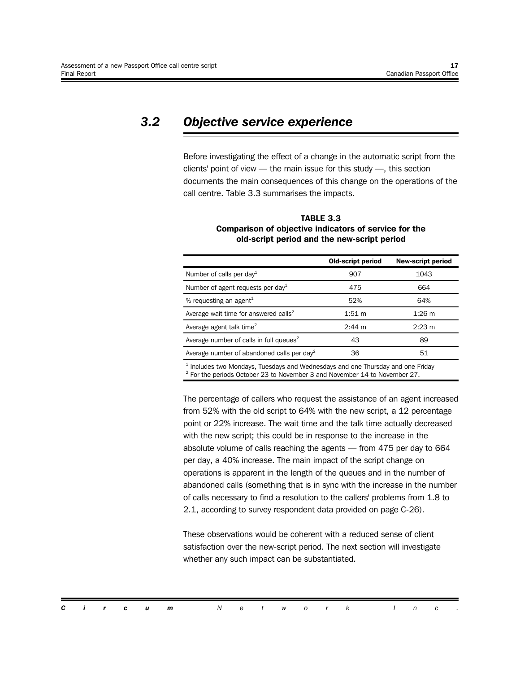## *3.2 Objective service experience*

Before investigating the effect of a change in the automatic script from the clients' point of view — the main issue for this study —, this section documents the main consequences of this change on the operations of the call centre. Table 3.3 summarises the impacts.

|                                                        | <b>Old-script period</b> | <b>New-script period</b> |
|--------------------------------------------------------|--------------------------|--------------------------|
| Number of calls per day <sup>1</sup>                   | 907                      | 1043                     |
| Number of agent requests per day <sup>1</sup>          | 475                      | 664                      |
| % requesting an agent <sup>1</sup>                     | 52%                      | 64%                      |
| Average wait time for answered calls <sup>2</sup>      | $1:51 \; m$              | $1:26 \; m$              |
| Average agent talk time <sup>2</sup>                   | $2:44 \; m$              | $2:23 \; m$              |
| Average number of calls in full queues <sup>2</sup>    | 43                       | 89                       |
| Average number of abandoned calls per day <sup>2</sup> | 36                       | 51                       |
|                                                        |                          |                          |

#### **TABLE 3.3 Comparison of objective indicators of service for the old-script period and the new-script period**

 $<sup>1</sup>$  Includes two Mondays, Tuesdays and Wednesdays and one Thursday and one Friday</sup>  $2$  For the periods October 23 to November 3 and November 14 to November 27.

The percentage of callers who request the assistance of an agent increased from 52% with the old script to 64% with the new script, a 12 percentage point or 22% increase. The wait time and the talk time actually decreased with the new script; this could be in response to the increase in the absolute volume of calls reaching the agents — from 475 per day to 664 per day, a 40% increase. The main impact of the script change on operations is apparent in the length of the queues and in the number of abandoned calls (something that is in sync with the increase in the number of calls necessary to find a resolution to the callers' problems from 1.8 to 2.1, according to survey respondent data provided on page C-26).

These observations would be coherent with a reduced sense of client satisfaction over the new-script period. The next section will investigate whether any such impact can be substantiated.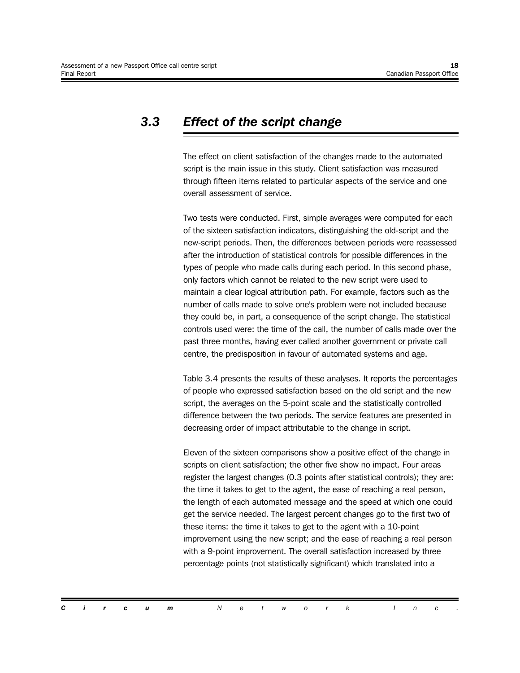## *3.3 Effect of the script change*

The effect on client satisfaction of the changes made to the automated script is the main issue in this study. Client satisfaction was measured through fifteen items related to particular aspects of the service and one overall assessment of service.

Two tests were conducted. First, simple averages were computed for each of the sixteen satisfaction indicators, distinguishing the old-script and the new-script periods. Then, the differences between periods were reassessed after the introduction of statistical controls for possible differences in the types of people who made calls during each period. In this second phase, only factors which cannot be related to the new script were used to maintain a clear logical attribution path. For example, factors such as the number of calls made to solve one's problem were not included because they could be, in part, a consequence of the script change. The statistical controls used were: the time of the call, the number of calls made over the past three months, having ever called another government or private call centre, the predisposition in favour of automated systems and age.

Table 3.4 presents the results of these analyses. It reports the percentages of people who expressed satisfaction based on the old script and the new script, the averages on the 5-point scale and the statistically controlled difference between the two periods. The service features are presented in decreasing order of impact attributable to the change in script.

Eleven of the sixteen comparisons show a positive effect of the change in scripts on client satisfaction; the other five show no impact. Four areas register the largest changes (0.3 points after statistical controls); they are: the time it takes to get to the agent, the ease of reaching a real person, the length of each automated message and the speed at which one could get the service needed. The largest percent changes go to the first two of these items: the time it takes to get to the agent with a 10-point improvement using the new script; and the ease of reaching a real person with a 9-point improvement. The overall satisfaction increased by three percentage points (not statistically significant) which translated into a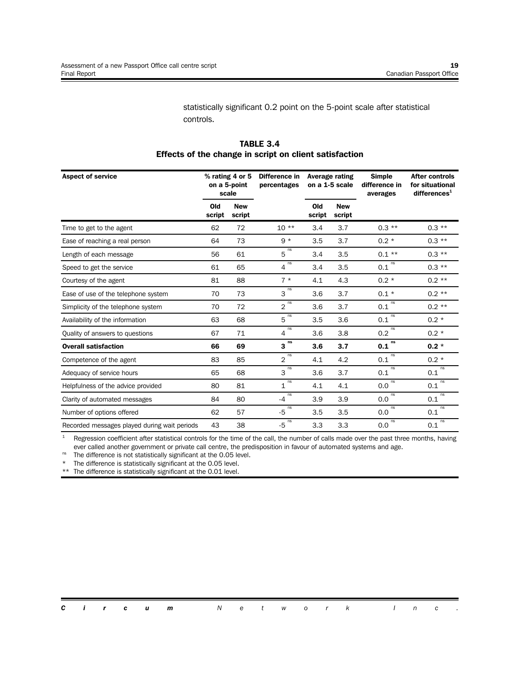statistically significant 0.2 point on the 5-point scale after statistical controls.

| <b>Aspect of service</b>                     |               | % rating 4 or 5<br>on a 5-point<br>scale | Difference in<br>percentages |               | Average rating<br>on a 1-5 scale | <b>Simple</b><br>difference in<br>averages | <b>After controls</b><br>for situational<br>difference <sub>1</sub> |
|----------------------------------------------|---------------|------------------------------------------|------------------------------|---------------|----------------------------------|--------------------------------------------|---------------------------------------------------------------------|
|                                              | Old<br>script | <b>New</b><br>script                     |                              | Old<br>script | <b>New</b><br>script             |                                            |                                                                     |
| Time to get to the agent                     | 62            | 72                                       | $10**$                       | 3.4           | 3.7                              | $0.3***$                                   | $0.3***$                                                            |
| Ease of reaching a real person               | 64            | 73                                       | $9 *$                        | 3.5           | 3.7                              | $0.2 *$                                    | $0.3***$                                                            |
| Length of each message                       | 56            | 61                                       | ns<br>5                      | 3.4           | 3.5                              | $0.1***$                                   | $0.3***$                                                            |
| Speed to get the service                     | 61            | 65                                       | ns<br>4                      | 3.4           | 3.5                              | ns<br>0.1                                  | $0.3***$                                                            |
| Courtesy of the agent                        | 81            | 88                                       | $7 *$                        | 4.1           | 4.3                              | $0.2 *$                                    | $0.2**$                                                             |
| Ease of use of the telephone system          | 70            | 73                                       | $3^{ns}$                     | 3.6           | 3.7                              | $0.1*$                                     | $0.2**$                                                             |
| Simplicity of the telephone system           | 70            | 72                                       | ns<br>$\overline{2}$         | 3.6           | 3.7                              | ns<br>0.1                                  | $0.2**$                                                             |
| Availability of the information              | 63            | 68                                       | ns<br>5                      | 3.5           | 3.6                              | ns<br>0.1                                  | $0.2 *$                                                             |
| Quality of answers to questions              | 67            | 71                                       | ns<br>4                      | 3.6           | 3.8                              | ns<br>0.2                                  | $0.2 *$                                                             |
| <b>Overall satisfaction</b>                  | 66            | 69                                       | ns<br>3                      | 3.6           | 3.7                              | ns<br>0.1                                  | $0.2 *$                                                             |
| Competence of the agent                      | 83            | 85                                       | ns<br>$\overline{2}$         | 4.1           | 4.2                              | ns<br>0.1                                  | $0.2 *$                                                             |
| Adequacy of service hours                    | 65            | 68                                       | ns<br>3                      | 3.6           | 3.7                              | ns<br>0.1                                  | ns<br>0.1                                                           |
| Helpfulness of the advice provided           | 80            | 81                                       | ns<br>$\mathbf{1}$           | 4.1           | 4.1                              | ns<br>0.0                                  | ns<br>0.1                                                           |
| Clarity of automated messages                | 84            | 80                                       | ns<br>$-4$                   | 3.9           | 3.9                              | ns<br>0.0                                  | ns<br>0.1                                                           |
| Number of options offered                    | 62            | 57                                       | $-5$ <sup>ns</sup>           | 3.5           | 3.5                              | ns<br>0.0                                  | ns<br>0.1                                                           |
| Recorded messages played during wait periods | 43            | 38                                       | ns<br>$-5$                   | 3.3           | 3.3                              | ns<br>0.0                                  | ns<br>0.1                                                           |

#### **TABLE 3.4 Effects of the change in script on client satisfaction**

 $1$  Regression coefficient after statistical controls for the time of the call, the number of calls made over the past three months, having ever called another government or private call centre, the predisposition in favour of automated systems and age.

<sup>ns</sup> The difference is not statistically significant at the 0.05 level.

\* The difference is statistically significant at the 0.05 level.

The difference is statistically significant at the 0.01 level.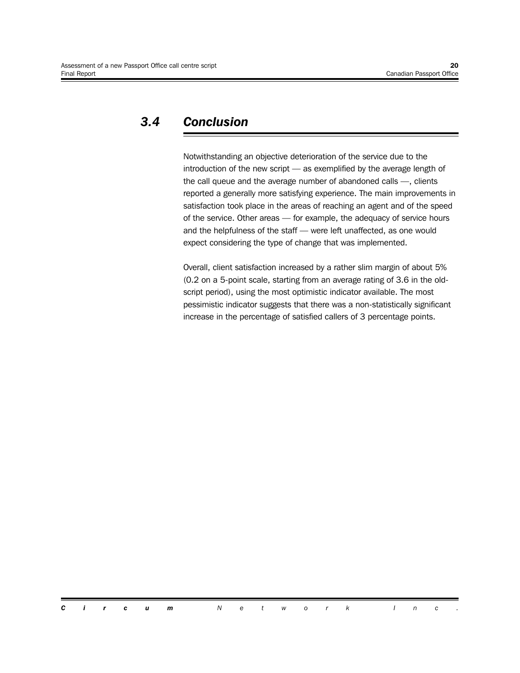## *3.4 Conclusion*

Notwithstanding an objective deterioration of the service due to the introduction of the new script — as exemplified by the average length of the call queue and the average number of abandoned calls —, clients reported a generally more satisfying experience. The main improvements in satisfaction took place in the areas of reaching an agent and of the speed of the service. Other areas — for example, the adequacy of service hours and the helpfulness of the staff — were left unaffected, as one would expect considering the type of change that was implemented.

Overall, client satisfaction increased by a rather slim margin of about 5% (0.2 on a 5-point scale, starting from an average rating of 3.6 in the oldscript period), using the most optimistic indicator available. The most pessimistic indicator suggests that there was a non-statistically significant increase in the percentage of satisfied callers of 3 percentage points.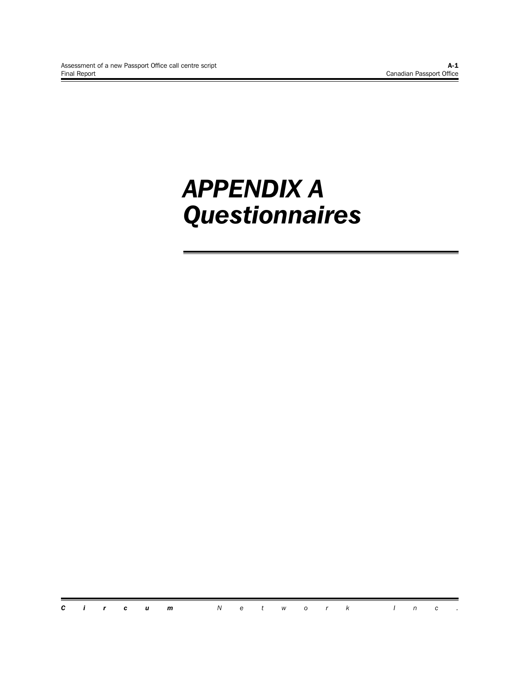# *APPENDIX A Questionnaires*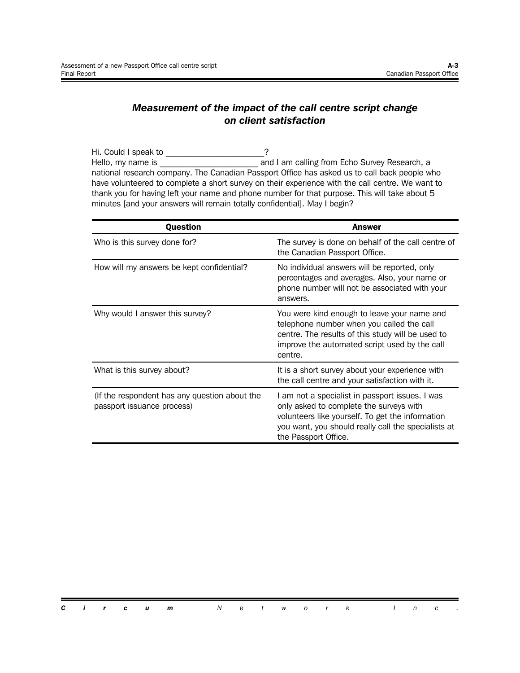#### *Measurement of the impact of the call centre script change on client satisfaction*

Hi. Could I speak to \_\_\_\_\_\_\_\_\_\_\_\_\_\_\_\_\_\_\_\_\_\_\_\_? Hello, my name is \_\_\_\_\_\_\_\_\_\_\_\_\_\_\_\_\_\_\_\_\_\_\_ and I am calling from Echo Survey Research, a national research company. The Canadian Passport Office has asked us to call back people who have volunteered to complete a short survey on their experience with the call centre. We want to thank you for having left your name and phone number for that purpose. This will take about 5 minutes [and your answers will remain totally confidential]. May I begin?

| <b>Question</b>                                                             | Answer                                                                                                                                                                                                                        |
|-----------------------------------------------------------------------------|-------------------------------------------------------------------------------------------------------------------------------------------------------------------------------------------------------------------------------|
| Who is this survey done for?                                                | The survey is done on behalf of the call centre of<br>the Canadian Passport Office.                                                                                                                                           |
| How will my answers be kept confidential?                                   | No individual answers will be reported, only<br>percentages and averages. Also, your name or<br>phone number will not be associated with your<br>answers.                                                                     |
| Why would I answer this survey?                                             | You were kind enough to leave your name and<br>telephone number when you called the call<br>centre. The results of this study will be used to<br>improve the automated script used by the call<br>centre.                     |
| What is this survey about?                                                  | It is a short survey about your experience with<br>the call centre and your satisfaction with it.                                                                                                                             |
| (If the respondent has any question about the<br>passport issuance process) | I am not a specialist in passport issues. I was<br>only asked to complete the surveys with<br>volunteers like yourself. To get the information<br>you want, you should really call the specialists at<br>the Passport Office. |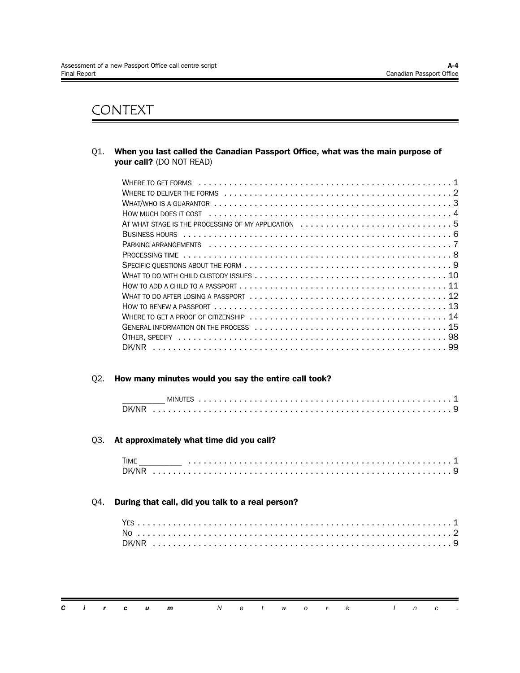# CONTEXT

Q1. **When you last called the Canadian Passport Office, what was the main purpose of your call?** (DO NOT READ)

| AT WHAT STAGE IS THE PROCESSING OF MY APPLICATION 5                                                                    |
|------------------------------------------------------------------------------------------------------------------------|
|                                                                                                                        |
|                                                                                                                        |
|                                                                                                                        |
|                                                                                                                        |
|                                                                                                                        |
| How to add a child to a passport $\dots\dots\dots\dots\dots\dots\dots\dots\dots\dots\dots\dots\dots\dots\dots\dots 11$ |
|                                                                                                                        |
|                                                                                                                        |
|                                                                                                                        |
|                                                                                                                        |
|                                                                                                                        |
|                                                                                                                        |

#### Q2. **How many minutes would you say the entire call took?**

| DK/NI |  |  |  |  |
|-------|--|--|--|--|

#### Q3. **At approximately what time did you call?**

| TIME  |  |  |  |  |  |  |  |  |  |  |  |  |  |  |  |  |  |  |  |  |  |  |
|-------|--|--|--|--|--|--|--|--|--|--|--|--|--|--|--|--|--|--|--|--|--|--|
| DK/NR |  |  |  |  |  |  |  |  |  |  |  |  |  |  |  |  |  |  |  |  |  |  |

#### Q4. **During that call, did you talk to a real person?**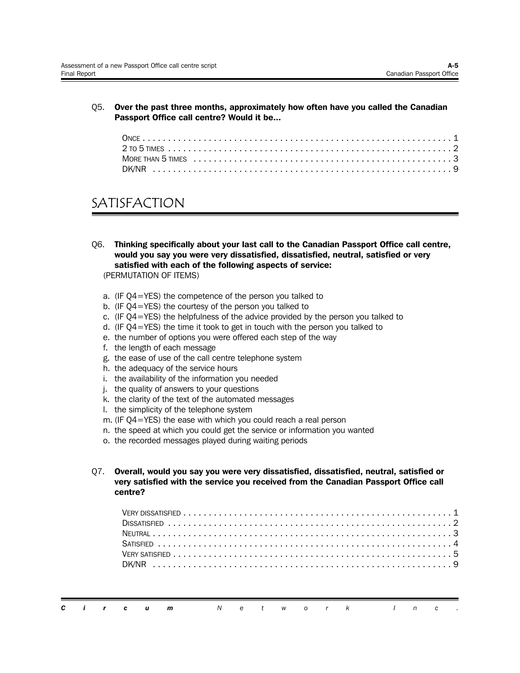Q5. **Over the past three months, approximately how often have you called the Canadian Passport Office call centre? Would it be...**

| MORE THAN 5 TIMES $\dots\dots\dots\dots\dots\dots\dots\dots\dots\dots\dots\dots\dots\dots\dots\dots$ |  |
|------------------------------------------------------------------------------------------------------|--|
|                                                                                                      |  |

# SATISFACTION

Q6. **Thinking specifically about your last call to the Canadian Passport Office call centre, would you say you were very dissatisfied, dissatisfied, neutral, satisfied or very satisfied with each of the following aspects of service:**

(PERMUTATION OF ITEMS)

- a. (IF Q4=YES) the competence of the person you talked to
- b. (IF Q4=YES) the courtesy of the person you talked to
- c. (IF Q4=YES) the helpfulness of the advice provided by the person you talked to
- d. (IF Q4=YES) the time it took to get in touch with the person you talked to
- e. the number of options you were offered each step of the way
- f. the length of each message
- g. the ease of use of the call centre telephone system
- h. the adequacy of the service hours
- i. the availability of the information you needed
- j. the quality of answers to your questions
- k. the clarity of the text of the automated messages
- l. the simplicity of the telephone system
- m. (IF Q4=YES) the ease with which you could reach a real person
- n. the speed at which you could get the service or information you wanted
- o. the recorded messages played during waiting periods
- Q7. **Overall, would you say you were very dissatisfied, dissatisfied, neutral, satisfied or very satisfied with the service you received from the Canadian Passport Office call centre?**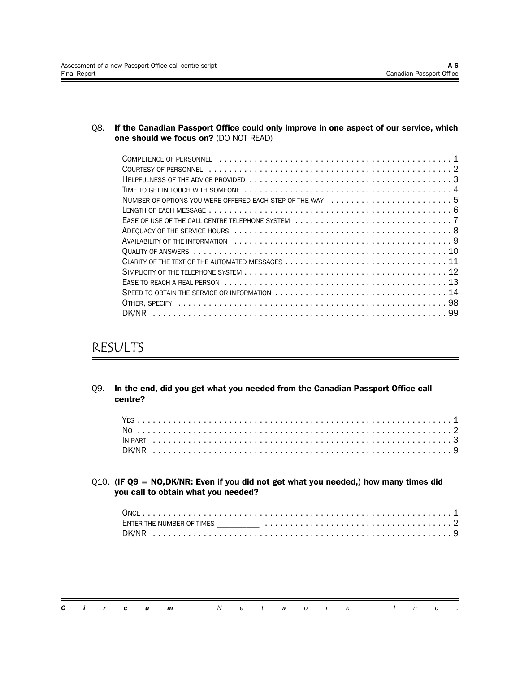Q8. **If the Canadian Passport Office could only improve in one aspect of our service, which one should we focus on?** (DO NOT READ)

| NUMBER OF OPTIONS YOU WERE OFFERED EACH STEP OF THE WAY 5 |
|-----------------------------------------------------------|
|                                                           |
|                                                           |
|                                                           |
|                                                           |
|                                                           |
|                                                           |
|                                                           |
|                                                           |
|                                                           |
|                                                           |
|                                                           |

# RESULTS

| 09. | In the end, did you get what you needed from the Canadian Passport Office call<br>centre?                                     |
|-----|-------------------------------------------------------------------------------------------------------------------------------|
|     |                                                                                                                               |
|     | $Q10.$ (IF Q9 = NO,DK/NR: Even if you did not get what you needed,) how many times did<br>you call to obtain what you needed? |
|     |                                                                                                                               |

|  |  | <b>Circum</b> Network Inc. |  |  |  |  |  |  |
|--|--|----------------------------|--|--|--|--|--|--|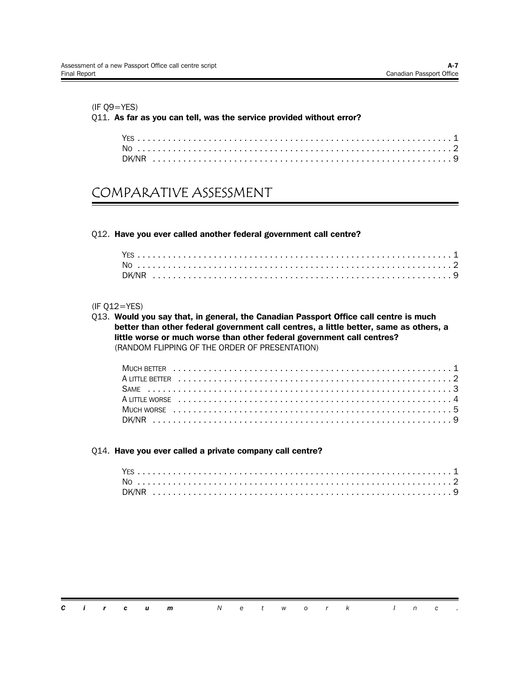#### (IF Q9=YES)

#### Q11. **As far as you can tell, was the service provided without error?**

## COMPARATIVE ASSESSMENT

#### Q12. **Have you ever called another federal government call centre?**

#### (IF Q12=YES)

Q13. **Would you say that, in general, the Canadian Passport Office call centre is much better than other federal government call centres, a little better, same as others, a little worse or much worse than other federal government call centres?** (RANDOM FLIPPING OF THE ORDER OF PRESENTATION)

#### Q14. **Have you ever called a private company call centre?**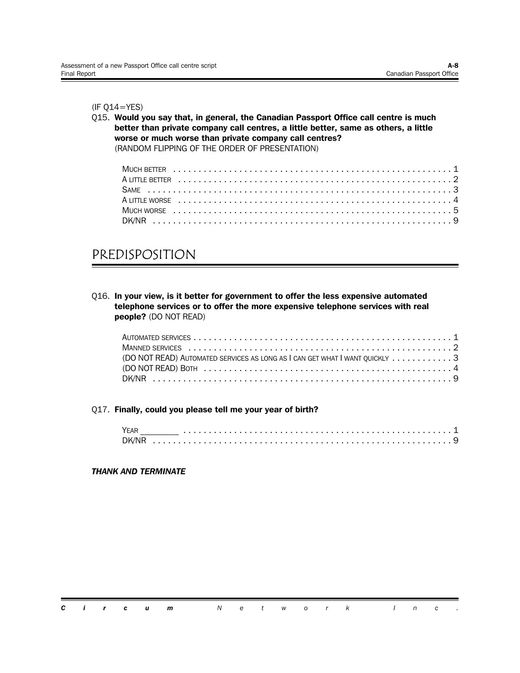(IF Q14=YES)

Q15. **Would you say that, in general, the Canadian Passport Office call centre is much better than private company call centres, a little better, same as others, a little worse or much worse than private company call centres?** (RANDOM FLIPPING OF THE ORDER OF PRESENTATION)

# PREDISPOSITION

Q16. **In your view, is it better for government to offer the less expensive automated telephone services or to offer the more expensive telephone services with real people?** (DO NOT READ)

| (DO NOT READ) AUTOMATED SERVICES AS LONG AS I CAN GET WHAT I WANT OUICKLY 3 |  |
|-----------------------------------------------------------------------------|--|
|                                                                             |  |
|                                                                             |  |

#### Q17. **Finally, could you please tell me your year of birth?**

| YFAR  |  |  |  |  |  |  |  |  |  |  |  |  |  |  |  |
|-------|--|--|--|--|--|--|--|--|--|--|--|--|--|--|--|
| DK/NR |  |  |  |  |  |  |  |  |  |  |  |  |  |  |  |

*THANK AND TERMINATE*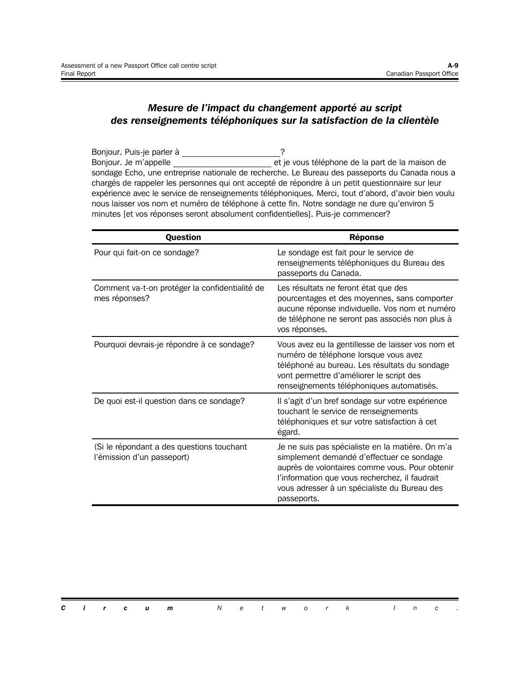#### *Mesure de l'impact du changement apporté au script des renseignements téléphoniques sur la satisfaction de la clientèle*

Bonjour. Puis-je parler à \_\_\_\_\_\_\_\_\_\_\_\_\_\_\_\_\_\_\_\_\_\_\_? Bonjour. Je m'appelle \_\_\_\_\_\_\_\_\_\_\_\_\_\_\_\_\_\_\_\_\_\_\_ et je vous téléphone de la part de la maison de sondage Echo, une entreprise nationale de recherche. Le Bureau des passeports du Canada nous a chargés de rappeler les personnes qui ont accepté de répondre à un petit questionnaire sur leur expérience avec le service de renseignements téléphoniques. Merci, tout d'abord, d'avoir bien voulu nous laisser vos nom et numéro de téléphone à cette fin. Notre sondage ne dure qu'environ 5 minutes [et vos réponses seront absolument confidentielles]. Puis-je commencer?

| <b>Question</b>                                                         | <b>Réponse</b>                                                                                                                                                                                                                                                   |
|-------------------------------------------------------------------------|------------------------------------------------------------------------------------------------------------------------------------------------------------------------------------------------------------------------------------------------------------------|
| Pour qui fait-on ce sondage?                                            | Le sondage est fait pour le service de<br>renseignements téléphoniques du Bureau des<br>passeports du Canada.                                                                                                                                                    |
| Comment va-t-on protéger la confidentialité de<br>mes réponses?         | Les résultats ne feront état que des<br>pourcentages et des moyennes, sans comporter<br>aucune réponse individuelle. Vos nom et numéro<br>de téléphone ne seront pas associés non plus à<br>vos réponses.                                                        |
| Pourquoi devrais-je répondre à ce sondage?                              | Vous avez eu la gentillesse de laisser vos nom et<br>numéro de téléphone lorsque vous avez<br>téléphoné au bureau. Les résultats du sondage<br>vont permettre d'améliorer le script des<br>renseignements téléphoniques automatisés.                             |
| De quoi est-il question dans ce sondage?                                | Il s'agit d'un bref sondage sur votre expérience<br>touchant le service de renseignements<br>téléphoniques et sur votre satisfaction à cet<br>égard.                                                                                                             |
| (Si le répondant a des questions touchant<br>l'émission d'un passeport) | Je ne suis pas spécialiste en la matière. On m'a<br>simplement demandé d'effectuer ce sondage<br>auprès de volontaires comme vous. Pour obtenir<br>l'information que vous recherchez, il faudrait<br>vous adresser à un spécialiste du Bureau des<br>passeports. |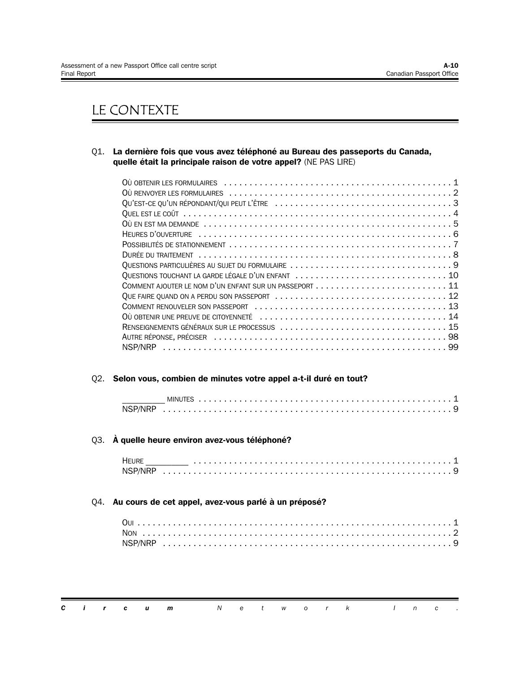# LE CONTEXTE

Q1. **La dernière fois que vous avez téléphoné au Bureau des passeports du Canada, quelle était la principale raison de votre appel?** (NE PAS LIRE)

| DURÉE DU TRAITEMENT (alternational according to the contract of the contract of the contract of the contract of the contract of the contract of the contract of the contract of the contract of the contract of the contract o |
|--------------------------------------------------------------------------------------------------------------------------------------------------------------------------------------------------------------------------------|
|                                                                                                                                                                                                                                |
| QUESTIONS TOUCHANT LA GARDE LÉGALE D'UN ENFANT  10                                                                                                                                                                             |
|                                                                                                                                                                                                                                |
|                                                                                                                                                                                                                                |
|                                                                                                                                                                                                                                |
|                                                                                                                                                                                                                                |
|                                                                                                                                                                                                                                |
|                                                                                                                                                                                                                                |
|                                                                                                                                                                                                                                |

#### Q2. **Selon vous, combien de minutes votre appel a-t-il duré en tout?**

| NSP/NR |  |  |  |  |
|--------|--|--|--|--|

#### Q3. **À quelle heure environ avez-vous téléphoné?**

#### Q4. **Au cours de cet appel, avez-vous parlé à un préposé?**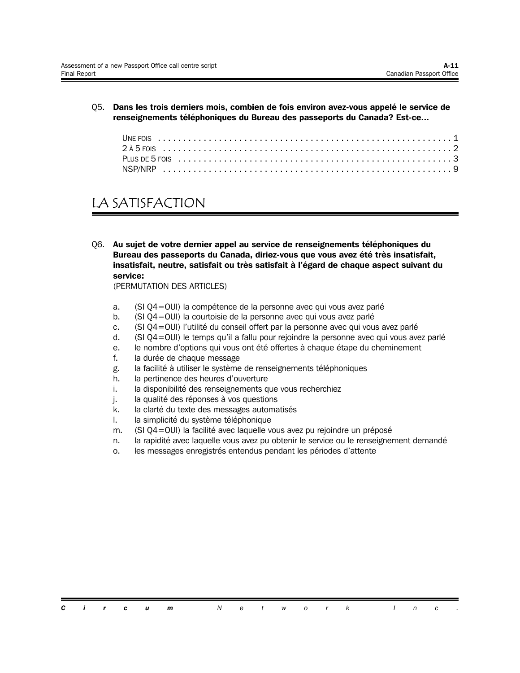Q5. **Dans les trois derniers mois, combien de fois environ avez-vous appelé le service de renseignements téléphoniques du Bureau des passeports du Canada? Est-ce...**

# LA SATISFACTION

Q6. **Au sujet de votre dernier appel au service de renseignements téléphoniques du Bureau des passeports du Canada, diriez-vous que vous avez été très insatisfait, insatisfait, neutre, satisfait ou très satisfait à l'égard de chaque aspect suivant du service:**

(PERMUTATION DES ARTICLES)

- a. (SI Q4=OUI) la compétence de la personne avec qui vous avez parlé
- b. (SI Q4=OUI) la courtoisie de la personne avec qui vous avez parlé
- c. (SI Q4=OUI) l'utilité du conseil offert par la personne avec qui vous avez parlé
- d. (SI Q4=OUI) le temps qu'il a fallu pour rejoindre la personne avec qui vous avez parlé
- e. le nombre d'options qui vous ont été offertes à chaque étape du cheminement
- f. la durée de chaque message
- g. la facilité à utiliser le système de renseignements téléphoniques
- h. la pertinence des heures d'ouverture
- i. la disponibilité des renseignements que vous recherchiez
- j. la qualité des réponses à vos questions
- k. la clarté du texte des messages automatisés
- l. la simplicité du système téléphonique
- m. (SI Q4=OUI) la facilité avec laquelle vous avez pu rejoindre un préposé
- n. la rapidité avec laquelle vous avez pu obtenir le service ou le renseignement demandé
- o. les messages enregistrés entendus pendant les périodes d'attente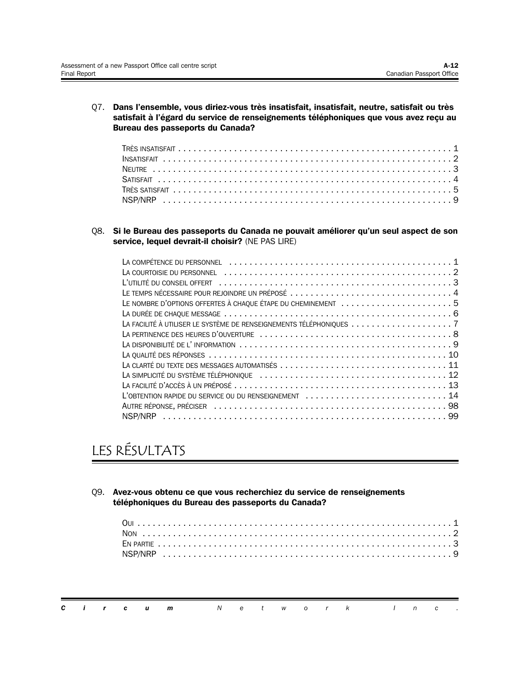Q7. **Dans l'ensemble, vous diriez-vous très insatisfait, insatisfait, neutre, satisfait ou très satisfait à l'égard du service de renseignements téléphoniques que vous avez reçu au Bureau des passeports du Canada?**

Q8. **Si le Bureau des passeports du Canada ne pouvait améliorer qu'un seul aspect de son service, lequel devrait-il choisir?** (NE PAS LIRE)

| LE TEMPS NÉCESSAIRE POUR REJOINDRE UN PRÉPOSÉ  4             |
|--------------------------------------------------------------|
| LE NOMBRE D'OPTIONS OFFERTES À CHAQUE ÉTAPE DU CHEMINEMENT 5 |
|                                                              |
|                                                              |
|                                                              |
|                                                              |
|                                                              |
|                                                              |
|                                                              |
|                                                              |
| L'OBTENTION RAPIDE DU SERVICE OU DU RENSEIGNEMENT  14        |
|                                                              |
|                                                              |

# LES RÉSULTATS

Q9. **Avez-vous obtenu ce que vous recherchiez du service de renseignements téléphoniques du Bureau des passeports du Canada?**

|  |  | <b>Circum</b> Network Inc. |  |  |  |  |  |  |
|--|--|----------------------------|--|--|--|--|--|--|
|  |  |                            |  |  |  |  |  |  |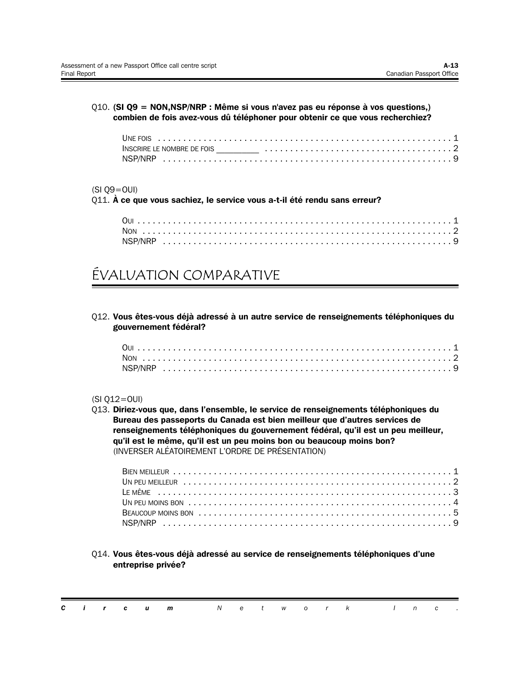### Q10. **(SI Q9 = NON,NSP/NRP : Même si vous n'avez pas eu réponse à vos questions,) combien de fois avez-vous dû téléphoner pour obtenir ce que vous recherchiez?**

### (SI Q9=OUI)

Q11. **À ce que vous sachiez, le service vous a-t-il été rendu sans erreur?**

## ÉVALUATION COMPARATIVE

Q12. **Vous êtes-vous déjà adressé à un autre service de renseignements téléphoniques du gouvernement fédéral?**

### (SI Q12=OUI)

Q13. **Diriez-vous que, dans l'ensemble, le service de renseignements téléphoniques du Bureau des passeports du Canada est bien meilleur que d'autres services de renseignements téléphoniques du gouvernement fédéral, qu'il est un peu meilleur, qu'il est le même, qu'il est un peu moins bon ou beaucoup moins bon?** (INVERSER ALÉATOIREMENT L'ORDRE DE PRÉSENTATION)

Q14. **Vous êtes-vous déjà adressé au service de renseignements téléphoniques d'une entreprise privée?**

|  |  | <b>Circum</b> Network Inc. |  |  |  |  |  |  |
|--|--|----------------------------|--|--|--|--|--|--|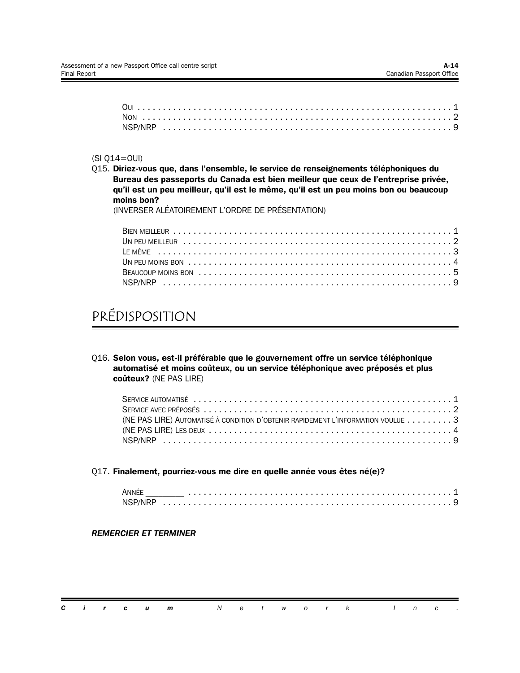### (SI Q14=OUI)

Q15. **Diriez-vous que, dans l'ensemble, le service de renseignements téléphoniques du Bureau des passeports du Canada est bien meilleur que ceux de l'entreprise privée, qu'il est un peu meilleur, qu'il est le même, qu'il est un peu moins bon ou beaucoup moins bon?**

(INVERSER ALÉATOIREMENT L'ORDRE DE PRÉSENTATION)

## PRÉDISPOSITION

Q16. **Selon vous, est-il préférable que le gouvernement offre un service téléphonique automatisé et moins coûteux, ou un service téléphonique avec préposés et plus coûteux?** (NE PAS LIRE)

| (NE PAS LIRE) AUTOMATISÉ À CONDITION D'OBTENIR RAPIDEMENT L'INFORMATION VOULUE  3 |  |
|-----------------------------------------------------------------------------------|--|
|                                                                                   |  |
|                                                                                   |  |

Q17. **Finalement, pourriez-vous me dire en quelle année vous êtes né(e)?**

| Anné   |  |  |  |  |  |  |  |  |  |  |  |  |  |  |  |  |  |  |  |
|--------|--|--|--|--|--|--|--|--|--|--|--|--|--|--|--|--|--|--|--|
| NSP/NR |  |  |  |  |  |  |  |  |  |  |  |  |  |  |  |  |  |  |  |

### *REMERCIER ET TERMINER*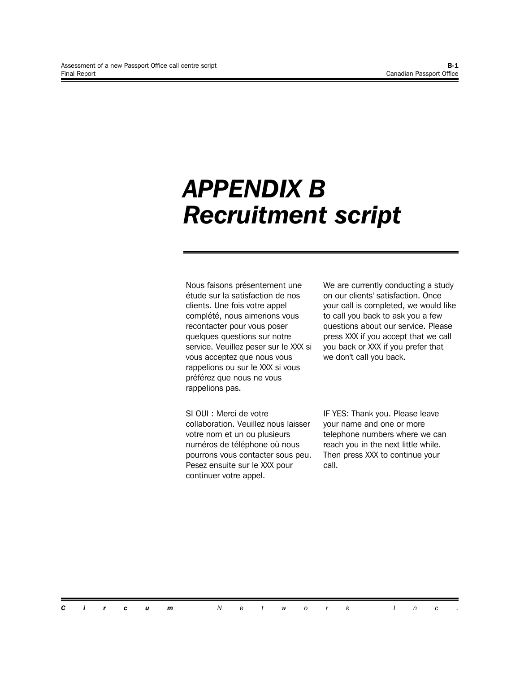# *APPENDIX B Recruitment script*

Nous faisons présentement une étude sur la satisfaction de nos clients. Une fois votre appel complété, nous aimerions vous recontacter pour vous poser quelques questions sur notre service. Veuillez peser sur le XXX si vous acceptez que nous vous rappelions ou sur le XXX si vous préférez que nous ne vous rappelions pas.

SI OUI : Merci de votre collaboration. Veuillez nous laisser votre nom et un ou plusieurs numéros de téléphone où nous pourrons vous contacter sous peu. Pesez ensuite sur le XXX pour continuer votre appel.

We are currently conducting a study on our clients' satisfaction. Once your call is completed, we would like to call you back to ask you a few questions about our service. Please press XXX if you accept that we call you back or XXX if you prefer that we don't call you back.

IF YES: Thank you. Please leave your name and one or more telephone numbers where we can reach you in the next little while. Then press XXX to continue your call.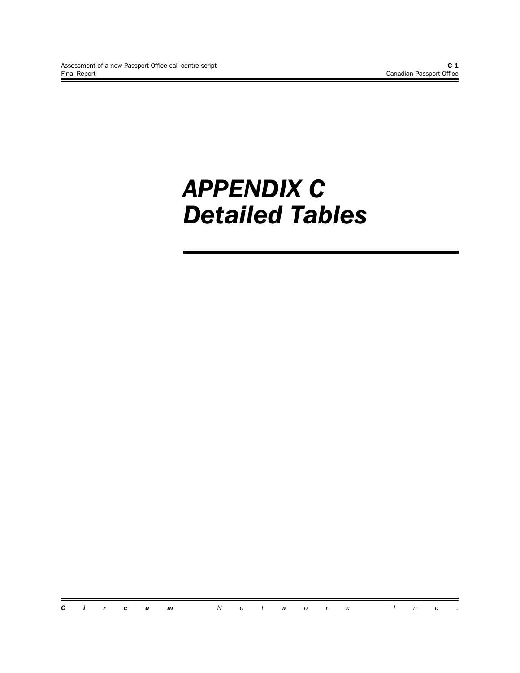# *APPENDIX C Detailed Tables*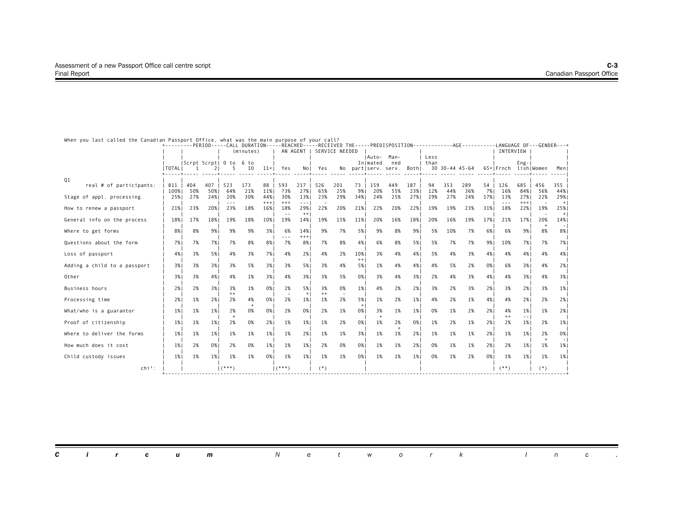|                              |             |                   |             |                |            |              |               |                                                                                                                                                                                                                                                                                                                                                                                                     |            |                |             |                    |                  |            |              |                | +---------PERIOD-----CALL DURATION-----REACHED-----RECEIVED THE-----PREDISPOSITION------------AGE--------LANGUAGE OF---GENDER---+ |             |                             |              |            |               |
|------------------------------|-------------|-------------------|-------------|----------------|------------|--------------|---------------|-----------------------------------------------------------------------------------------------------------------------------------------------------------------------------------------------------------------------------------------------------------------------------------------------------------------------------------------------------------------------------------------------------|------------|----------------|-------------|--------------------|------------------|------------|--------------|----------------|-----------------------------------------------------------------------------------------------------------------------------------|-------------|-----------------------------|--------------|------------|---------------|
|                              |             |                   |             |                | (minutes)  |              |               | AN AGENT I                                                                                                                                                                                                                                                                                                                                                                                          |            | SERVICE NEEDED |             |                    |                  |            |              |                |                                                                                                                                   |             | INTERVIEW                   |              |            |               |
|                              |             | Scrpt Scrpt  0 to |             |                | 6 to       |              |               |                                                                                                                                                                                                                                                                                                                                                                                                     |            |                |             | IAuto-<br>Inlmated | Man-<br>ned      |            | Less<br>than |                |                                                                                                                                   |             |                             | $Eng-$       |            |               |
|                              | I TOTAL I   |                   |             |                | 10         | $11+$        | Yes           | No I                                                                                                                                                                                                                                                                                                                                                                                                | Yes        | No             |             |                    | partiserv. serv. | Bothl      |              | 30 30-44 45-64 |                                                                                                                                   |             | 65+IFrnch lishIWomen        |              |            | Men           |
| Q1                           |             |                   |             |                |            |              |               |                                                                                                                                                                                                                                                                                                                                                                                                     |            |                |             |                    |                  |            |              |                |                                                                                                                                   |             |                             |              |            |               |
| real # of participants:      | 811         | 404               | 407         | 523            | 173        | 88           | 593           | 217                                                                                                                                                                                                                                                                                                                                                                                                 | 526        | 201            | 73          | 159                | 449              | 187        | 94           | 353            | 289                                                                                                                               | 54          | 126                         | 685          | 456        | 355           |
| Stage of appl. processing    | 100%<br>25% | 50%<br>27%        | 50% <br>24% | 64%<br>20%     | 21%<br>30% | 11%<br>44%   | 73%<br>30%    | 27%<br>13%                                                                                                                                                                                                                                                                                                                                                                                          | 65%<br>23% | 25%<br>29%     | 9%  <br>34% | 20%<br>24%         | 55%<br>25%       | 23%<br>27% | 12%<br>29%   | 44%<br>27%     | 36%<br>24%                                                                                                                        | 7% 1<br>17% | 16%<br>13%                  | 84%<br>27%   | 56%<br>22% | 44%<br>29%    |
| How to renew a passport      | 21%         | 23%               | 20%         | $- - -$<br>23% | 18%        | $+++$<br>16% | $+++$<br>18%  | $\frac{1}{2} \frac{1}{2} \frac{1}{2} \frac{1}{2} \frac{1}{2} \frac{1}{2} \frac{1}{2} \frac{1}{2} \frac{1}{2} \frac{1}{2} \frac{1}{2} \frac{1}{2} \frac{1}{2} \frac{1}{2} \frac{1}{2} \frac{1}{2} \frac{1}{2} \frac{1}{2} \frac{1}{2} \frac{1}{2} \frac{1}{2} \frac{1}{2} \frac{1}{2} \frac{1}{2} \frac{1}{2} \frac{1}{2} \frac{1}{2} \frac{1}{2} \frac{1}{2} \frac{1}{2} \frac{1}{2} \frac{$<br>29% | 22%        | 20%            | 21%         | 22%                | 20%              | 22%        | 19%          | 19%            | 23%                                                                                                                               | 31%         | $\sim$ $\sim$ $\sim$<br>18% | $+++$<br>22% | 19%        | $+$<br>25%    |
|                              |             |                   |             |                |            |              | $\sim$ $\sim$ | $++$                                                                                                                                                                                                                                                                                                                                                                                                |            |                |             |                    |                  |            |              |                |                                                                                                                                   |             |                             |              |            | $+$           |
| General info on the process  | 18%         | 17%               | 18%         | 19%            | 18%        | 10%          | 19%           | 14%                                                                                                                                                                                                                                                                                                                                                                                                 | 19%        | 15%            | 11%         | 20%                | 16%              | 18%        | 20%          | 16%            | 19%                                                                                                                               | 17%         | 21%                         | 17%          | 20%        | 14%<br>$\sim$ |
| Where to get forms           | 8%          | 8%                | 9%          | 9%             | 9%         | 3%           | 6%<br>---     | 14%<br>$+++$                                                                                                                                                                                                                                                                                                                                                                                        | 9%         | 7%             | 5%          | 9%                 | 8%               | 9%         | 5%           | 10%            | 7%                                                                                                                                | 6%          | 6%                          | 9%           | 8%         | 8%            |
| Questions about the form     | 7%          | 7%                | 7%          | 7%             | 8%         | 8%           | 7%            | 8%                                                                                                                                                                                                                                                                                                                                                                                                  | 7%         | 8%             | 4%          | 6%                 | 8%               | 5%         | 5%           | 7%             | 7%                                                                                                                                | 9%1         | 10%                         | 7%           | 7%         | 7%            |
| Loss of passport             | 4%          | 3%                | 5%1         | 4%             | 3%         | 7%           | 4%            | 2%1                                                                                                                                                                                                                                                                                                                                                                                                 | 4%         | 2%             | 10%         | 3%                 | 4%               | 4%         | 5%           | 4%             | 3%                                                                                                                                | 4%          | 4%                          | 4%           | 4%         | 4%            |
| Adding a child to a passport | 3%          | 3%                | 3%          | 3%             | 5%         | 3%           | 3%            | 5%                                                                                                                                                                                                                                                                                                                                                                                                  | 3%         | 4%             | $++$<br>5%  | 1%                 | 4%               | 4%         | 4%           | 5%             | 2%                                                                                                                                | 0%          | 6%                          | 3%           | 4%         | 2%            |
| Other                        | 3%          | 3%                | 4%          | 4%             | 1%         | 3%           | 4%            | 3%                                                                                                                                                                                                                                                                                                                                                                                                  | 3%         | 5%             | 0%          | 3%                 | 4%               | 3%         | 2%           | 4%             | 3%                                                                                                                                | 4%          | 4%                          | 3%           | 4%         | 3%            |
| Business hours               | 2%          | 2%                | 3%          | 3%             | 1%         | 0%           | 2%            | 5% 1                                                                                                                                                                                                                                                                                                                                                                                                | 3%         | 0%             | 1%          | 4%                 | 2%               | 2%         | 3%           | 2%             | 3%                                                                                                                                | 2%          | 3%                          | 2%           | 3%         | 1%            |
| Processing time              | 2%          | 1%                | 2%          | $++$<br>2%     | 4%         | 0%           | 2%            | $+$  <br>1%                                                                                                                                                                                                                                                                                                                                                                                         | $++$<br>1% | 2%             | 5%          | 1%                 | 2%               | 1%         | 4%           | 2%             | 1%                                                                                                                                | 4%          | 4%                          | 2%1          | 2%         | 2%            |
| What/who is a guarantor      | 1%          | 1%                | 1%          | 2%             | 0%         | 0%           | 2%            | 0%                                                                                                                                                                                                                                                                                                                                                                                                  | 2%         | 1%             | $+$<br>0%   | 3%                 | 1%               | 1%         | 0%           | 1%             | 2%                                                                                                                                | 2%          | 4%                          | $1\%$        | 1%         | 2%            |
| Proof of citizenship         | 1%          | 1%                | 1%          | 2%             | 0%         | 2%           | 1%            | 1%                                                                                                                                                                                                                                                                                                                                                                                                  | 1%         | 2%             | 0%          | 1%                 | 2%               | 0%         | 1%           | 2%             | 1%                                                                                                                                | 2%          | $++$<br>2%                  | 1%           | 2%         | 1%            |
| Where to deliver the forms   | $1\%$       | 1%                | 1%          | 1%             | 1%         | 1%           | 1%            | 2%                                                                                                                                                                                                                                                                                                                                                                                                  | 1%         | 1%             | 3%          | 1%                 | 1%               | 2%         | 1%           | 1%             | 1%                                                                                                                                | 2%          | 1%                          | 1%           | 2%         | 0%            |
| How much does it cost        | $1\%$       | 2%                | 0%          | 2%             | 0%         | 1%           | 1%            | 1%                                                                                                                                                                                                                                                                                                                                                                                                  | 2%         | 0%             | 0%          | 1%                 | 1%               | 2%         | 0%           | 1%             | 1%                                                                                                                                | 2%          | 2%                          | $1\%$        | 1%         | 1%            |
| Child custody issues         | 1%          | 1%                | 1%          | 1%             | 1%         | 0%           | 1%            | 1%                                                                                                                                                                                                                                                                                                                                                                                                  | 1%         | 1%             | 0%          | 1%                 | 1%               | 1%         | 0%           | 1%             | 2%                                                                                                                                | 0%1         | 1%                          | 1%           | 1%         | 1%            |
| $chi^2$ :                    |             |                   |             | $(***)$        |            |              | $($ ***)      |                                                                                                                                                                                                                                                                                                                                                                                                     | $(*)$      |                |             |                    |                  |            |              |                |                                                                                                                                   |             | $(***)$                     |              | $(*)$      |               |

When you last called the Canadian Passport Office, what was the main purpose of your call?

| <b>Circum</b> Network |  |
|-----------------------|--|
|-----------------------|--|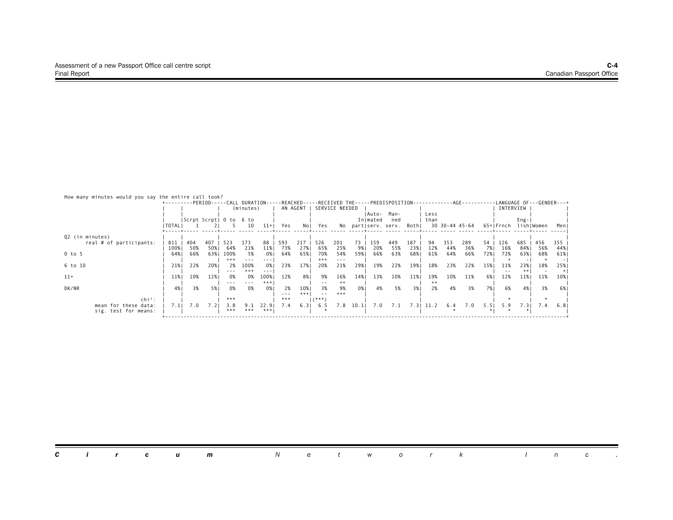| How many minutes would you say the entire call took? | +--------PERIOD-----CALL DURATION-----REACHED-----RECEIVED THE-----PREDISPOSITION-------------AGE--------- |            |             |                         | (minutes)             |                     |            | AN AGENT     |                        | SERVICE NEEDED         |            |                   |                                          |            |               |            |                |              | INTERVIEW  |                       | -LANGUAGE OF---GENDER---+ |            |
|------------------------------------------------------|------------------------------------------------------------------------------------------------------------|------------|-------------|-------------------------|-----------------------|---------------------|------------|--------------|------------------------|------------------------|------------|-------------------|------------------------------------------|------------|---------------|------------|----------------|--------------|------------|-----------------------|---------------------------|------------|
|                                                      | I TOTAL I                                                                                                  |            |             | Scrpt Scrpt  0 to 6 to  | 10                    | $11+$               | Yes        | No I         | Yes                    |                        |            | Auto-<br>In mated | Man-<br>ned<br>No partiserv. serv. Bothi |            | Less<br>than  |            | 30 30-44 45-64 |              | 65+ Frnch  | Eng-                  | lish Women                | Menl       |
| Q2 (in minutes)<br>real # of participants:           | 811                                                                                                        | 404        | 407         | 523                     | 173                   | 88                  | 593        |              | 526                    | 201                    | 73         | 159               | -449                                     | 187        |               | 353        | 289            | 54           | 126        | 685                   | 456                       | 355        |
| 0 to 5                                               | 100%<br>64%                                                                                                | 50%<br>66% | 50%<br>63%1 | 64%<br>100%<br>$^{+++}$ | 21%<br>5%<br>---      | 11%<br>0% I         | 73%<br>64% | 27%<br>65%   | 65%<br>70%<br>$^{+++}$ | 25%<br>54%<br>$- - -$  | 9%।<br>59% | 20%<br>66%        | 55%<br>63%                               | 23%<br>68% | 12%<br>61%    | 44%<br>64% | 36%<br>66%     | 7%  <br>72%1 | 16%<br>72% | 84%<br>63%            | 56%<br>68%                | 44%<br>61% |
| 6 to 10<br>$11+$                                     | 21%<br>11%                                                                                                 | 22%<br>10% | 20%<br>12%  | 2%<br>0%                | 100%<br>$^{++}$<br>0% | 0% I<br>---<br>100% | 23%<br>12% | 17%<br>8%    | 20%<br>9%              | 21%<br>16%             | 29%<br>14% | 19%<br>13%        | 22%<br>10%                               | 19%<br>11% | 18%<br>19%    | 23%<br>10% | 22%<br>11%     | 15%<br>6%    | 11%<br>12% | 23%<br>$^{++}$<br>11% | 18%<br>11%                | 25%<br>10% |
| DK/NR<br>$\mathsf{chi}^2$ :                          | 4%                                                                                                         | 3%         | 5% I        | $- - -$<br>0%<br>***    | ---<br>0%             | $^{+++}$<br>0% 1    | 2%<br>***  | 10%<br>$***$ | $ -$<br>3%<br>$($ ***) | $^{++}$<br>9%<br>$+++$ | 0% 1       | 4%                | 5%                                       | 3% I       | $^{++}$<br>2% | 4%         | 3%             | 7%1          | 6%         | 4%                    | 3%                        | -6%        |
| mean for these data:<br>sig. test for means:         | 7.1                                                                                                        | 7.0        |             | 3.8<br>***              | ***                   | ***                 |            | 6.3          | 6.5                    | 7.8                    | 10.1       | 7.0               | 7.1                                      | 7.31       | 11.2          | 6.4        | 7.0            | 5.51         | 5.9        | 7.3                   | 7.4                       | 6.8        |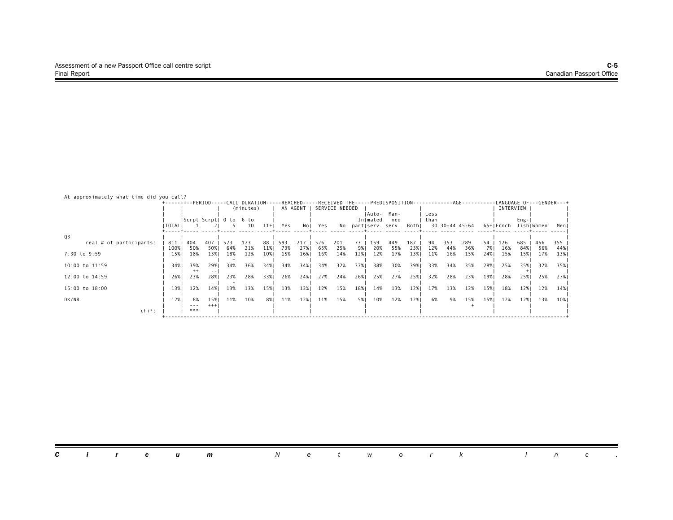| At approximately what time did you call? |             |                        |              |            |                                                                                                                                                 |           |            |            |            |                |          |                    |                           |            |              |                |            |          |            |            |            |            |
|------------------------------------------|-------------|------------------------|--------------|------------|-------------------------------------------------------------------------------------------------------------------------------------------------|-----------|------------|------------|------------|----------------|----------|--------------------|---------------------------|------------|--------------|----------------|------------|----------|------------|------------|------------|------------|
|                                          |             |                        |              |            | +---------PERIOD-----CALL DURATION-----REACHED-----RECEIVED THE-----PREDISPOSITION------------AGE---------LANGUAGE OF---GENDER---+<br>(minutes) |           |            | AN AGENT   |            | SERVICE NEEDED |          |                    |                           |            |              |                |            |          | INTERVIEW  |            |            |            |
|                                          |             | Scrpt Scrpt  0 to 6 to |              |            |                                                                                                                                                 |           |            |            |            |                |          | IAuto-<br>In mated | Man-<br>ned               |            | Less<br>than |                |            |          |            | $Eng -  $  |            |            |
|                                          | TOTAL       |                        |              | - 5 -      | 10                                                                                                                                              | $11+$     | Yes        |            | Nol Yes    |                |          |                    | No partiserv. serv. Bothi |            |              | 30 30-44 45-64 |            |          | 65+ Frnch  |            | lish Women | Menl       |
| Q3                                       |             |                        |              |            |                                                                                                                                                 |           |            |            |            |                |          |                    |                           |            |              |                |            |          |            |            |            |            |
| real # of participants:                  | 811<br>100% | 404<br>50%             | 407<br>50%   | 523<br>64% | 173<br>21%                                                                                                                                      | 88<br>11% | 593<br>73% | 217<br>27% | 526<br>65% | 201<br>25%     | 73<br>9% | 159<br>20%         | 449<br>55%                | 187<br>23% | 94<br>12%    | 353<br>44%     | 289<br>36% | 54<br>7% | 126<br>16% | 685<br>84% | 456<br>56% | 355<br>44% |
| 7:30 to 9:59                             | 15%         | 18%                    | 13%          | 18%        | 12%                                                                                                                                             | 10%       | 15%        | 16%        | 16%        | 14%            | 12%      | 12%                | 17%                       | 13%        | 11%          | 16%            | 15%        | 24%      | 15%        | 15%        | 17%        | 13%        |
| 10:00 to 11:59                           | 34%         | 39%<br>$^{++}$         | 29%<br>$- -$ | 34%        | 36%                                                                                                                                             | 34%1      | 34%        | 34%        | 34%        | 32%            | 37%      | 38%                | 30%                       | 39%        | 33%          | 34%            | 35%        | 28%      | 25%        | 35%        | 32%        | 35%        |
| 12:00 to 14:59                           | 26%         | 23%                    | 28%          | 23%        | 28%                                                                                                                                             | 33%       | 26%        | 24%1       | 27%        | 24%            | 26%      | 25%                | 27%                       | 25%        | 32%          | 28%            | 23%        | 19%      | 28%        | 25%        | 25%        | 27%        |
| 15:00 to 18:00                           | 13%         | 12%                    | 14%          | 13%        | 13%                                                                                                                                             | 15%       | 13%        | 13%        | 12%        | 15%            | 18%      | 14%                | 13%                       | 12%        | 17%          | 13%            | 12%        | 15%      | 18%        | 12%        | 12%        | 14%        |
| DK/NR                                    | 12%         | 8%<br>---              | 15%<br>$+++$ | 11%        | 10%                                                                                                                                             | 8% I      | 11%        | 12%        | 11%        | 15%            | 5%       | 10%                | 12%                       | 12%        | 6%           | 9%             | 15%        | 15%      | 12%        | 12%        | 13%        | 10%        |
| $\mathsf{chi}^2$ :                       |             | ***                    |              |            |                                                                                                                                                 |           |            |            |            |                |          |                    |                           |            |              |                |            |          |            |            |            |            |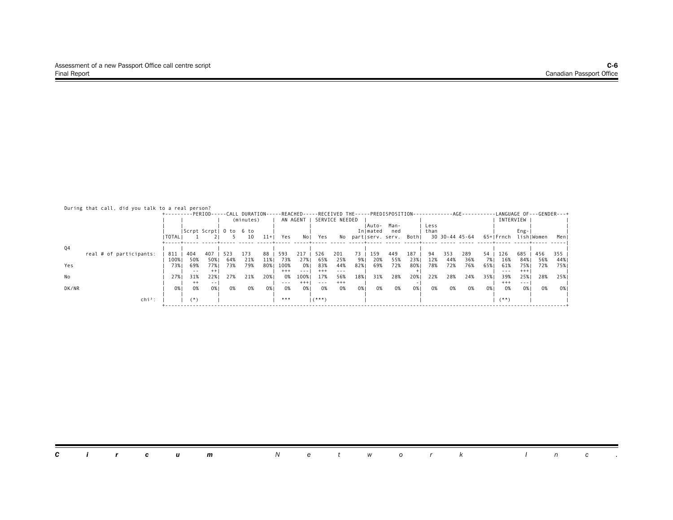|  |  |  |  |  |  |  |  |  | During that call, did you talk to a real person? |
|--|--|--|--|--|--|--|--|--|--------------------------------------------------|
|--|--|--|--|--|--|--|--|--|--------------------------------------------------|

|       |                         |           |         |                        |     | +---------PERIOD-----CALL DURATION-----REACHED-----RECEIVED THE-----PREDISPOSITION- |       |          |          |          |                |      |          |                           |       |      | -----------AGE---------- |     |      |           |          |            | -LANGUAGE OF---GENDER---+ |
|-------|-------------------------|-----------|---------|------------------------|-----|-------------------------------------------------------------------------------------|-------|----------|----------|----------|----------------|------|----------|---------------------------|-------|------|--------------------------|-----|------|-----------|----------|------------|---------------------------|
|       |                         |           |         |                        |     | (minutes)                                                                           |       |          | AN AGENT |          | SERVICE NEEDED |      |          |                           |       |      |                          |     |      | INTERVIEW |          |            |                           |
|       |                         |           |         |                        |     |                                                                                     |       |          |          |          |                |      | Auto-    | Man-                      |       | Less |                          |     |      |           |          |            |                           |
|       |                         |           |         | Scrpt Scrpt  0 to 6 to |     |                                                                                     |       |          |          |          |                |      | In mated | ned                       |       | than |                          |     |      |           | $Eng-$   |            |                           |
|       |                         | I TOTAL I |         |                        |     | 10                                                                                  | $11+$ | Yes      | No I     | Yes      |                |      |          | No partiserv. serv. Bothi |       |      | 30 30-44 45-64           |     |      | 65+ Frnch |          | lish Women | Menl                      |
|       |                         |           |         |                        |     |                                                                                     |       |          |          |          |                |      |          |                           |       |      |                          |     |      |           |          |            |                           |
| Q4    |                         |           |         |                        |     |                                                                                     |       |          |          |          |                |      |          |                           |       |      |                          |     |      |           |          |            |                           |
|       | real # of participants: | 811       | 404     | 407                    | 523 | 173                                                                                 | 88    | 593      | 217      | 526      | 201            | 73 I | 159      | 449                       | 187   | 94   | 353                      | 289 | 54   | 126       | 685      | 456        | 355                       |
|       |                         | 100%      | 50%     | 50%                    | 64% | 21%                                                                                 | 11%   | 73%      | 27%      | 65%      | 25%            | 9%   | 20%      | 55%                       | 23%   | 12%  | 44%                      | 36% | 7% 1 | 16%       | 84%      | 56%        | 44%                       |
| Yes   |                         | 73% I     | 69%     | 77% I                  | 73% | 79%                                                                                 | 80% I | 100%     | 0% I     | 83%      | 44%            | 82%  | 69%      | 72%                       | 80% I | 78%  | 72%                      | 76% | 65%  | 61%       | 75%      | 72%        | 75%                       |
|       |                         |           | $ -$    | $^{++}$                |     |                                                                                     |       | $^{+++}$ | $\cdots$ | $^{+++}$ | $- - -$        |      |          |                           |       |      |                          |     |      | $- - -$   | $^{+++}$ |            |                           |
| No    |                         | 27%       | 31%     | 22%                    | 27% | 21%                                                                                 | 20%   | 0%       | 100%     | 17%      | 56%            | 18%  | 31%      | 28%                       | 20%   | 22%  | 28%                      | 24% | 35%  | 39%       | 25%      | 28%        | 25%1                      |
|       |                         |           | $^{++}$ | - -                    |     |                                                                                     |       | $- - -$  | $+ + +$  |          | $^{+++}$       |      |          |                           |       |      |                          |     |      | $^{+++}$  | $- - -$  |            |                           |
| DK/NR |                         | 0%        | 0%      | 0%1                    | 0%  | 0%                                                                                  | 0% I  | 0%       | 0% I     | 0%       | 0%             | 0%   | 0%       | 0%                        | 0%    | 0%   | 0%                       | 0%  | 0%   | 0%        | 0% I     | 0%         | 0%                        |
|       |                         |           |         |                        |     |                                                                                     |       |          |          |          |                |      |          |                           |       |      |                          |     |      |           |          |            |                           |
|       | $\mathsf{chi}^2$ :      |           | ′* ∖    |                        |     |                                                                                     |       | ***      |          | $($ ***) |                |      |          |                           |       |      |                          |     |      | $($ **)   |          |            |                           |
|       |                         |           |         |                        |     |                                                                                     |       |          |          |          |                |      |          |                           |       |      |                          |     |      |           |          |            |                           |

|  |  |  |  |  |  | <b>Circum</b> Network Inc. |  |  |  |  |  |  |  |  |  |  |  |  |
|--|--|--|--|--|--|----------------------------|--|--|--|--|--|--|--|--|--|--|--|--|
|--|--|--|--|--|--|----------------------------|--|--|--|--|--|--|--|--|--|--|--|--|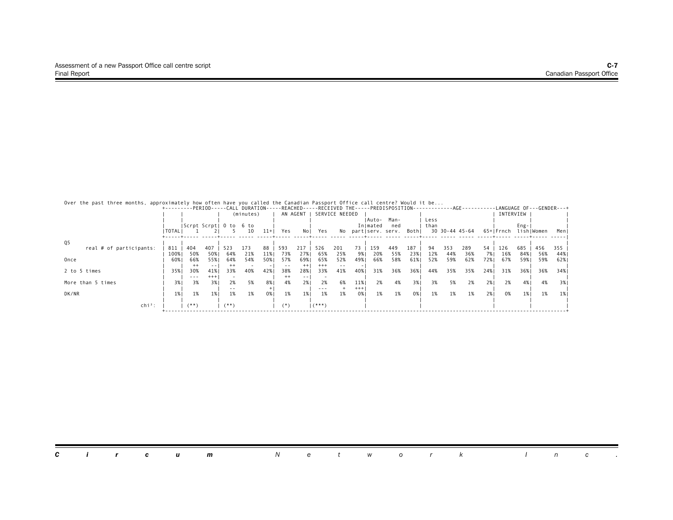| Over the past three months, approximately how often have you called the Canadian Passport Office call centre? Would it be |  |  |  |  |  |  |  |  |
|---------------------------------------------------------------------------------------------------------------------------|--|--|--|--|--|--|--|--|
|---------------------------------------------------------------------------------------------------------------------------|--|--|--|--|--|--|--|--|

|                         |           |               |          |                        |           |       |          |         |          |                |          |          |                           |     |      |     |                | +---------PERIOD-----CALL DURATION-----REACHED-----RECEIVED THE-----PREDISPOSITION-----------AGE---------LANGUAGE OF---GENDER---+ |           |      |            |        |
|-------------------------|-----------|---------------|----------|------------------------|-----------|-------|----------|---------|----------|----------------|----------|----------|---------------------------|-----|------|-----|----------------|-----------------------------------------------------------------------------------------------------------------------------------|-----------|------|------------|--------|
|                         |           |               |          |                        | (minutes) |       | AN AGENT |         |          | SERVICE NEEDED |          |          |                           |     |      |     |                |                                                                                                                                   | INTERVIEW |      |            |        |
|                         |           |               |          |                        |           |       |          |         |          |                |          |          | IAuto- Man-               |     | Less |     |                |                                                                                                                                   |           |      |            |        |
|                         |           |               |          | Scrpt Scrpt  0 to 6 to |           |       |          |         |          |                |          | Inlmated | ned                       |     | than |     |                |                                                                                                                                   |           | Eng- |            |        |
|                         | I TOTAL I |               |          |                        | 10        | $11+$ | Yes      | Nol     | Yes      |                |          |          | No partiserv. serv. Bothi |     |      |     | 30 30-44 45-64 |                                                                                                                                   | 65+ Frnch |      | lishIWomen | Menl   |
| Q5                      |           |               |          |                        |           |       |          |         |          |                |          |          |                           |     |      |     |                |                                                                                                                                   |           |      |            |        |
| real # of participants: | 811       | 404           | 407      | 523                    | 173       | 88    | 593      | 217     | 526      | 201            | 73       | 159      | 449                       | 187 | 94   | 353 | 289            | 54                                                                                                                                | 126       | 685  | 456        | 355    |
|                         | 100%      | 50%           | 50%      | 64%                    | 21%       | 11%   | 73%      | 27%     | 65%      | 25%            | 9%       | 20%      | 55%                       | 23% | 12%  | 44% | 36%            | 7% I                                                                                                                              | 16%       | 84%  | 56%        | 44%    |
| Once                    | 60%       | 66%           | 55%      | 64%                    | 54%       | 50%   | 57%      | 69%     | 65%      | 52%            | 49%      | 66%      | 58%                       | 61% | 52%  | 59% | 62%            | 72%1                                                                                                                              | 67%       | 59%  | 59%        | 62%    |
|                         |           | $^{++}$       | $- -$    | $^{++}$                |           |       | $ -$     | $^{++}$ | $^{+++}$ | $ -$           |          |          |                           |     |      |     |                |                                                                                                                                   |           |      |            |        |
| 2 to 5 times            | 35%       | 30%           | 41%      | 33%                    | 40%       | 42%   | 38%      | 28%     | 33%      | 41%            | 40%      | 31%      | 36%                       | 36% | 44%  | 35% | 35%            | 24%                                                                                                                               | 31%       | 36%  | 36%        | 34%    |
|                         |           | $\frac{1}{2}$ | $^{+++}$ |                        |           |       | $^{++}$  | $- -$   |          |                |          |          |                           |     |      |     |                |                                                                                                                                   |           |      |            |        |
| More than 5 times       | 3% 1      | 3%            | 3%       | 2%                     | 5%        | 8%    | 4%       | 2%1     | 2%       | 6%             | 11%      | 2%       | 4%                        | 3%1 | 3%   | 5%  | 2%             | 2%                                                                                                                                | 2%        | 4%   | 4%         | 3%     |
|                         |           |               |          |                        |           |       |          |         |          |                | $^{+++}$ |          |                           |     |      |     |                |                                                                                                                                   |           |      |            |        |
| DK/NR                   | 1%        | 1%            | 1%       | 1%                     | 1%        | 0%    | 1%       | 1%      | 1%       | 1%             | 0%       | 1%       | 1%                        | 0%  | 1%   | 1%  | 1%             | 2%1                                                                                                                               | 0%        | 1%   | 1%         | - 1% I |
| $chi^2$ :               |           | $(**)$        |          | (**)                   |           |       |          |         |          |                |          |          |                           |     |      |     |                |                                                                                                                                   |           |      |            |        |
|                         |           |               |          |                        |           |       | $(*)$    |         | $(***)$  |                |          |          |                           |     |      |     |                |                                                                                                                                   |           |      |            |        |

|  |  |  |  |  |  | <b>Circum</b> Network Inc. |  |  |  |  |  |  |  |  |  |  |  |
|--|--|--|--|--|--|----------------------------|--|--|--|--|--|--|--|--|--|--|--|
|--|--|--|--|--|--|----------------------------|--|--|--|--|--|--|--|--|--|--|--|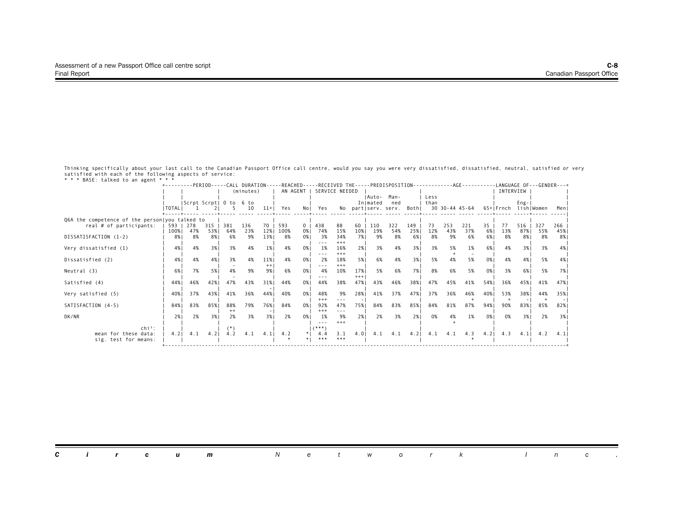| Brise, cachca co an anche                                          |               |            |                 |                   | (minutes)  |             | +---------PERIOD-----CALL DURATION-----REACHED-----RECEIVED THE-----PREDISPOSITION-----------AGE---------LANGUAGE OF---GENDER---+<br>AN AGENT |             |                        | SERVICE NEEDED |              |                    |                                    |            |              |                |            |          | INTERVIEW |            |            |            |
|--------------------------------------------------------------------|---------------|------------|-----------------|-------------------|------------|-------------|-----------------------------------------------------------------------------------------------------------------------------------------------|-------------|------------------------|----------------|--------------|--------------------|------------------------------------|------------|--------------|----------------|------------|----------|-----------|------------|------------|------------|
|                                                                    | I TOTAL I     |            |                 | Scrpt Scrpt  0 to | 6 to<br>10 | $11+$       | Yes                                                                                                                                           | No I        | Yes                    |                |              | IAuto-<br>Inlmated | Man-<br>ned<br>No partiserv. serv. | Bothl      | Less<br>than | 30 30-44 45-64 |            |          | 65+ Frnch | $Eng -  $  | lishIWomen | Meni       |
| Q6A the competence of the personlyou talked to                     |               |            |                 |                   |            |             |                                                                                                                                               |             |                        |                |              |                    |                                    |            |              |                |            |          |           |            |            |            |
| real # of participants:                                            | 593 1<br>100% | 278<br>47% | $315$  <br>53%1 | 381<br>64%        | 136<br>23% | 70 I<br>12% | 593<br>100%                                                                                                                                   | $0-1$<br>0% | 438<br>74%             | 88<br>15%      | 60<br>10%    | 110<br>19%         | 322<br>54%                         | 149<br>25% | 73<br>12%    | 253<br>43%     | 221<br>37% | 35<br>6% | 77<br>13% | 516<br>87% | 327<br>55% | 266<br>45% |
| DISSATISFACTION (1-2)                                              | 8%            | 8%         | 8%1             | 6%                | 9%         | 13%         | 8%                                                                                                                                            | 0%1         | 3%                     | 34%<br>$***$   | 7%1          | 9%                 | 8%                                 | 6% l       | 8%           | 9%             | 6%         | 6%       | 8%        | 8% I       | 8%         | 8%         |
| Very dissatisfied (1)                                              | 4%            | 4%         | 3%1             | 3%                | 4%         | 1%          | 4%                                                                                                                                            | 0%1         | 1%                     | 16%<br>$+++$   | 2%1          | 3%                 | 4%                                 | 3%1        | 3%           | 5%             | 1%         | 6%       | 4%        | 3%1        | 3%         | 4%         |
| Dissatisfied (2)                                                   | 4%            | 4%         | 4%              | 3%                | 4%         | 11%<br>$++$ | 4%                                                                                                                                            | 0%1         | 2%                     | 18%<br>$***$   | 5%           | 6%                 | 4%                                 | 3%1        | 5%           | 4%             | 5%         | 0%       | 4%        | 4%         | 5%         | 4% 1       |
| Neutral (3)                                                        | 6%            | 7%         | 5%              | 4%                | 9%         | 9%          | 6%                                                                                                                                            | 0%          | 4%                     | 10%            | 17%<br>$+++$ | 5%                 | 6%                                 | 7%         | 8%           | 6%             | 5%         | 0%       | 3%        | 6% 1       | 5%         | 7%         |
| Satisfied (4)                                                      | 44%           | 46%        | 42%             | 47%               | 43%        | 31%         | 44%                                                                                                                                           | 0%1         | 44%                    | 38%            | 47%          | 43%                | 46%                                | 38%        | 47%          | 45%            | 41%        | 54%      | 36%       | 45%1       | 41%        | 47%        |
| Very satisfied (5)                                                 | 40%           | 37%        | 43%             | 41%               | 36%        | 44%         | 40%                                                                                                                                           | 0%1         | 48%<br>$^{+++}$        | 9%<br>$- - -$  | 28%          | 41%                | 37%                                | 47%        | 37%          | 36%            | 46%        | 40%      | 53%       | 38%        | 44%        | 35%        |
| SATISFACTION (4-5)                                                 | 84%           | 83%        | 85%             | 88%<br>$^{++}$    | 79%        | 76%         | 84%                                                                                                                                           | 0%1         | 92%<br>$^{+++}$        | 47%<br>$- - -$ | 75%1         | 84%                | 83%                                | 85%        | 84%          | 81%            | 87%        | 94%1     | 90%       | 83%1       | 85%        | 82%        |
| DK/NR                                                              | 2%            | 2%         | 3%1             | 2%                | 3%         | 3%1         | 2%                                                                                                                                            | 0%1         | 1%<br>---              | 9%<br>$+++$    | 2% I         | 2%                 | 3%                                 | 2%1        | 0%           | 4%             | 1%         | 0%       | 0%        | 3%1        | 2%         | 3%1        |
| $\mathsf{chi}^2$ :<br>mean for these data:<br>sig. test for means: | 4.2           | 4.1        | 4.2             | 4.2               | 4.1        | 4.1         | 4.2                                                                                                                                           | $*1$        | $($ ***)<br>4.4<br>*** | 3.1<br>***     | 4.01         | 4.1                | 4.1                                | $4.2$      | 4.1          | 4.1            | 4.3        | 4.2      | 4.3       | 4.1        | 4.2        | 4.11       |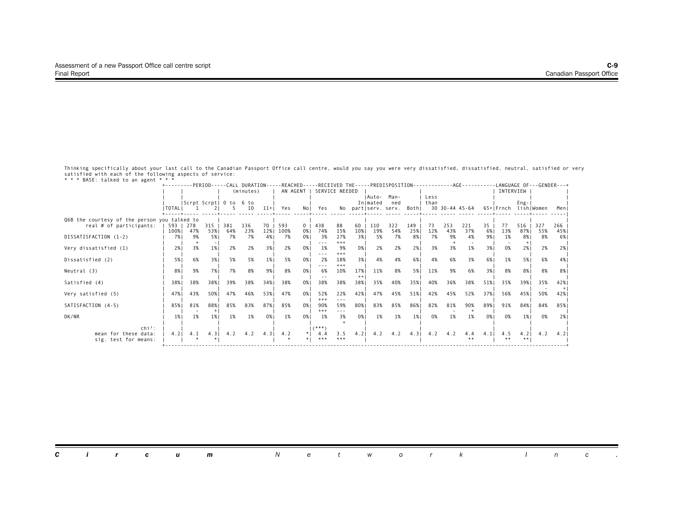| Brise, cachca co an anche                                          |               |            |                 |                   | (minutes)  |             | +---------PERIOD-----CALL DURATION-----REACHED-----RECEIVED THE-----PREDISPOSITION-----------AGE---------LANGUAGE OF---GENDER---+<br>AN AGENT |             | SERVICE NEEDED        |                |                |                    |                                    |            |              |                |            |          | INTERVIEW |               |            |            |
|--------------------------------------------------------------------|---------------|------------|-----------------|-------------------|------------|-------------|-----------------------------------------------------------------------------------------------------------------------------------------------|-------------|-----------------------|----------------|----------------|--------------------|------------------------------------|------------|--------------|----------------|------------|----------|-----------|---------------|------------|------------|
|                                                                    | I TOTAL I     |            |                 | Scrpt Scrpt  O to | 6 to<br>10 | $11+$       | Yes                                                                                                                                           | No I        | Yes                   |                |                | IAuto-<br>Inlmated | Man-<br>ned<br>No partiserv. serv. | Bothl      | Less<br>than | 30 30-44 45-64 |            |          | 65+ Frnch | $Eng -  $     | lishIWomen | Meni       |
|                                                                    |               |            |                 |                   |            |             |                                                                                                                                               |             |                       |                |                |                    |                                    |            |              |                |            |          |           |               |            |            |
| Q6B the courtesy of the person you talked to                       |               |            |                 |                   |            |             |                                                                                                                                               |             |                       |                |                |                    |                                    |            |              |                |            |          |           |               |            |            |
| real # of participants:                                            | 593  <br>100% | 278<br>47% | $315$  <br>53%1 | 381<br>64%        | 136<br>23% | 70 I<br>12% | 593<br>100%                                                                                                                                   | $0-1$<br>0% | 438<br>74%            | 88<br>15%      | 60<br>10%      | 110<br>19%         | 322<br>54%                         | 149<br>25% | 73<br>12%    | 253<br>43%     | 221<br>37% | 35<br>6% | 77<br>13% | 516<br>87%    | 327<br>55% | 266<br>45% |
| DISSATISFACTION (1-2)                                              | 7% I          | 9%         | 5% I            | 7%                | 7%         | 4%          | 7%                                                                                                                                            | 0%1         | 3%                    | 27%<br>$+++$   | 3%             | 5%                 | 7%                                 | 8%         | 7%           | 9%             | 4%         | 9%       | 1%        | 8% I          | 8%         | 6% 1       |
| Very dissatisfied (1)                                              | 2%1           | 3%         | 1%              | 2%                | 2%         | 3% 1        | 2%                                                                                                                                            | 0%1         | 1%                    | 9%<br>$+++$    | 0% 1           | 2%                 | 2%                                 | 2%1        | 3%           | 3%             | 1%         | 3%       | 0%        | 2%1           | 2%         | 2%1        |
| Dissatisfied (2)                                                   | 5%            | 6%         | 3%1             | 5%                | 5%         | 1%          | 5%                                                                                                                                            | 0%1         | 2%                    | 18%<br>$***$   | 3%1            | 4%                 | 4%                                 | 6%         | 4%           | 6%             | 3%         | 6%       | 1%        | 5%1           | 6%         | 4% 1       |
| Neutral (3)                                                        | 8%            | 9%         | 7% I            | 7%                | 8%         | 9%          | 8%                                                                                                                                            | 0%          | 6%                    | 10%            | 17%<br>$^{++}$ | 11%                | 8%                                 | 5%         | 11%          | 9%             | 6%         | 3%       | 8%        | 8%1           | 8%         | 8%         |
| Satisfied (4)                                                      | 38%           | 38%        | 38%             | 39%               | 38%        | 34%1        | 38%                                                                                                                                           | 0%1         | 38%                   | 38%            | 38%            | 35%                | 40%                                | 35%        | 40%          | 36%            | 38%        | 51%      | 35%       | 39%1          | 35%        | 42%        |
| Very satisfied (5)                                                 | 47%           | 43%        | 50%             | 47%               | 46%        | 53%         | 47%                                                                                                                                           | 0%1         | 52%<br>$^{+++}$       | 22%<br>$- - -$ | 42%            | 47%                | 45%                                | 51%        | 42%          | 45%            | 52%        | 37%      | 56%       | 45%           | 50%        | 42%        |
| SATISFACTION (4-5)                                                 | 85%           | 81%        | 88%             | 85%               | 83%        | 87%         | 85%                                                                                                                                           | 0%1         | 90%<br>$^{+++}$       | 59%<br>$- - -$ | 80%1           | 83%                | 85%                                | 86%        | 82%          | 81%            | 90%        | 89%      | 91%       | 84%1          | 84%        | 85% I      |
| DK/NR                                                              | 1%            | 1%         | 1%              | 1%                | 1%         | 0%          | 1%                                                                                                                                            | 0%1         | 1%                    | 3%             | 0% 1           | 1%                 | 1%                                 | 1%         | 0%           | 1%             | 1%         | 0%       | 0%        | 1%            | 0%         | 2% 1       |
| $\mathsf{chi}^2$ :<br>mean for these data:<br>sig. test for means: | 4.2           | 4.1        | $4.3$           | 4.2               | 4.2        | 4.3         | 4.2                                                                                                                                           | $*1$        | $(***)$<br>4.4<br>*** | 3.5<br>***     | $4.2$          | 4.2                | 4.2                                | 4.3        | 4.2          | 4.2            | 4.4        | 4.1      | 4.5<br>** | $4.2$  <br>** | 4.2        | 4.21       |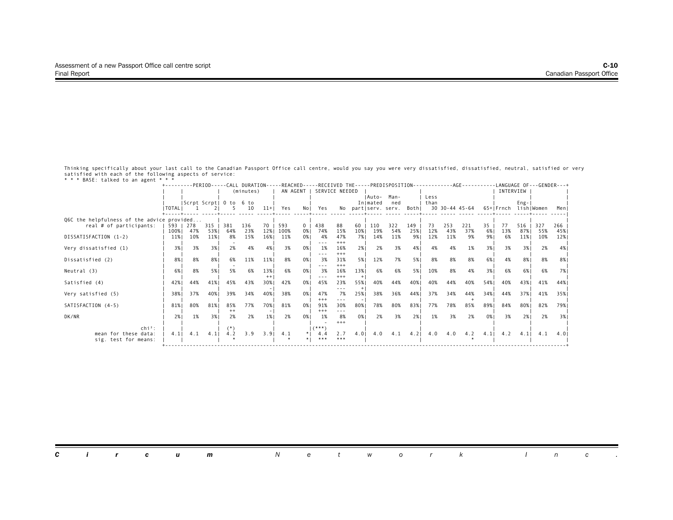|                                            |                   |     |                 |                        | (minutes)  |       | +---------PERIOD-----CALL DURATION-----REACHED-----RECEIVED THE-----PREDISPOSITION-----------AGE---------LANGUAGE OF---GENDER---+ |                      |                 | SERVICE NEEDED  |           |            |                  |            |           |                |            |            | INTERVIEW |                |            |            |
|--------------------------------------------|-------------------|-----|-----------------|------------------------|------------|-------|-----------------------------------------------------------------------------------------------------------------------------------|----------------------|-----------------|-----------------|-----------|------------|------------------|------------|-----------|----------------|------------|------------|-----------|----------------|------------|------------|
|                                            |                   |     |                 |                        |            |       |                                                                                                                                   | AN AGENT             |                 |                 |           | IAuto-     | Man-             |            | Less      |                |            |            |           |                |            |            |
|                                            |                   |     |                 | Scrpt Scrpt  0 to 6 to |            |       |                                                                                                                                   |                      |                 |                 |           | Inlmated   | ned              |            | than      |                |            |            |           | $Eng -  $      |            |            |
|                                            | <b>ITOTALI</b>    |     |                 |                        | 10         | $11+$ | Yes                                                                                                                               | No I                 | Yes             | No              |           |            | part serv. serv. | Bothl      |           | 30 30-44 45-64 |            |            | 65+ Frnch |                | lish Women | Meni       |
| Q6C the helpfulness of the advice provided |                   |     |                 |                        |            |       |                                                                                                                                   |                      |                 |                 |           |            |                  |            |           |                |            |            |           |                |            |            |
| real # of participants:                    | 593   278<br>100% | 47% | $315$  <br>53%1 | 381<br>64%             | 136<br>23% | 12%   | 70   593<br>100%                                                                                                                  | 0 <sup>1</sup><br>0% | 438<br>74%      | 88<br>15%       | 60<br>10% | 110<br>19% | 322<br>54%       | 149<br>25% | 73<br>12% | 253<br>43%     | 221<br>37% | 35<br>6% 1 | 77<br>13% | $516$  <br>87% | 327<br>55% | 266<br>45% |
| DISSATISFACTION (1-2)                      | 11%               | 10% | 11%             | 8%                     | 15%        | 16%   | 11%                                                                                                                               | 0%1                  | 4%              | 47%             | 7%1       | 14%        | 11%              | 9% I       | 12%       | 11%            | 9%         | 9%         | 6%        | 11%            | 10%        | 12%        |
|                                            |                   |     |                 |                        |            |       |                                                                                                                                   |                      |                 | $***$           |           |            |                  |            |           |                |            |            |           |                |            |            |
| Very dissatisfied (1)                      | 3%1               | 3%  | 3%              | 2%                     | 4%         | 4%    | 3%                                                                                                                                | 0%                   | 1%              | 16%<br>$+++$    | 2%        | 2%         | 3%               | 4%         | 4%        | 4%             | 1%         | 3%         | 3%        | 3%1            | 2%         | 4%         |
| Dissatisfied (2)                           | 8%                | 8%  | 8%1             | 6%                     | 11%        | 11%   | 8%                                                                                                                                | 0%1                  | 3%              | 31%             | 5% 1      | 12%        | 7%               | 5%         | 8%        | 8%             | 8%         | 6%         | 4%        | 8%             | 8%         | 8%         |
| Neutral (3)                                | 6%                | 8%  | 5%1             | 5%                     | 6%         | 13%   | 6%                                                                                                                                | 0%                   | 3%              | $^{+++}$<br>16% | 13%       | 6%         | 6%               | 5%         | 10%       | 8%             | 4%         | 3%         | 6%        | 6% 1           | 6%         | 7%         |
|                                            |                   |     |                 |                        |            | $++$  |                                                                                                                                   |                      |                 | $^{+++}$        | $+$       |            |                  |            |           |                |            |            |           |                |            |            |
| Satisfied (4)                              | 42%               | 44% | 41%             | 45%                    | 43%        | 30%   | 42%                                                                                                                               | 0%1                  | 45%             | 23%             | 55%1      | 40%        | 44%              | 40%        | 40%       | 44%            | 40%        | 54%        | 40%       | 43%1           | 41%        | 44%        |
| Very satisfied (5)                         | 38%               | 37% | 40%             | 39%                    | 34%        | 40%   | 38%                                                                                                                               | 0%1                  | 47%             | ---<br>7%       | 25%       | 38%        | 36%              | 44%        | 37%       | 34%            | 44%        | 34%        | 44%       | 37%1           | 41%        | 35%1       |
|                                            |                   |     |                 |                        |            |       |                                                                                                                                   |                      | $^{+++}$        | $- - -$         |           |            |                  |            |           |                |            |            |           |                |            |            |
| SATISFACTION (4-5)                         | 81%               | 80% | 81%             | 85%<br>$^{++}$         | 77%        | 70%   | 81%                                                                                                                               | 0%1                  | 91%<br>$^{+++}$ | 30%<br>$- - -$  | 80%       | 78%        | 80%              | 83%        | 77%       | 78%            | 85%        | 89%        | 84%       | 80%            | 82%        | 79%1       |
| DK/NR                                      | 2%                | 1%  | 3%1             | 2%                     | 2%         | 1%    | 2%                                                                                                                                | 0%1                  | 1%              | 8%              | 0%        | 2%         | 3%               | 2%1        | 1%        | 3%             | 2%         | 0%         | 3%        | 2%1            | 2%         | 3%1        |
|                                            |                   |     |                 |                        |            |       |                                                                                                                                   |                      | $($ ***)        | $+++$           |           |            |                  |            |           |                |            |            |           |                |            |            |
| $\mathsf{chi}^2$ :<br>mean for these data: | 4.1               | 4.1 | $4.1$           | $^{(*)}$<br>4.2        | 3.9        | 3.91  | 4.1                                                                                                                               | $*1$                 | 4.4             | 2.7             | 4.01      | 4.0        | 4.1              | $4.2$      | 4.0       | 4.0            | 4.2        | 4.1        | 4.2       | 4.1            | 4.1        | 4.01       |
| sig. test for means:                       |                   |     |                 |                        |            |       |                                                                                                                                   |                      | ***             | ***             |           |            |                  |            |           |                |            |            |           |                |            |            |
|                                            |                   |     |                 |                        |            |       |                                                                                                                                   |                      |                 |                 |           |            |                  |            |           |                |            |            |           |                |            |            |

| <b>Circum</b> Network |  |
|-----------------------|--|
|-----------------------|--|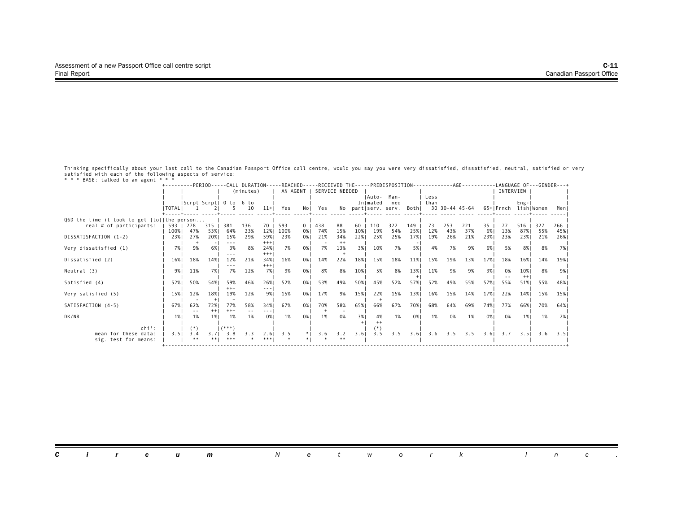| Brise, cachca co an anche                   |                   |                                                                                                                                                                                                                                                                                                                                                                                                     |                |                 | (minutes)            |                | +---------PERIOD-----CALL DURATION-----REACHED-----RECEIVED THE-----PREDISPOSITION-----------AGE---------LANGUAGE OF---GENDER---+<br>AN AGENT |             |            | SERVICE NEEDED |           |                    |                     |            |              |            |                |          | INTERVIEW |                |            |            |
|---------------------------------------------|-------------------|-----------------------------------------------------------------------------------------------------------------------------------------------------------------------------------------------------------------------------------------------------------------------------------------------------------------------------------------------------------------------------------------------------|----------------|-----------------|----------------------|----------------|-----------------------------------------------------------------------------------------------------------------------------------------------|-------------|------------|----------------|-----------|--------------------|---------------------|------------|--------------|------------|----------------|----------|-----------|----------------|------------|------------|
|                                             |                   | Scrpt Scrpt  0 to 6 to                                                                                                                                                                                                                                                                                                                                                                              |                |                 |                      |                |                                                                                                                                               |             |            |                |           | IAuto-<br>Inlmated | Man-<br>ned         |            | Less<br>than |            |                |          |           | $Eng-$         |            |            |
|                                             | I TOTAL I         |                                                                                                                                                                                                                                                                                                                                                                                                     |                |                 | 10                   | $11+$          | Yes                                                                                                                                           | No I        | Yes        |                |           |                    | No partiserv. serv. | Bothl      |              |            | 30 30-44 45-64 |          | 65+ Frnch |                | lishlWomen | Meni       |
| Q6D the time it took to get [to] the person |                   |                                                                                                                                                                                                                                                                                                                                                                                                     |                |                 |                      |                |                                                                                                                                               |             |            |                |           |                    |                     |            |              |            |                |          |           |                |            |            |
| real # of participants:                     | 593   278<br>100% | 47%                                                                                                                                                                                                                                                                                                                                                                                                 | $315$  <br>53% | -381<br>64%     | 136<br>23%           | 12%            | 70   593<br>100%                                                                                                                              | $0-1$<br>0% | 438<br>74% | 88<br>15%      | 60<br>10% | 110<br>19%         | 322<br>54%          | 149<br>25% | 73<br>12%    | 253<br>43% | 221<br>37%     | 35<br>6% | 77<br>13% | 516<br>87%     | 327<br>55% | 266<br>45% |
| DISSATISFACTION (1-2)                       | 23%               | 27%                                                                                                                                                                                                                                                                                                                                                                                                 | 20%            | 15%<br>$- - -$  | 29%                  | 59%1<br>$+++$  | 23%                                                                                                                                           | 0%1         | 21%        | 34%<br>$++$    | 22%       | 25%                | 25%                 | 17%        | 19%          | 26%        | 21%            | 23%      | 23%       | 23%1           | 21%        | 26%1       |
| Very dissatisfied (1)                       | 7%1               | 9%                                                                                                                                                                                                                                                                                                                                                                                                  | 6% 1           | 3%              | 8%                   | 24%<br>$+++$   | 7%                                                                                                                                            | 0%1         | 7%         | 13%            | 3%1       | 10%                | 7%                  | 5%         | 4%           | 7%         | 9%             | 6%       | 5%        | 8% I           | 8%         | 7% I       |
| Dissatisfied (2)                            | 16%               | 18%                                                                                                                                                                                                                                                                                                                                                                                                 | 14%            | 12%             | 21%                  | 34% 1<br>$+++$ | 16%                                                                                                                                           | 0%1         | 14%        | 22%            | 18%       | 15%                | 18%                 | 11%        | 15%          | 19%        | 13%            | 17%      | 18%       | 16%            | 14%        | 19%        |
| Neutral (3)                                 | 9% I              | 11%                                                                                                                                                                                                                                                                                                                                                                                                 | 7% I           | 7%              | 12%                  | 7% I           | 9%                                                                                                                                            | 0%          | 8%         | 8%             | 10%       | 5%                 | 8%                  | 13%        | 11%          | 9%         | 9%             | 3%       | 0%        | 10%<br>$^{++}$ | 8%         | 9%         |
| Satisfied (4)                               | 52%               | 50%                                                                                                                                                                                                                                                                                                                                                                                                 | 54%1           | 59%<br>$***$    | 46%                  | 26%            | 52%                                                                                                                                           | 0%1         | 53%        | 49%            | 50%       | 45%                | 52%                 | 57%        | 52%          | 49%        | 55%            | 57%      | 55%       | 51%            | 55%        | 48% I      |
| Very satisfied (5)                          | 15%               | 12%                                                                                                                                                                                                                                                                                                                                                                                                 | 18%            | 19%             | 12%                  | 9% I           | 15%                                                                                                                                           | 0%          | 17%        | 9%             | 15%       | 22%                | 15%                 | 13%        | 16%          | 15%        | 14%            | 17%      | 22%       | 14%            | 15%        | 15%        |
| SATISFACTION (4-5)                          | 67%               | 62%<br>$\frac{1}{2} \frac{1}{2} \frac{1}{2} \frac{1}{2} \frac{1}{2} \frac{1}{2} \frac{1}{2} \frac{1}{2} \frac{1}{2} \frac{1}{2} \frac{1}{2} \frac{1}{2} \frac{1}{2} \frac{1}{2} \frac{1}{2} \frac{1}{2} \frac{1}{2} \frac{1}{2} \frac{1}{2} \frac{1}{2} \frac{1}{2} \frac{1}{2} \frac{1}{2} \frac{1}{2} \frac{1}{2} \frac{1}{2} \frac{1}{2} \frac{1}{2} \frac{1}{2} \frac{1}{2} \frac{1}{2} \frac{$ | 72%1<br>$++$   | 77%<br>$^{+++}$ | 58%<br>$\frac{1}{2}$ | 34%1           | 67%                                                                                                                                           | 0%1         | 70%        | 58%            | 65%       | 66%                | 67%                 | 70%        | 68%          | 64%        | 69%            | 74%      | 77%       | 66% 1          | 70%        | 64% I      |
| DK/NR                                       | 1%                | 1%                                                                                                                                                                                                                                                                                                                                                                                                  | 1%             | 1%              | 1%                   | 0%             | 1%                                                                                                                                            | 0%1         | 1%         | 0%             | 3%1       | 4%                 | 1%                  | 0%         | 1%           | 0%         | 1%             | 0%       | 0%        | 1%             | 1%         | 2% 1       |
| $\mathsf{chi}^2$ :<br>mean for these data:  | 3.51              | $(*)$<br>3.4                                                                                                                                                                                                                                                                                                                                                                                        | 3.71           | $($ ***)<br>3.8 | 3.3                  | 2.61           | 3.5                                                                                                                                           | $*1$        | 3.6        | 3.2            | 3.61      | 3.5                | 3.5                 | 3.6        | 3.6          | 3.5        | 3.5            | 3.61     | 3.7       | 3.51           | 3.6        | 3.51       |
| sig. test for means:                        |                   | **                                                                                                                                                                                                                                                                                                                                                                                                  | **!            | ***             |                      | ***!           |                                                                                                                                               |             |            | **             |           |                    |                     |            |              |            |                |          |           |                |            |            |

| <b>Circum</b> Network |  |
|-----------------------|--|
|-----------------------|--|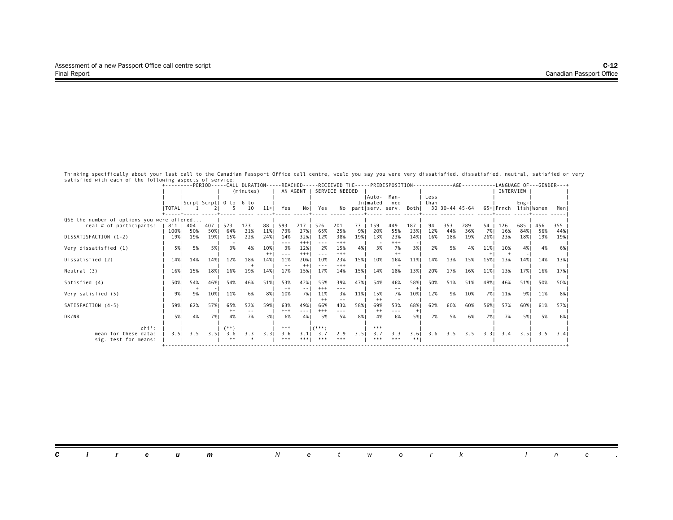|                                            |                |                        |            |                |           |                 |               |              |              |                |      |          |                     |       |      |     | +---------PERIOD-----CALL DURATION-----REACHED-----RECEIVED THE-----PREDISPOSITION-------------AGE--------- |      |                      |           | -LANGUAGE OF---GENDER---+ |       |
|--------------------------------------------|----------------|------------------------|------------|----------------|-----------|-----------------|---------------|--------------|--------------|----------------|------|----------|---------------------|-------|------|-----|-------------------------------------------------------------------------------------------------------------|------|----------------------|-----------|---------------------------|-------|
|                                            |                |                        |            |                | (minutes) |                 |               | AN AGENT I   |              | SERVICE NEEDED |      |          |                     |       |      |     |                                                                                                             |      | INTERVIEW            |           |                           |       |
|                                            |                |                        |            |                |           |                 |               |              |              |                |      | IAuto-   | Man-                |       | Less |     |                                                                                                             |      |                      |           |                           |       |
|                                            |                | Scrpt Scrpt  0 to 6 to |            |                |           |                 |               |              |              |                |      | Inlmated | ned                 |       | than |     |                                                                                                             |      |                      | $Eng -  $ |                           |       |
|                                            | <b>ITOTALI</b> |                        |            |                | 10        | $11+$           | Yes           | No I         | Yes          |                |      |          | No partiserv. serv. | Bothl |      |     | 30 30-44 45-64                                                                                              |      | 65+ Frnch lish Women |           |                           | Meni  |
| Q6E the number of options you were offered |                |                        |            |                |           |                 |               |              |              |                |      |          |                     |       |      |     |                                                                                                             |      |                      |           |                           |       |
| real # of participants:                    | 811   404      |                        | $407 \mid$ | 523            | 173       | 88 <sup>1</sup> | 593           | 217          | 526          | 201            | 73   | 159      | 449                 | 187   | 94   | 353 | 289                                                                                                         | 54   | 126                  | 685       | 456                       | 355   |
|                                            | 100%           | 50%                    | 50%        | 64%            | 21%       | 11%             | 73%           | 27%          | 65%          | 25%            | 9%1  | 20%      | 55%                 | 23%   | 12%  | 44% | 36%                                                                                                         | 7% I | 16%                  | 84% I     | 56%                       | 44%   |
| DISSATISFACTION (1-2)                      | 19%            | 19%                    | 19%        | 15%            | 22%       | 24%             | 14%           | 32%          | 12%          | 38%            | 19%  | 13%      | 23%                 | 14%   | 16%  | 18% | 19%                                                                                                         | 26%  | 23%                  | 18%       | 19%                       | 19%   |
|                                            |                |                        |            |                |           |                 | $- - -$<br>3% | $+++$        | 2%           | $+++$          |      |          | $+++$               | 3%1   | 2%   |     |                                                                                                             |      |                      |           | 4%                        |       |
| Very dissatisfied (1)                      | 5% 1           | 5%                     | 5%1        | 3%             | 4%        | 10%<br>$++$     | $- - -$       | 12%<br>$+++$ | $- - -$      | 15%<br>$+++$   | 4%   | 3%       | 7%<br>$++$          |       |      | 5%  | 4%                                                                                                          | 11%  | 10%                  | 4%        |                           | 6% 1  |
| Dissatisfied (2)                           | 14%            | 14%                    | 14%        | 12%            | 18%       | 14%             | 11%           | 20%          | 10%          | 23%            | 15%  | 10%      | 16%                 | 11%   | 14%  | 13% | 15%                                                                                                         | 15%  | 13%                  | 14%       | 14%                       | 13%   |
|                                            |                |                        |            |                |           |                 | $\sim$ $\sim$ | $++$         | $- - -$      | $+++$          |      |          |                     |       |      |     |                                                                                                             |      |                      |           |                           |       |
| Neutral (3)                                | 16%            | 15%                    | 18%        | 16%            | 19%       | 14%             | 17%           | 15%          | 17%          | 14%            | 15%  | 14%      | 18%                 | 13%   | 20%  | 17% | 16%                                                                                                         | 11%  | 13%                  | 17%       | 16%                       | 17%   |
|                                            |                |                        |            |                |           |                 |               |              |              |                |      |          |                     |       |      |     |                                                                                                             |      |                      |           |                           |       |
| Satisfied (4)                              | 50%            | 54%                    | 46%        | 54%            | 46%       | 51%             | 53%           | 42%          | 55%<br>$***$ | 39%            | 47%  | 54%      | 46%                 | 58%   | 50%  | 51% | 51%                                                                                                         | 48%  | 46%                  | 51%       | 50%                       | 50% I |
| Very satisfied (5)                         | 9% I           | 9%                     | 10%        | 11%            | 6%        | 8%              | $++$<br>10%   | $- -$<br>7%1 | 11%          | $- - -$<br>3%  | 11%  | 15%      | 7%                  | 10%   | 12%  | 9%  | 10%                                                                                                         | 7% 1 | 11%                  | 9% I      | 11%                       | 8%    |
|                                            |                |                        |            |                |           |                 |               |              | $++$         |                |      | $++$     |                     |       |      |     |                                                                                                             |      |                      |           |                           |       |
| SATISFACTION (4-5)                         | 59%1           | 62%                    | 57%1       | 65%            | 52%       | 59%1            | 63%           | 49%1         | 66%          | 43%            | 58%  | 69%      | 53%                 | 68%   | 62%  | 60% | 60%                                                                                                         | 56%  | 57%                  | 60% I     | 61%                       | 57%1  |
|                                            |                |                        |            | $^{++}$        |           |                 | $^{+++}$      | $- - - -$    | $^{+++}$     |                |      | $^{++}$  | ---                 | $+$   |      |     |                                                                                                             |      |                      |           |                           |       |
| DK/NR                                      | 5%             | 4%                     | 7%1        | 4%             | 7%        | 3%1             | 6%            | 4%1          | 5%           | 5%             | 8%   | 4%       | 6%                  | 5%    | 2%   | 5%  | 6%                                                                                                          | 7%1  | 7%                   | 5%1       | 5%                        | 6% 1  |
|                                            |                |                        |            |                |           |                 | ***           |              | $1^{(***)}$  |                |      | ***      |                     |       |      |     |                                                                                                             |      |                      |           |                           |       |
| $\mathsf{chi}^2$ :<br>mean for these data: | 3.51           | 3.5                    | 3.5        | $(***)$<br>3.6 | 3.3       | 3.31            | 3.6           | 3.1I         | 3.7          | 2.9            | 3.51 | 3.7      | 3.3                 | 3.6   | 3.6  |     | $3.5$ $3.5$                                                                                                 | 3.31 | 3.4                  | 3.51      | 3.5                       | 3.41  |
| sig. test for means:                       |                |                        |            |                |           |                 | ***           | ***!         | ***          | ***            |      | ***      | ***                 | **    |      |     |                                                                                                             |      |                      |           |                           |       |
|                                            |                |                        |            |                |           |                 |               |              |              |                |      |          |                     |       |      |     |                                                                                                             |      |                      |           |                           |       |

|  |  |  | <b>Circum</b> Network Inc. |  |  |  |  |  |  |
|--|--|--|----------------------------|--|--|--|--|--|--|
|  |  |  |                            |  |  |  |  |  |  |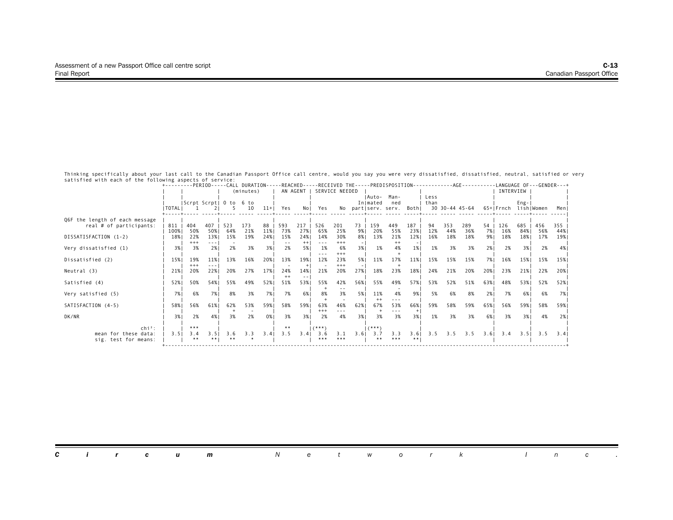|                                |           |           |      |                        |           |        |      |          |            |                |      |             |                     |       |      |     | +---------PERIOD-----CALL DURATION-----REACHED-----RECEIVED THE-----PREDISPOSITION-------------AGE--------- |      |                      |           |     | -LANGUAGE OF---GENDER---+ |
|--------------------------------|-----------|-----------|------|------------------------|-----------|--------|------|----------|------------|----------------|------|-------------|---------------------|-------|------|-----|-------------------------------------------------------------------------------------------------------------|------|----------------------|-----------|-----|---------------------------|
|                                |           |           |      |                        | (minutes) |        |      | AN AGENT |            | SERVICE NEEDED |      |             |                     |       |      |     |                                                                                                             |      | INTERVIEW            |           |     |                           |
|                                |           |           |      |                        |           |        |      |          |            |                |      | IAuto-      | Man-                |       | Less |     |                                                                                                             |      |                      |           |     |                           |
|                                |           |           |      | Scrpt Scrpt  0 to 6 to |           |        |      |          |            |                |      | Inlmated    | ned                 |       | than |     |                                                                                                             |      |                      | $Eng -  $ |     |                           |
|                                | I TOTAL I |           |      |                        | 10        | $11+1$ | Yes  |          | Nol Yes    |                |      |             | No partiserv. serv. | Bothl |      |     | 30 30-44 45-64                                                                                              |      | 65+ Frnch lish Women |           |     | Menl                      |
| Q6F the length of each message |           |           |      |                        |           |        |      |          |            |                |      |             |                     |       |      |     |                                                                                                             |      |                      |           |     |                           |
| real # of participants:        | 811       | 404       | 407  | 523                    | 173       | 88     | 593  | 217      | 526        | 201            | 73   | 159         | 449                 | 187   | 94   | 353 | 289                                                                                                         | 54   | 126                  | 685       | 456 | 355                       |
|                                | 100%      | 50%       | 50%  | 64%                    | 21%       | 11%    | 73%  | 27%1     | 65%        | 25%            | 9%   | 20%         | 55%                 | 23%   | 12%  | 44% | 36%                                                                                                         | 7% I | 16%                  | 84% I     | 56% | 44%                       |
| DISSATISFACTION (1-2)          | 18%       | 22%       | 13%  | 15%                    | 19%       | 24%1   | 15%  | 24%      | 14%        | 30%            | 8%   | 13%         | 21%                 | 12%   | 16%  | 18% | 18%                                                                                                         | 9%1  | 18%                  | 18%       | 17% | 19%                       |
|                                |           | $+++$     |      |                        |           |        |      | $++$     | $- - -$    | $+++$          |      |             | $^{++}$             |       |      |     |                                                                                                             |      |                      |           |     |                           |
| Very dissatisfied (1)          | 3%        | 3%        | 2%   | 2%                     | 3%        | 3%     | 2%   | 5%       | 1%         | 6%<br>$+++$    | 3%1  | 1%          | 4%                  | $1\%$ | 1%   | 3%  | 3%                                                                                                          | 2%   | 2%                   | 3%        | 2%  | 4%                        |
| Dissatisfied (2)               | 15%       | 19%       | 11%  | 13%                    | 16%       | 20%    | 13%  | 19%      | 12%        | 23%            | 5%   | 11%         | 17%                 | 11%   | 15%  | 15% | 15%                                                                                                         | 7% I | 16%                  | 15%       | 15% | 15%                       |
|                                |           | $+++$     |      |                        |           |        |      | $+1$     |            | $+++$          |      |             |                     |       |      |     |                                                                                                             |      |                      |           |     |                           |
| Neutral (3)                    | 21%       | 20%       | 22%  | 20%                    | 27%       | 17%    | 24%  | 14%      | 21%        | 20%            | 27%  | 18%         | 23%                 | 18%   | 24%  | 21% | 20%                                                                                                         | 20%  | 23%                  | 21%       | 22% | 20%                       |
|                                |           |           |      |                        |           |        | $++$ |          |            |                |      |             |                     |       |      |     |                                                                                                             |      |                      |           |     |                           |
| Satisfied (4)                  | 52%       | 50%       | 54%1 | 55%                    | 49%       | 52%    | 51%  | 53%      | 55%        | 42%            | 56%  | 55%         | 49%                 | 57%   | 53%  | 52% | 51%                                                                                                         | 63%  | 48%                  | 53%       | 52% | 52%                       |
|                                |           |           |      |                        |           |        |      |          |            |                |      |             |                     |       |      |     |                                                                                                             |      |                      |           |     |                           |
| Very satisfied (5)             | 7%1       | 6%        | 7%   | 8%                     | 3%        | 7%     | 7%   | 6%       | 8%         | 3%             | 5%   | 11%<br>$++$ | 4%                  | 9%    | 5%   | 6%  | 8%                                                                                                          | 2%   | 7%                   | 6%        | 6%  | 7% I                      |
| SATISFACTION (4-5)             | 58%       | 56%       | 61%  | 62%                    | 53%       | 59%    | 58%  | 59%      | 63%        | 46%            | 62%  | 67%         | 53%                 | 66%   | 59%  | 58% | 59%                                                                                                         | 65%  | 56%                  | 59%       | 58% | 59%                       |
|                                |           |           |      |                        |           |        |      |          | $^{++}$    |                |      |             |                     | $+$   |      |     |                                                                                                             |      |                      |           |     |                           |
| DK/NR                          | 3%1       | 2%        | 4%   | 3%                     | 2%        | 0% I   | 3%   | 3%       | 2%         | 4%             | 3%1  | 3%          | 3%                  | 3%1   | 1%   | 3%  | 3%                                                                                                          | 6% 1 | 3%                   | 3%1       | 4%  | 2%                        |
|                                |           |           |      |                        |           |        |      |          |            |                |      |             |                     |       |      |     |                                                                                                             |      |                      |           |     |                           |
| $chi^2$ :                      |           | ***       |      |                        |           |        | **   |          | $(***")$   |                |      | $(***")$    |                     |       |      |     |                                                                                                             |      |                      |           |     |                           |
| mean for these data:           | 3.51      | 3.4<br>** | 3.51 | 3.6                    | 3.3       | 3.4    | 3.5  | 3.41     | 3.6<br>*** | 3.1<br>***     | 3.61 | 3.7<br>**   | 3.3<br>***          | 3.6   | 3.5  |     | $3.5$ $3.5$                                                                                                 | 3.6  | 3.4                  | 3.51      | 3.5 | 3.41                      |
| sig. test for means:           |           |           |      |                        |           |        |      |          |            |                |      |             |                     | **    |      |     |                                                                                                             |      |                      |           |     |                           |
|                                |           |           |      |                        |           |        |      |          |            |                |      |             |                     |       |      |     |                                                                                                             |      |                      |           |     |                           |

| <b>Circum</b> Network Inc. |  |  |
|----------------------------|--|--|
|----------------------------|--|--|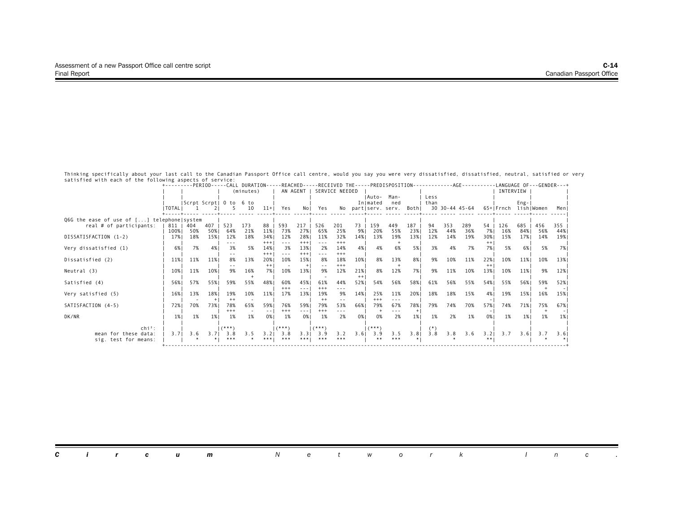|                                            | +---------PERIOD-----CALL DURATION-----REACHED-----RECEIVED THE-----PREDISPOSITION-- |                        |      |          |           |                                                                                 |              |                                                                                                                                                                                                                                                                                                                                                                                                                                                                            |              |                |      |          |                     |       | -------- |     | . - - AGE - - - - - - - - |      |                      |           |     | -LANGUAGE OF---GENDER---+ |
|--------------------------------------------|--------------------------------------------------------------------------------------|------------------------|------|----------|-----------|---------------------------------------------------------------------------------|--------------|----------------------------------------------------------------------------------------------------------------------------------------------------------------------------------------------------------------------------------------------------------------------------------------------------------------------------------------------------------------------------------------------------------------------------------------------------------------------------|--------------|----------------|------|----------|---------------------|-------|----------|-----|---------------------------|------|----------------------|-----------|-----|---------------------------|
|                                            |                                                                                      |                        |      |          | (minutes) |                                                                                 | AN AGENT     |                                                                                                                                                                                                                                                                                                                                                                                                                                                                            |              | SERVICE NEEDED |      |          |                     |       |          |     |                           |      | INTERVIEW            |           |     |                           |
|                                            |                                                                                      |                        |      |          |           |                                                                                 |              |                                                                                                                                                                                                                                                                                                                                                                                                                                                                            |              |                |      | IAuto-   | Man-                |       | Less     |     |                           |      |                      |           |     |                           |
|                                            |                                                                                      | Scrpt Scrpt  0 to 6 to |      |          |           |                                                                                 |              |                                                                                                                                                                                                                                                                                                                                                                                                                                                                            |              |                |      | Inlmated | ned                 |       | than     |     |                           |      |                      | $Eng -  $ |     |                           |
|                                            | I TOTAL I                                                                            |                        |      |          | 10        | $11+1$                                                                          | Yes          |                                                                                                                                                                                                                                                                                                                                                                                                                                                                            | Nol Yes      |                |      |          | No partiserv. serv. | Bothl |          |     | 30 30-44 45-64            |      | 65+IFrnch lishIWomen |           |     | Menl                      |
| Q6G the ease of use of [] telephone system |                                                                                      |                        |      |          |           |                                                                                 |              |                                                                                                                                                                                                                                                                                                                                                                                                                                                                            |              |                |      |          |                     |       |          |     |                           |      |                      |           |     |                           |
| real # of participants:                    | 811                                                                                  | 404                    | 407  | 523      | 173       | 88                                                                              | 593          | 217                                                                                                                                                                                                                                                                                                                                                                                                                                                                        | 526          | 201            | 73   | 159      | 449                 | 187   | 94       | 353 | 289                       | 54   | 126                  | 685       | 456 | 355                       |
|                                            | 100%                                                                                 | 50%                    | 50%  | 64%      | 21%       | 11%                                                                             | 73%          | 27%                                                                                                                                                                                                                                                                                                                                                                                                                                                                        | 65%          | 25%            | 9%।  | 20%      | 55%                 | 23%   | 12%      | 44% | 36%                       | 7% I | 16%                  | 84% I     | 56% | 44%                       |
| DISSATISFACTION (1-2)                      | 17%                                                                                  | 18%                    | 15%  | 12%      | 18%       | 34%                                                                             | 12%          | 28%                                                                                                                                                                                                                                                                                                                                                                                                                                                                        | 11%          | 32%            | 14%  | 13%      | 19%                 | 13%   | 12%      | 14% | 19%                       | 30%  | 15%                  | 17%       | 14% | 19%                       |
|                                            |                                                                                      |                        |      | ---      |           | $^{+++}$                                                                        | $- - -$      | $+++$                                                                                                                                                                                                                                                                                                                                                                                                                                                                      | $- - -$      | $+++$          |      |          |                     |       |          |     |                           |      |                      |           |     |                           |
| Very dissatisfied (1)                      | 6%                                                                                   | 7%                     | 4%   | 3%       | 5%        | 14%                                                                             | 3%           | 13%                                                                                                                                                                                                                                                                                                                                                                                                                                                                        | 2%           | 14%            | 4%   | 4%       | 6%                  | 5%    | 3%       | 4%  | 7%                        | 7%   | 5%                   | 6%        | 5%  | 7% I                      |
|                                            |                                                                                      |                        |      |          |           | $+++$                                                                           | ---          | $+++$                                                                                                                                                                                                                                                                                                                                                                                                                                                                      | $- - -$      | $***$          |      |          |                     |       |          |     |                           |      |                      |           |     |                           |
| Dissatisfied (2)                           | 11%                                                                                  | 11%                    | 11%  | 8%       | 13%       | 20%                                                                             | 10%          | 15%                                                                                                                                                                                                                                                                                                                                                                                                                                                                        | 8%           | 18%            | 10%  | 8%       | 13%                 | 8%    | 9%       | 10% | 11%                       | 22%  | 10%                  | 11%       | 10% | 13%                       |
|                                            |                                                                                      |                        |      |          |           | $^{++}$                                                                         |              | $+$                                                                                                                                                                                                                                                                                                                                                                                                                                                                        |              | $+++$          |      |          |                     |       |          |     |                           | $++$ |                      |           |     |                           |
| Neutral (3)                                | 10%                                                                                  | 11%                    | 10%  | 9%       | 16%       | 7% I                                                                            | 10%          | 13%                                                                                                                                                                                                                                                                                                                                                                                                                                                                        | 9%           | 12%            | 21%  | 8%       | 12%                 | 7%    | 9%       | 11% | 10%                       | 13%  | 10%                  | 11%       | 9%  | 12%                       |
|                                            |                                                                                      |                        |      |          |           |                                                                                 |              |                                                                                                                                                                                                                                                                                                                                                                                                                                                                            |              |                | $++$ |          |                     |       |          |     |                           |      |                      |           |     |                           |
| Satisfied (4)                              | 56%                                                                                  | 57%                    | 55%  | 59%      | 55%       | 48%                                                                             | 60%<br>$+++$ | 45%<br>---                                                                                                                                                                                                                                                                                                                                                                                                                                                                 | 61%<br>$+++$ | 44%<br>---     | 52%  | 54%      | 56%                 | 58%   | 61%      | 56% | 55%                       | 54%1 | 55%                  | 56%       | 59% | 52%                       |
| Very satisfied (5)                         | 16%                                                                                  | 13%                    | 18%  | 19%      | 10%       | 11%                                                                             | 17%          | 13%                                                                                                                                                                                                                                                                                                                                                                                                                                                                        | 19%          | 9%             | 14%  | 25%      | 11%                 | 20%   | 18%      | 18% | 15%                       | 4%   | 19%                  | 15%       | 16% | 15%                       |
|                                            |                                                                                      |                        |      | $++$     |           |                                                                                 |              |                                                                                                                                                                                                                                                                                                                                                                                                                                                                            | $++$         |                |      | $+++$    | $- - -$             |       |          |     |                           |      |                      |           |     |                           |
| SATISFACTION (4-5)                         | 72%1                                                                                 | 70%                    | 73%1 | 78%      | 65%       | 59%                                                                             | 76%          | 59%                                                                                                                                                                                                                                                                                                                                                                                                                                                                        | 79%          | 53%            | 66%  | 79%      | 67%                 | 78%   | 79%      | 74% | 70%                       | 57%1 | 74%                  | 71%       | 75% | 67%                       |
|                                            |                                                                                      |                        |      | $+++$    |           | $\frac{1}{2} \left( \frac{1}{2} \right) \frac{1}{2} \left( \frac{1}{2} \right)$ | $+++$        | $\frac{1}{2} \left( \frac{1}{2} \right) \left( \frac{1}{2} \right) \left( \frac{1}{2} \right) \left( \frac{1}{2} \right) \left( \frac{1}{2} \right) \left( \frac{1}{2} \right) \left( \frac{1}{2} \right) \left( \frac{1}{2} \right) \left( \frac{1}{2} \right) \left( \frac{1}{2} \right) \left( \frac{1}{2} \right) \left( \frac{1}{2} \right) \left( \frac{1}{2} \right) \left( \frac{1}{2} \right) \left( \frac{1}{2} \right) \left( \frac{1}{2} \right) \left( \frac$ | $***$        |                |      |          |                     | $+$   |          |     |                           |      |                      |           |     |                           |
| DK/NR                                      | 1%                                                                                   | 1%                     | 1%   | 1%       | 1%        | 0%1                                                                             | 1%           | 0%                                                                                                                                                                                                                                                                                                                                                                                                                                                                         | 1%           | 2%             | 0% I | 0%       | 2%                  | 1%    | 1%       | 2%  | 1%                        | 0%1  | 1%                   | 1%        | 1%  | 1%                        |
|                                            |                                                                                      |                        |      |          |           |                                                                                 |              |                                                                                                                                                                                                                                                                                                                                                                                                                                                                            |              |                |      |          |                     |       |          |     |                           |      |                      |           |     |                           |
| $\mathsf{chi}^2$ :                         |                                                                                      |                        |      | $(***")$ |           |                                                                                 | $(***")$     |                                                                                                                                                                                                                                                                                                                                                                                                                                                                            | $(***")$     |                |      | $(***)$  |                     |       |          |     |                           |      |                      |           |     |                           |
| mean for these data:                       | 3.71                                                                                 | 3.6                    | 3.71 | 3.8      | 3.5       | 3.21                                                                            | 3.8          | 3.3                                                                                                                                                                                                                                                                                                                                                                                                                                                                        | 3.9          | 3.2            | 3.61 | 3.9      | 3.5                 | 3.81  | 3.8      | 3.8 | 3.6                       | 3.21 | 3.7                  | 3.61      | 3.7 | 3.61                      |
| sig. test for means:                       |                                                                                      |                        |      |          |           |                                                                                 | ***          | ***!                                                                                                                                                                                                                                                                                                                                                                                                                                                                       | ***          | ***            |      | **       | ***                 |       |          |     |                           |      |                      |           |     |                           |
|                                            |                                                                                      |                        |      |          |           |                                                                                 |              |                                                                                                                                                                                                                                                                                                                                                                                                                                                                            |              |                |      |          |                     |       |          |     |                           |      |                      |           |     |                           |

| <b>Circum</b> Network |  |
|-----------------------|--|
|-----------------------|--|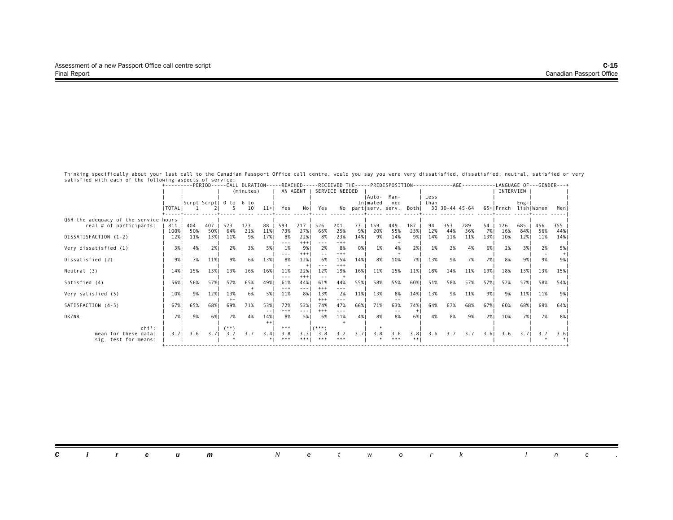|                                       | +---------PERIOD-----CALL DURATION-----REACHED-----RECEIVED THE-----PREDISPOSITION-------------AGE--------- |     |      |                        |           |       |            |                                                                                                                           |            |                |      |          |                           |      |      |     |                |      |                      |           |     | -LANGUAGE OF---GENDER---+ |
|---------------------------------------|-------------------------------------------------------------------------------------------------------------|-----|------|------------------------|-----------|-------|------------|---------------------------------------------------------------------------------------------------------------------------|------------|----------------|------|----------|---------------------------|------|------|-----|----------------|------|----------------------|-----------|-----|---------------------------|
|                                       |                                                                                                             |     |      |                        | (minutes) |       | AN AGENT   |                                                                                                                           |            | SERVICE NEEDED |      |          |                           |      |      |     |                |      | INTERVIEW            |           |     |                           |
|                                       |                                                                                                             |     |      |                        |           |       |            |                                                                                                                           |            |                |      | IAuto-   | Man-                      |      | Less |     |                |      |                      |           |     |                           |
|                                       |                                                                                                             |     |      | Scrpt Scrpt  0 to 6 to |           |       |            |                                                                                                                           |            |                |      | Inlmated | ned                       |      | than |     |                |      |                      | $Eng -  $ |     |                           |
|                                       | <b>I TOTAL I</b>                                                                                            |     |      |                        | 10        |       | $11+$ Yes  | No I                                                                                                                      | Yes        |                |      |          | No partiserv. serv. Bothi |      |      |     | 30 30-44 45-64 |      | 65+ Frnch lish Women |           |     | Meni                      |
| Q6H the adequacy of the service hours |                                                                                                             |     |      |                        |           |       |            |                                                                                                                           |            |                |      |          |                           |      |      |     |                |      |                      |           |     |                           |
| real # of participants:               | $811$                                                                                                       | 404 | 407  | 523                    | 173       | 88    | 593        | 217                                                                                                                       | 526        | 201            | 73   | 159      | 449                       | 187  | 94   | 353 | 289            | 54   | 126                  | 685       | 456 | 355                       |
|                                       | 100%                                                                                                        | 50% | 50%  | 64%                    | 21%       | 11%   | 73%        | 27%                                                                                                                       | 65%        | 25%            | 9%   | 20%      | 55%                       | 23%  | 12%  | 44% | 36%            | 7% I | 16%                  | 84%       | 56% | 44%                       |
| DISSATISFACTION (1-2)                 | 12%                                                                                                         | 11% | 13%  | 11%                    | 9%        | 17%   | 8%         | 22%                                                                                                                       | 8%         | 23%            | 14%  | 9%       | 14%                       | 9%   | 14%  | 11% | 11%            | 13%  | 10%                  | 12%       | 11% | 14%                       |
|                                       |                                                                                                             |     |      |                        |           |       | ---        | $+++$                                                                                                                     |            | $+++$          |      |          |                           |      |      |     |                |      |                      |           |     |                           |
| Very dissatisfied (1)                 | 3%                                                                                                          | 4%  | 2%   | 2%                     | 3%        | 5% I  | 1%         | 9%                                                                                                                        | 2%         | 8%             | 0%   | 1%       | 4%                        | 2%   | 1%   | 2%  | 4%             | 6% I | 2%                   | 3%        | 2%  | 5%                        |
|                                       |                                                                                                             |     |      |                        |           |       |            | $+++$                                                                                                                     |            | $^{+++}$       |      |          |                           |      |      |     |                |      | 8%                   |           |     |                           |
| Dissatisfied (2)                      | 9%                                                                                                          | 7%  | 11%  | 9%                     | 6%        | 13%   | 8%         | 12%                                                                                                                       | 6%         | 15%<br>$***$   | 14%  | 8%       | 10%                       | 7%   | 13%  | 9%  | 7%             | 7%1  |                      | 9%        | 9%  | 9%                        |
| Neutral (3)                           | 14%                                                                                                         | 15% | 13%  | 13%                    | 16%       | 16%   | 11%        | 22%                                                                                                                       | 12%        | 19%            | 16%  | 11%      | 15%                       | 11%  | 18%  | 14% | 11%            | 19%  | 18%                  | 13%       | 13% | 15%                       |
|                                       |                                                                                                             |     |      |                        |           |       |            | $+++$                                                                                                                     |            |                |      |          |                           |      |      |     |                |      |                      |           |     |                           |
| Satisfied (4)                         | 56%                                                                                                         | 56% | 57%1 | 57%                    | 65%       | 49%   | 61%        | 44%                                                                                                                       | 61%        | 44%            | 55%  | 58%      | 55%                       | 60%  | 51%  | 58% | 57%            | 57%  | 52%                  | 57%       | 58% | 54% I                     |
|                                       |                                                                                                             |     |      |                        |           |       | $+++$      | $- - -$                                                                                                                   | $+++$      | ---            |      |          |                           |      |      |     |                |      |                      |           |     |                           |
| Very satisfied (5)                    | 10%                                                                                                         | 9%  | 12%  | 13%                    | 6%        | 5% 1  | 11%        | 8%                                                                                                                        | 13%        | 2%             | 11%  | 13%      | 8%                        | 14%  | 13%  | 9%  | 11%            | 9%   | 9%                   | 11%       | 11% | 9% 1                      |
|                                       |                                                                                                             |     |      | $^{++}$                |           |       |            |                                                                                                                           | $+++$      | ---            |      |          |                           |      |      |     |                |      |                      |           |     |                           |
| SATISFACTION (4-5)                    | 67%                                                                                                         | 65% | 68%1 | 69%                    | 71%       | 53%   | 72%        | 52%                                                                                                                       | 74%        | 47%            | 66%  | 71%      | 63%                       | 74%1 | 64%  | 67% | 68%            | 67%  | 60%                  | 68%       | 69% | 64% ا                     |
|                                       |                                                                                                             |     |      |                        |           | $- -$ | $+++$      | $\frac{1}{2} \left( \frac{1}{2} \right) \left( \frac{1}{2} \right) \left( \frac{1}{2} \right) \left( \frac{1}{2} \right)$ | $+++$      | ---            |      |          |                           |      |      |     |                |      |                      |           |     |                           |
| DK/NR                                 | 7%1                                                                                                         | 9%  | 6%1  | 7%                     | 4%        | 14%   | 8%         | 5%1                                                                                                                       | 6%         | 11%            | 4%   | 8%       | 8%                        | 6%   | 4%   | 8%  | 9%             | 2%1  | 10%                  | 7%1       | 7%  | 8%                        |
|                                       |                                                                                                             |     |      |                        |           | $++$  |            |                                                                                                                           |            |                |      |          |                           |      |      |     |                |      |                      |           |     |                           |
| $\mathsf{chi}^2$ :                    |                                                                                                             |     |      | $(***)$                |           |       | ***        |                                                                                                                           | $(***")$   |                |      |          |                           |      |      |     |                |      |                      |           |     |                           |
| mean for these data:                  | 3.71                                                                                                        | 3.6 | 3.71 | 3.7                    | 3.7       | 3.4   | 3.8<br>*** | 3.31<br>***                                                                                                               | 3.8<br>*** | 3.2<br>***     | 3.71 | 3.8      | 3.6<br>***                | 3.81 | 3.6  |     | $3.7$ $3.7$    | 3.61 | 3.6                  | 3.7       | 3.7 | 3.6                       |
| sig. test for means:                  |                                                                                                             |     |      |                        |           |       |            |                                                                                                                           |            |                |      |          |                           |      |      |     |                |      |                      |           |     |                           |
|                                       |                                                                                                             |     |      |                        |           |       |            |                                                                                                                           |            |                |      |          |                           |      |      |     |                |      |                      |           |     |                           |

|  |  | <b>Circum</b> Network Inc. |  |  |  |  |  |  |
|--|--|----------------------------|--|--|--|--|--|--|
|  |  |                            |  |  |  |  |  |  |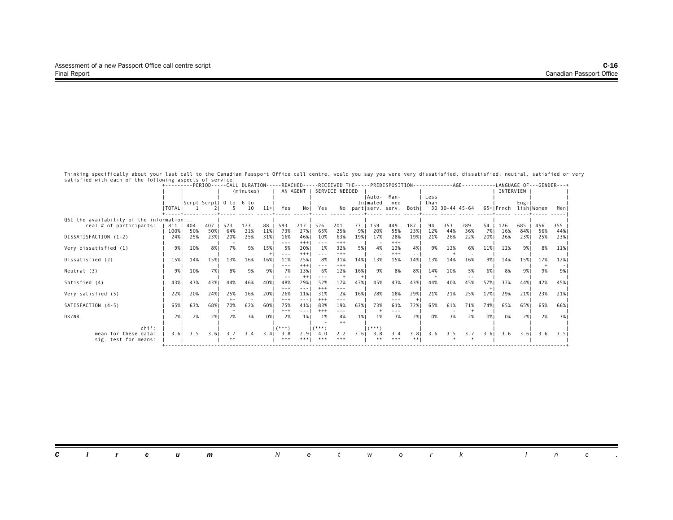|                                         | +---------PERIOD-----CALL DURATION-----REACHED-----RECEIVED THE-----PREDISPOSITION-------------AGE--------- |     |            |                        |           |       |                |                                                                                 |                 |                |        |          |                     |                      |      |     |                |      |                      |           |     | -LANGUAGE OF---GENDER---+ |
|-----------------------------------------|-------------------------------------------------------------------------------------------------------------|-----|------------|------------------------|-----------|-------|----------------|---------------------------------------------------------------------------------|-----------------|----------------|--------|----------|---------------------|----------------------|------|-----|----------------|------|----------------------|-----------|-----|---------------------------|
|                                         |                                                                                                             |     |            |                        | (minutes) |       |                | AN AGENT I                                                                      |                 | SERVICE NEEDED |        |          |                     |                      |      |     |                |      | INTERVIEW            |           |     |                           |
|                                         |                                                                                                             |     |            |                        |           |       |                |                                                                                 |                 |                |        | IAuto-   | Man-                |                      | Less |     |                |      |                      |           |     |                           |
|                                         |                                                                                                             |     |            | Scrpt Scrpt  0 to 6 to |           |       |                |                                                                                 |                 |                |        | Inlmated | ned                 |                      | than |     |                |      |                      | $Eng -  $ |     |                           |
|                                         | <b>ITOTALI</b>                                                                                              |     |            |                        | 10        | $11+$ | Yes            | No I                                                                            | Yes             |                |        |          | No partiserv. serv. | Bothl                |      |     | 30 30-44 45-64 |      | 65+ Frnch lish Women |           |     | Meni                      |
| Q6I the availability of the information |                                                                                                             |     |            |                        |           |       |                |                                                                                 |                 |                |        |          |                     |                      |      |     |                |      |                      |           |     |                           |
| real # of participants:                 | 811                                                                                                         | 404 | $407 \mid$ | 523                    | 173       | $88$  | 593            | 217                                                                             | 526             | 201            | 73     | 159      | 449                 | 187                  | 94   | 353 | 289            | 54   | 126                  | 685       | 456 | 355                       |
|                                         | 100%                                                                                                        | 50% | 50%        | 64%                    | 21%       | 11%   | 73%            | 27%                                                                             | 65%             | 25%            | 9%1    | 20%      | 55%                 | 23%                  | 12%  | 44% | 36%            | 7% I | 16%                  | 84% I     | 56% | 44%                       |
| DISSATISFACTION (1-2)                   | 24%                                                                                                         | 25% | 23%        | 20%                    | 25%       | 31%   | 16%            | 46%                                                                             | 10%             | 63%            | 19%    | 17%      | 28%                 | 19%                  | 21%  | 26% | 22%            | 20%  | 26%                  | 23%       | 25% | 23%                       |
|                                         |                                                                                                             |     |            |                        |           |       | $- - -$        | $+++$                                                                           |                 | $+++$          |        |          | $+++$               |                      |      |     |                |      |                      |           |     |                           |
| Very dissatisfied (1)                   | 9% I                                                                                                        | 10% | 8% I       | 7%                     | 9%        | 15%   | 5%             | 20%                                                                             | 1%              | 32%            | 5%     | 4%       | 13%                 | 4%                   | 9%   | 12% | 6%             | 11%  | 12%                  | 9%1       | 8%  | 11%                       |
| Dissatisfied (2)                        | 15%                                                                                                         | 14% | 15%        | 13%                    | 16%       | 16%   | $- - -$<br>11% | $+++$<br>25%                                                                    | $- - -$<br>8%   | $***$<br>31%   | 14%    | 13%      | $+++$<br>15%        | $\frac{1}{2}$<br>14% | 13%  | 14% | 16%            | 9%1  | 14%                  | 15%       | 17% | 12%                       |
|                                         |                                                                                                             |     |            |                        |           |       | ---            | $+++$                                                                           | $- - -$         | $+++$          |        |          |                     |                      |      |     |                |      |                      |           |     |                           |
| Neutral (3)                             | 9% I                                                                                                        | 10% | 7%1        | 8%                     | 9%        | 9% I  | 7%             | 13%                                                                             | 6%              | 12%            | 16%    | 9%       | 8%                  | 8%                   | 14%  | 10% | 5%             | 6%   | 8%                   | 9%1       | 9%  | 9%1                       |
|                                         |                                                                                                             |     |            |                        |           |       |                | $+ +$                                                                           |                 |                | $^{+}$ |          |                     |                      |      |     |                |      |                      |           |     |                           |
| Satisfied (4)                           | 43%                                                                                                         | 43% | 43%        | 44%                    | 46%       | 40%   | 48%            | 29%                                                                             | 52%             | 17%            | 47%    | 45%      | 43%                 | 43%                  | 44%  | 40% | 45%            | 57%  | 37%                  | 44%       | 42% | 45% 1                     |
|                                         |                                                                                                             |     |            |                        |           |       | $***$          | $- - -$                                                                         | $***$           | $- - -$        |        |          |                     |                      |      |     |                |      |                      |           |     |                           |
| Very satisfied (5)                      | 22%                                                                                                         | 20% | 24%        | 25%                    | 16%       | 20%   | 26%            | 11%                                                                             | 31%             | 2%             | 16%    | 28%      | 18%                 | 29%                  | 21%  | 21% | 25%            | 17%  | 29%                  | 21%       | 23% | 21%                       |
|                                         |                                                                                                             |     |            | $^{++}$                |           |       | $***$          | $\frac{1}{2} \left( \frac{1}{2} \right) \frac{1}{2} \left( \frac{1}{2} \right)$ | $^{+++}$        | ---            |        |          | ---                 |                      |      |     |                |      |                      |           |     |                           |
| SATISFACTION (4-5)                      | 65%                                                                                                         | 63% | 68%        | 70%                    | 62%       | 60%1  | 75%            | 41%                                                                             | 83%             | 19%            | 63%1   | 73%      | 61%                 | 72%                  | 65%  | 61% | 71%            | 74%  | 65%                  | 65% 1     | 65% | 66% 1                     |
|                                         |                                                                                                             |     |            |                        |           |       | $+++$          | $- - - -$                                                                       | $^{+++}$        | ---            |        |          | - - -               |                      |      |     |                |      |                      |           |     |                           |
| DK/NR                                   | 2%1                                                                                                         | 2%  | 2%1        | 2%                     | 3%        | 0% I  | 2%             | 1%1                                                                             | 1%              | 4%             | 1%     | 1%       | 3%                  | 2%1                  | 0%   | 3%  | 2%             | 0%   | 0%                   | 2%1       | 2%  | 3%                        |
| $\mathsf{chi}^2$ :                      |                                                                                                             |     |            |                        |           |       | $(***")$       |                                                                                 | $1$ $($ * * * 1 | $++$           |        | $(***)$  |                     |                      |      |     |                |      |                      |           |     |                           |
| mean for these data:                    | 3.61                                                                                                        | 3.5 | 3.61       | 3.7                    | 3.4       | 3.4   | 3.8            | 2.91                                                                            | 4.0             | 2.2            | 3.61   | 3.8      | 3.4                 | 3.81                 | 3.6  |     | $3.5$ $3.7$    | 3.61 | 3.6                  | 3.61      | 3.6 | 3.51                      |
| sig. test for means:                    |                                                                                                             |     |            |                        |           |       | ***            | ***!                                                                            | ***             | ***            |        | **       | ***                 | **                   |      |     |                |      |                      |           |     |                           |
|                                         |                                                                                                             |     |            |                        |           |       |                |                                                                                 |                 |                |        |          |                     |                      |      |     |                |      |                      |           |     |                           |

| <b>Circum</b> Network Inc. |  |
|----------------------------|--|
|----------------------------|--|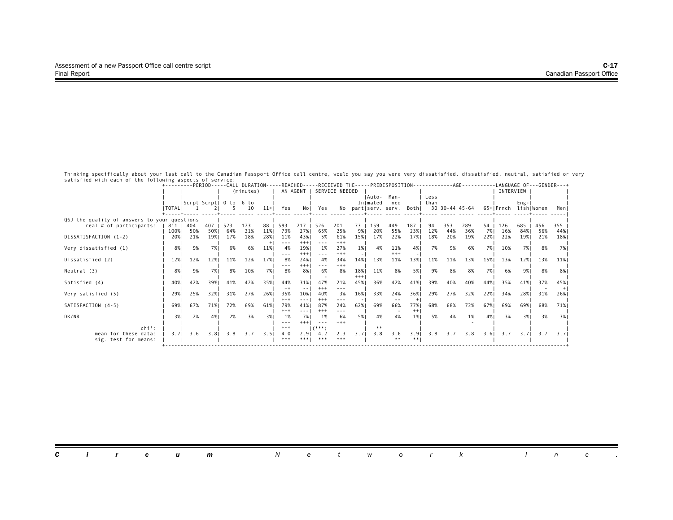|                                              | +---------PERIOD-----CALL DURATION-----REACHED-----RECEIVED THE-----PREDISPOSITION-------------AGE--------- |     |            |                        |           |       |                |                                                                                 |                     |                |       |          |                     |         |      |     |                |      |                      |           | -LANGUAGE OF---GENDER---+ |       |
|----------------------------------------------|-------------------------------------------------------------------------------------------------------------|-----|------------|------------------------|-----------|-------|----------------|---------------------------------------------------------------------------------|---------------------|----------------|-------|----------|---------------------|---------|------|-----|----------------|------|----------------------|-----------|---------------------------|-------|
|                                              |                                                                                                             |     |            |                        | (minutes) |       |                | AN AGENT I                                                                      |                     | SERVICE NEEDED |       |          |                     |         |      |     |                |      | INTERVIEW            |           |                           |       |
|                                              |                                                                                                             |     |            |                        |           |       |                |                                                                                 |                     |                |       | IAuto-   | Man-                |         | Less |     |                |      |                      |           |                           |       |
|                                              |                                                                                                             |     |            | Scrpt Scrpt  0 to 6 to |           |       |                |                                                                                 |                     |                |       | Inlmated | ned                 |         | than |     |                |      |                      | $Eng -  $ |                           |       |
|                                              | <b>ITOTALI</b>                                                                                              |     |            |                        | 10        | $11+$ | Yes            | No I                                                                            | Yes                 |                |       |          | No partiserv. serv. | Bothl   |      |     | 30 30-44 45-64 |      | 65+ Frnch lish Women |           |                           | Meni  |
| Q6J the quality of answers to your questions |                                                                                                             |     |            |                        |           |       |                |                                                                                 |                     |                |       |          |                     |         |      |     |                |      |                      |           |                           |       |
| real # of participants:                      | 811   404                                                                                                   |     | $407 \mid$ | 523                    | 173       | $88$  | 593            | 217                                                                             | 526                 | 201            | 73    | 159      | 449                 | 187     | 94   | 353 | 289            | 54   | 126                  | 685       | 456                       | 355   |
|                                              | 100% I                                                                                                      | 50% | 50%        | 64%                    | 21%       | 11%   | 73%            | 27%                                                                             | 65%                 | 25%            | 9%1   | 20%      | 55%                 | 23%     | 12%  | 44% | 36%            | 7% I | 16%                  | 84% I     | 56%                       | 44%   |
| DISSATISFACTION (1-2)                        | 20%                                                                                                         | 21% | 19%        | 17%                    | 18%       | 28%   | 11%            | 43%                                                                             | - 5%                | 61%            | 15%   | 17%      | 22%                 | 17%     | 18%  | 20% | 19%            | 22%  | 22%                  | 19%       | 21%                       | 18%   |
|                                              |                                                                                                             |     |            |                        |           |       | $\frac{1}{2}$  | $+++$                                                                           |                     | $+++$          |       |          |                     |         |      |     |                |      |                      |           |                           |       |
| Very dissatisfied (1)                        | 8%                                                                                                          | 9%  | 7%1        | 6%                     | 6%        | 11%   | 4%             | 19%                                                                             | 1%                  | 27%            | 1%    | 4%       | 11%                 | 4% I    | 7%   | 9%  | 6%             | 7% 1 | 10%                  | 7% I      | 8%                        | 7% I  |
| Dissatisfied (2)                             | 12%                                                                                                         | 12% | 12%        | 11%                    | 12%       | 17%   | ---<br>8%      | $+++$<br>24%                                                                    | $- - -$<br>4%       | $+++$<br>34%   | 14%   | 13%      | $+++$<br>11%        | 13%     | 11%  | 11% | 13%            | 15%  | 13%                  | 12%       | 13%                       | 11%   |
|                                              |                                                                                                             |     |            |                        |           |       | ---            | $+++$                                                                           |                     | $+++$          |       |          |                     |         |      |     |                |      |                      |           |                           |       |
| Neutral (3)                                  | 8%                                                                                                          | 9%  | 7%1        | 8%                     | 10%       | 7% I  | 8%             | 8%                                                                              | 6%                  | 8%             | 18%   | 11%      | 8%                  | 5%      | 9%   | 8%  | 8%             | 7%1  | 6%                   | 9%1       | 8%                        | 8%    |
|                                              |                                                                                                             |     |            |                        |           |       |                |                                                                                 |                     |                | $+++$ |          |                     |         |      |     |                |      |                      |           |                           |       |
| Satisfied (4)                                | 40%                                                                                                         | 42% | 39%1       | 41%                    | 42%       | 35%   | 44%            | 31%                                                                             | 47%                 | 21%            | 45%   | 36%      | 42%                 | 41%     | 39%  | 40% | 40%            | 44%  | 35%                  | 41%       | 37%                       | 45%   |
|                                              |                                                                                                             |     |            |                        |           |       |                | $- -$                                                                           | $***$               | $- - -$        |       |          |                     |         |      |     |                |      |                      |           |                           |       |
| Very satisfied (5)                           | 29%1                                                                                                        | 25% | 32%1       | 31%                    | 27%       | 26%1  | 35%            | 10%                                                                             | 40%                 | 3%             | 16%   | 33%      | 24%                 | 36%     | 29%  | 27% | 32%            | 22%  | 34%                  | 28%1      | 31%                       | 26%   |
|                                              |                                                                                                             |     |            |                        |           |       | $***$          | $\frac{1}{2} \left( \frac{1}{2} \right) \frac{1}{2} \left( \frac{1}{2} \right)$ | $^{+++}$            | $- - -$        |       |          | $ -$                |         |      |     |                |      |                      |           |                           |       |
| SATISFACTION (4-5)                           | 69%                                                                                                         | 67% | 71%        | 72%                    | 69%       | 61%   | 79%            | 41%                                                                             | 87%                 | 24%            | 62%   | 69%      | 66%                 | 77%     | 68%  | 68% | 72%            | 67%  | 69%                  | 69%       | 68%                       | 71% I |
|                                              |                                                                                                             |     |            |                        |           |       | $+++$          | $- - - -$                                                                       | $^{+++}$            | ---            |       |          |                     | $^{++}$ |      |     |                |      |                      |           |                           |       |
| DK/NR                                        | 3%1                                                                                                         | 2%  | 4%         | 2%                     | 3%        | 3%1   | 1%             | 7%1<br>$+++$                                                                    | 1%                  | 6%<br>$+++$    | 5%    | 4%       | 4%                  | 1%      | 5%   | 4%  | 1%             | 4%   | 3%                   | 3%1       | 3%                        | 3%    |
| $\mathsf{chi}^2$ :                           |                                                                                                             |     |            |                        |           |       | $- - -$<br>*** |                                                                                 | $- - -$<br>$($ ***' |                |       | **       |                     |         |      |     |                |      |                      |           |                           |       |
| mean for these data:                         | 3.71                                                                                                        | 3.6 | 3.8        | 3.8                    | 3.7       | 3.51  | 4.0            | 2.91                                                                            | 4.2                 | 2.3            | 3.71  | 3.8      | 3.6                 | 3.91    | 3.8  | 3.7 | 3.8            | 3.61 | 3.7                  | 3.71      | 3.7                       | 3.71  |
| sig. test for means:                         |                                                                                                             |     |            |                        |           |       | ***            | ***!                                                                            | ***                 | ***            |       |          | **                  |         |      |     |                |      |                      |           |                           |       |
|                                              |                                                                                                             |     |            |                        |           |       |                |                                                                                 |                     |                |       |          |                     |         |      |     |                |      |                      |           |                           |       |

|  |  |  | <b>Circum</b> Network Inc. |  |  |  |  |  |  |
|--|--|--|----------------------------|--|--|--|--|--|--|
|  |  |  |                            |  |  |  |  |  |  |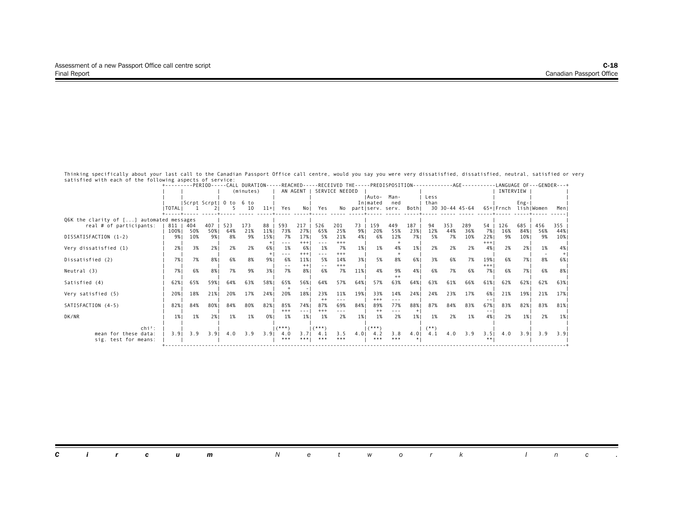|                                              |                |     |            |                        |           |       |            |              |               |                |      |            |                     |       |        |     | +---------PERIOD-----CALL DURATION-----REACHED-----RECEIVED THE-----PREDISPOSITION-------------AGE--------- |          | -LANGUAGE OF---GENDER---+ |           |     |       |
|----------------------------------------------|----------------|-----|------------|------------------------|-----------|-------|------------|--------------|---------------|----------------|------|------------|---------------------|-------|--------|-----|-------------------------------------------------------------------------------------------------------------|----------|---------------------------|-----------|-----|-------|
|                                              |                |     |            |                        | (minutes) |       |            | AN AGENT I   |               | SERVICE NEEDED |      |            |                     |       |        |     |                                                                                                             |          | INTERVIEW                 |           |     |       |
|                                              |                |     |            |                        |           |       |            |              |               |                |      | IAuto-     | Man-                |       | Less   |     |                                                                                                             |          |                           |           |     |       |
|                                              |                |     |            | Scrpt Scrpt  0 to 6 to |           |       |            |              |               |                |      | Inlmated   | ned                 |       | than   |     |                                                                                                             |          |                           | $Eng -  $ |     |       |
|                                              | <b>ITOTALI</b> |     |            |                        | 10        | $11+$ | Yes        | No I         | Yes           |                |      |            | No partiserv. serv. | Bothl |        |     | 30 30-44 45-64                                                                                              |          | 65+ Frnch lish Women      |           |     | Meni  |
| Q6K the clarity of [] automated messages     |                |     |            |                        |           |       |            |              |               |                |      |            |                     |       |        |     |                                                                                                             |          |                           |           |     |       |
| real # of participants:                      | 811   404      |     | $407 \mid$ | 523                    | 173       | 88    | 593        | 217          | 526           | 201            | 73   | 159        | 449                 | 187   | 94     | 353 | 289                                                                                                         | 54       | 126                       | 685       | 456 | 355   |
|                                              | 100%           | 50% | 50%        | 64%                    | 21%       | 11%   | 73%        | 27%          | 65%           | 25%            | 9%1  | 20%        | 55%                 | 23%   | 12%    | 44% | 36%                                                                                                         | 7% I     | 16%                       | 84% I     | 56% | 44%   |
| DISSATISFACTION (1-2)                        | 9%             | 10% | 9% 1       | 8%                     | 9%        | 15%   | 7%         | 17%          | 5%            | 21%            | 4% I | 6%         | 12%                 | 7%    | 5%     | 7%  | 10%                                                                                                         | 22%      | 9%                        | 10%       | 9%  | 10%   |
|                                              |                |     |            |                        |           |       | $- - -$    | $+ + +$      |               | $***$          |      |            |                     |       |        |     |                                                                                                             | $^{+++}$ |                           |           |     |       |
| Very dissatisfied (1)                        | 2%1            | 3%  | 2%1        | 2%                     | 2%        | 6% I  | 1%<br>---  | 6%<br>$+++$  | 1%<br>$- - -$ | 7%<br>$+++$    | 1%   | 1%         | 4%                  | 1%    | 2%     | 2%  | 2%                                                                                                          | 4%       | 2%                        | 2%1       | 1%  | 4%    |
| Dissatisfied (2)                             | 7%1            | 7%  | 8%1        | 6%                     | 8%        | 9%    | 6%         | 11%          | 5%            | 14%            | 3%1  | 5%         | 8%                  | 6%    | 3%     | 6%  | 7%                                                                                                          | 19%      | 6%                        | 7%1       | 8%  | 6%    |
|                                              |                |     |            |                        |           |       |            | $^{++}$      |               | $+++$          |      |            |                     |       |        |     |                                                                                                             | $^{+++}$ |                           |           |     |       |
| Neutral (3)                                  | 7%1            | 6%  | 8%         | 7%                     | 9%        | 3%    | 7%         | 8%           | 6%            | 7%             | 11%  | 4%         | 9%                  | 4% I  | 6%     | 7%  | 6%                                                                                                          | 7%       | 6%                        | 7%1       | 6%  | 8%    |
|                                              |                |     |            |                        |           |       |            |              |               |                |      |            | $++$                |       |        |     |                                                                                                             |          |                           |           |     |       |
| Satisfied (4)                                | 62%            | 65% | 59%        | 64%                    | 63%       | 58%   | 65%        | 56%          | 64%           | 57%            | 64%  | 57%        | 63%                 | 64%   | 63%    | 61% | 66%                                                                                                         | 61%      | 62%                       | 62%       | 62% | 63% 1 |
|                                              | 20%            | 18% | 21%        | 20%                    | 17%       | 24%1  | 20%        | 18%          | 23%           | 11%            |      | 33%        | 14%                 | 24%   | 24%    | 23% | 17%                                                                                                         | 6%       | 21%                       |           | 21% | 17%   |
| Very satisfied (5)                           |                |     |            |                        |           |       |            |              |               | $- - -$        | 19%  | $+++$      | $- - -$             |       |        |     |                                                                                                             |          |                           | 19%       |     |       |
| SATISFACTION (4-5)                           | 82%            | 84% | 80%        | 84%                    | 80%       | 82%   | 85%        | 74%1         | 87%           | 69%            | 84%  | 89%        | 77%                 | 88%   | 87%    | 84% | 83%                                                                                                         | 67%      | 83%                       | 82%1      | 83% | 81%   |
|                                              |                |     |            |                        |           |       | $+++$      | $- - - -$    | $^{+++}$      |                |      | $^{++}$    | ---                 | $+$   |        |     |                                                                                                             |          |                           |           |     |       |
| DK/NR                                        | 1%             | 1%  | 2%1        | 1%                     | 1%        | 0% I  | 1%         | 1%           | 1%            | 2%             | 1%   | 1%         | 2%                  | 1%    | 1%     | 2%  | 1%                                                                                                          | 4%       | 2%                        | 1%        | 2%  | 1%    |
|                                              |                |     |            |                        |           |       |            |              |               |                |      |            |                     |       |        |     |                                                                                                             |          |                           |           |     |       |
| $\mathsf{chi}^2$ :                           |                |     |            |                        |           |       | $(***")$   |              | $($ ***)      |                |      | $(***")$   |                     |       | $(**)$ |     |                                                                                                             |          |                           |           |     |       |
| mean for these data:<br>sig. test for means: | 3.91           | 3.9 | 3.9        | 4.0                    | 3.9       | 3.91  | 4.0<br>*** | 3.71<br>***! | 4.1<br>***    | 3.5<br>***     | 4.01 | 4.2<br>*** | 3.8<br>***          | $4.0$ | 4.1    | 4.0 | 3.9                                                                                                         | 3.5      | 4.0                       | 3.91      | 3.9 | 3.91  |
|                                              |                |     |            |                        |           |       |            |              |               |                |      |            |                     |       |        |     |                                                                                                             |          |                           |           |     |       |

|  |  |  | <b>Circum</b> Network Inc. |  |  |  |  |  |  |
|--|--|--|----------------------------|--|--|--|--|--|--|
|  |  |  |                            |  |  |  |  |  |  |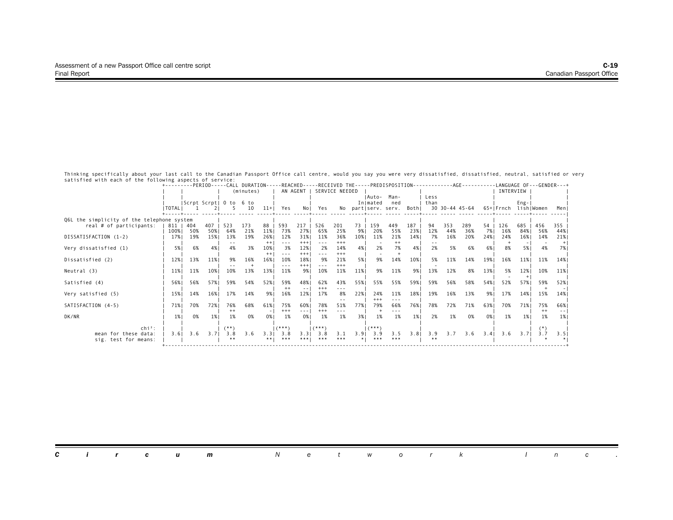|                                            |                  |     |      |                        | +---------PERIOD-----CALL DURATION-----REACHED-----RECEIVED THE-----PREDISPOSITION------------AGE-------- |                |                                                                                                                                                                                                                                                                                                                                                                                                    |                                                                                                                           |          |                |      |              |                           |      |      |     |                 |      |                      |        | -LANGUAGE OF---GENDER---+ |       |
|--------------------------------------------|------------------|-----|------|------------------------|-----------------------------------------------------------------------------------------------------------|----------------|----------------------------------------------------------------------------------------------------------------------------------------------------------------------------------------------------------------------------------------------------------------------------------------------------------------------------------------------------------------------------------------------------|---------------------------------------------------------------------------------------------------------------------------|----------|----------------|------|--------------|---------------------------|------|------|-----|-----------------|------|----------------------|--------|---------------------------|-------|
|                                            |                  |     |      |                        | (minutes)                                                                                                 |                |                                                                                                                                                                                                                                                                                                                                                                                                    | AN AGENT                                                                                                                  |          | SERVICE NEEDED |      |              |                           |      |      |     |                 |      | INTERVIEW            |        |                           |       |
|                                            |                  |     |      |                        |                                                                                                           |                |                                                                                                                                                                                                                                                                                                                                                                                                    |                                                                                                                           |          |                |      | IAuto-       | Man-                      |      | Less |     |                 |      |                      |        |                           |       |
|                                            |                  |     |      | Scrpt Scrpt  0 to 6 to |                                                                                                           |                |                                                                                                                                                                                                                                                                                                                                                                                                    |                                                                                                                           |          |                |      | Inlmated     | ned                       |      | than |     |                 |      |                      | $Eng-$ |                           |       |
|                                            | <b>I TOTAL I</b> |     |      |                        | 10                                                                                                        | $11+1$         | Yes                                                                                                                                                                                                                                                                                                                                                                                                | No I                                                                                                                      | Yes      |                |      |              | No partiserv. serv. Bothi |      |      |     | 30 30-44 45-64  |      | 65+IFrnch lishIWomen |        |                           | Meni  |
| Q6L the simplicity of the telephone system |                  |     |      |                        |                                                                                                           |                |                                                                                                                                                                                                                                                                                                                                                                                                    |                                                                                                                           |          |                |      |              |                           |      |      |     |                 |      |                      |        |                           |       |
| real # of participants:                    | 811              | 404 | 407  | 523                    | 173                                                                                                       | 88             | 593                                                                                                                                                                                                                                                                                                                                                                                                | 217                                                                                                                       | 526      | 201            | 73   | 159          | 449                       | 187  | 94   | 353 | 289             | 54   | 126                  | 685    | 456                       | 355   |
|                                            | 100%             | 50% | 50%  | 64%                    | 21%                                                                                                       | 11%            | 73%                                                                                                                                                                                                                                                                                                                                                                                                | 27%                                                                                                                       | 65%      | 25%            | 9%   | 20%          | 55%                       | 23%  | 12%  | 44% | 36%             | 7% I | 16%                  | 84%    | 56%                       | 44% ا |
| DISSATISFACTION (1-2)                      | 17%              | 19% | 15%  | 13%                    | 19%                                                                                                       | 26%            | 12%                                                                                                                                                                                                                                                                                                                                                                                                | 31%                                                                                                                       | 11%      | 36%            | 10%  | 11%          | 21%                       | 14%  | 7%   | 16% | 20%             | 24%  | 24%                  | 16%    | 14%                       | 21%   |
|                                            |                  |     |      | 4%                     |                                                                                                           | $++$           | $\frac{1}{2} \frac{1}{2} \frac{1}{2} \frac{1}{2} \frac{1}{2} \frac{1}{2} \frac{1}{2} \frac{1}{2} \frac{1}{2} \frac{1}{2} \frac{1}{2} \frac{1}{2} \frac{1}{2} \frac{1}{2} \frac{1}{2} \frac{1}{2} \frac{1}{2} \frac{1}{2} \frac{1}{2} \frac{1}{2} \frac{1}{2} \frac{1}{2} \frac{1}{2} \frac{1}{2} \frac{1}{2} \frac{1}{2} \frac{1}{2} \frac{1}{2} \frac{1}{2} \frac{1}{2} \frac{1}{2} \frac{$<br>3% | $+++$                                                                                                                     |          | $+++$          |      |              | $^{++}$                   |      | 2%   |     |                 |      |                      |        | 4%                        |       |
| Very dissatisfied (1)                      | 5%               | 6%  | 4%   |                        | 3%                                                                                                        | 10%<br>$^{++}$ | $- - -$                                                                                                                                                                                                                                                                                                                                                                                            | 12%<br>$^{+++}$                                                                                                           | 2%       | 14%<br>$+++$   | 4%   | 2%           | 7%                        | 4%   |      | 5%  | 6%              | 6% I | 8%                   | 5%     |                           | 7% I  |
| Dissatisfied (2)                           | 12%              | 13% | 11%  | 9%                     | 16%                                                                                                       | 16%            | 10%                                                                                                                                                                                                                                                                                                                                                                                                | 18%                                                                                                                       | 9%       | 21%            | 5%   | 9%           | 14%                       | 10%  | 5%   | 11% | 14%             | 19%  | 16%                  | 11%    | 11%                       | 14%   |
|                                            |                  |     |      |                        |                                                                                                           |                | $- - -$                                                                                                                                                                                                                                                                                                                                                                                            | $^{+++}$                                                                                                                  |          | $+++$          |      |              |                           |      |      |     |                 |      |                      |        |                           |       |
| Neutral (3)                                | 11%              | 11% | 10%  | 10%                    | 13%                                                                                                       | 13%            | 11%                                                                                                                                                                                                                                                                                                                                                                                                | 9%                                                                                                                        | 10%      | 11%            | 11%  | 9%           | 11%                       | 9%   | 13%  | 12% | 8%              | 13%  | 5%                   | 12%    | 10%                       | 11%   |
|                                            |                  |     |      |                        |                                                                                                           |                |                                                                                                                                                                                                                                                                                                                                                                                                    |                                                                                                                           |          |                |      |              |                           |      |      |     |                 |      |                      |        |                           |       |
| Satisfied (4)                              | 56%              | 56% | 57%1 | 59%                    | 54%                                                                                                       | 52%            | 59%                                                                                                                                                                                                                                                                                                                                                                                                | 48%                                                                                                                       | 62%      | 43%            | 55%  | 55%          | 55%                       | 59%  | 59%  | 56% | 58%             | 54%  | 52%                  | 57%    | 59%                       | 52%   |
|                                            |                  |     |      |                        |                                                                                                           |                |                                                                                                                                                                                                                                                                                                                                                                                                    |                                                                                                                           | $^{+++}$ | ---            |      |              |                           |      |      |     |                 |      |                      |        |                           |       |
| Very satisfied (5)                         | 15%              | 14% | 16%  | 17%                    | 14%                                                                                                       | 9% 1           | 16%                                                                                                                                                                                                                                                                                                                                                                                                | 12%                                                                                                                       | 17%      | 8%             | 22%  | 24%          | 11%                       | 18%  | 19%  | 16% | 13%             | 9%   | 17%                  | 14%    | 15%                       | 14%   |
| SATISFACTION (4-5)                         | 71%              | 70% | 72%1 | 76%                    | 68%                                                                                                       | 61%            | 75%                                                                                                                                                                                                                                                                                                                                                                                                | 60%                                                                                                                       | 78%      | 51%            | 77%  | $+++$<br>79% | ---<br>66%                | 76%  | 78%  | 72% | 71%             | 63%  | 70%                  | 71%    | 75%                       | 66%   |
|                                            |                  |     |      | $^{++}$                |                                                                                                           |                | $^{+++}$                                                                                                                                                                                                                                                                                                                                                                                           | $\frac{1}{2} \left( \frac{1}{2} \right) \left( \frac{1}{2} \right) \left( \frac{1}{2} \right) \left( \frac{1}{2} \right)$ | $+++$    |                |      |              |                           |      |      |     |                 |      |                      |        | $^{++}$                   | $- -$ |
| DK/NR                                      | 1%               | 0%  | 1%   | 1%                     | 0%                                                                                                        | 0% I           | 1%                                                                                                                                                                                                                                                                                                                                                                                                 | 0%                                                                                                                        | 1%       | 1%             | 3%1  | 1%           | 1%                        | 1%   | 2%   | 1%  | 0%              | 0%1  | 1%                   | 1%     | 1%                        | 1%    |
|                                            |                  |     |      |                        |                                                                                                           |                |                                                                                                                                                                                                                                                                                                                                                                                                    |                                                                                                                           |          |                |      |              |                           |      |      |     |                 |      |                      |        |                           |       |
| $\mathsf{chi}^2$ :                         |                  |     |      | $(***)$                |                                                                                                           |                | $(***")$                                                                                                                                                                                                                                                                                                                                                                                           |                                                                                                                           | $(***")$ |                |      | $(***")$     |                           |      |      |     |                 |      |                      |        |                           |       |
| mean for these data:                       | 3.61             | 3.6 | 3.71 | 3.8                    | 3.6                                                                                                       | 3.3            | 3.8                                                                                                                                                                                                                                                                                                                                                                                                | 3.31                                                                                                                      | 3.8      | 3.1            | 3.91 | 3.9          | 3.5                       | 3.81 | 3.9  |     | $3.7 \quad 3.6$ | 3.4  | 3.6                  | 3.71   | 3.7                       | 3.51  |
| sig. test for means:                       |                  |     |      |                        |                                                                                                           | ** 1           | ***                                                                                                                                                                                                                                                                                                                                                                                                | ***                                                                                                                       | ***      | ***            |      | ***          | ***                       |      |      |     |                 |      |                      |        |                           |       |
|                                            |                  |     |      |                        |                                                                                                           |                |                                                                                                                                                                                                                                                                                                                                                                                                    |                                                                                                                           |          |                |      |              |                           |      |      |     |                 |      |                      |        |                           |       |

|  |  |  |  |  | <b>Circum</b> Network Inc. |  |  |  |  |  |  |  |  |  |  |  |
|--|--|--|--|--|----------------------------|--|--|--|--|--|--|--|--|--|--|--|
|--|--|--|--|--|----------------------------|--|--|--|--|--|--|--|--|--|--|--|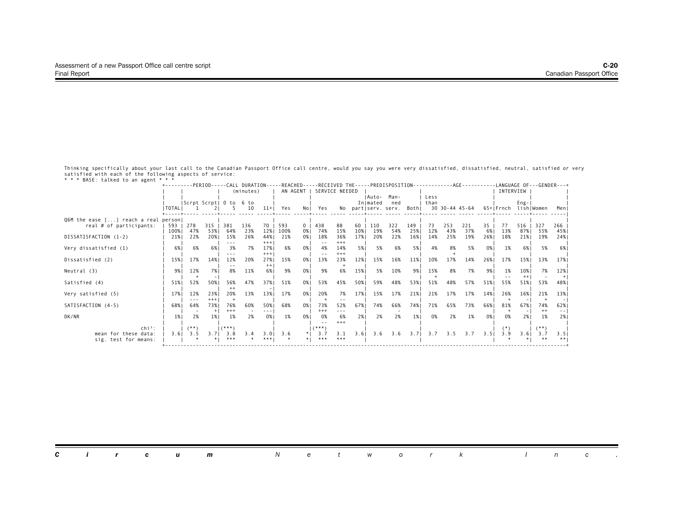|                                                                 |           |        |              |                   |           |              | +---------PERIOD-----CALL DURATION-----REACHED-----RECEIVED THE-----PREDISPOSITION-----------AGE---------LANGUAGE OF---GENDER---+ |                |          |                |     |                    |                           |             |              |                |     |      |                      |             |         |               |
|-----------------------------------------------------------------|-----------|--------|--------------|-------------------|-----------|--------------|-----------------------------------------------------------------------------------------------------------------------------------|----------------|----------|----------------|-----|--------------------|---------------------------|-------------|--------------|----------------|-----|------|----------------------|-------------|---------|---------------|
|                                                                 |           |        |              |                   | (minutes) |              | AN AGENT                                                                                                                          |                |          | SERVICE NEEDED |     |                    |                           |             |              |                |     |      | INTERVIEW            |             |         |               |
|                                                                 |           |        |              | Scrpt Scrpt  0 to | 6 to      |              |                                                                                                                                   |                |          |                |     | IAuto-<br>Inlmated | Man-<br>ned               |             | Less<br>than |                |     |      |                      | $Eng -$     |         |               |
|                                                                 | I TOTAL I |        |              |                   | 10        | $11+$        | Yes                                                                                                                               | No I           | Yes      |                |     |                    | No partiserv. serv. Bothi |             |              | 30 30-44 45-64 |     |      | 65+IFrnch lishIWomen |             |         | Menl          |
|                                                                 |           |        |              |                   |           |              |                                                                                                                                   |                |          |                |     |                    |                           |             |              |                |     |      |                      |             |         |               |
| Q6M the ease [] reach a real person <br>real # of participants: | 593       | 278    | $315$        | 381               | 136       | 70           | 593                                                                                                                               | 0 <sup>1</sup> | 438      | 88             | 60  | 110                | 322                       | 149         | 73           | 253            | 221 | 35   | 77                   | 516         | 327     | 266           |
|                                                                 | 100%      | 47%    | 53%1         | 64%               | 23%       | 12%          | 100%                                                                                                                              | 0%1            | 74%      | 15%            | 10% | 19%                | 54%                       | 25%         | 12%          | 43%            | 37% | 6% I | 13%                  | 87%         | 55%     | 45%           |
| DISSATISFACTION (1-2)                                           | 21%       | 22%    | 20%          | 15%               | 26%       | 44%          | 21%                                                                                                                               | 0%             | 18%      | 36%            | 17% | 20%                | 22%                       | 16%         | 14%          | 25%            | 19% | 26%1 | 18%                  | 21%         | 19%     | 24%           |
|                                                                 | 6%        | 6%     | 6%           | ---<br>3%         | 7%        | $+++$<br>17% | 6%                                                                                                                                | 0%             | 4%       | $+++$<br>14%   | 5%  | 5%                 | 6%                        | 5%          | 4%           | 8%             | 5%  | 0%   | 1%                   | 6%          | 5%      | 6%            |
| Very dissatisfied (1)                                           |           |        |              | ---               |           | $+++$        |                                                                                                                                   |                |          | $***$          |     |                    |                           |             |              |                |     |      |                      |             |         |               |
| Dissatisfied (2)                                                | 15%       | 17%    | 14%          | 12%               | 20%       | 27%          | 15%                                                                                                                               | 0%             | 13%      | 23%            | 12% | 15%                | 16%                       | 11%         | 10%          | 17%            | 14% | 26%  | 17%                  | 15%         | 13%     | 17%           |
|                                                                 |           |        |              |                   |           | $^{++}$      |                                                                                                                                   |                |          |                |     |                    |                           |             |              |                |     |      |                      |             |         |               |
| Neutral (3)                                                     | 9%1       | 12%    | 7%1          | 8%                | 11%       | 6%           | 9%                                                                                                                                | 0%1            | 9%       | 6%             | 15% | 5%                 | 10%                       | 9%1         | 15%          | 8%             | 7%  | 9%   | 1%                   | 10%<br>$++$ | 7%      | 12%           |
| Satisfied (4)                                                   | 51%       | 52%    | 50%          | 56%               | 47%       | 37%          | 51%                                                                                                                               | 0%             | 53%      | 45%            | 50% | 59%                | 48%                       | 53%         | 51%          | 48%            | 57% | 51%  | 55%                  | 51%         | 53%     | 48%           |
|                                                                 |           |        |              | $^{++}$           |           |              |                                                                                                                                   |                |          |                |     |                    |                           |             |              |                |     |      |                      |             |         |               |
| Very satisfied (5)                                              | 17%       | 12%    | 23%          | 20%               | 13%       | 13%          | 17%                                                                                                                               | 0%             | 20%      | 7%             | 17% | 15%                | 17%                       | 21%         | 21%          | 17%            | 17% | 14%  | 26%                  | 16%         | 21%     | 13%           |
| SATISFACTION (4-5)                                              | 68%       | 64%    | $+++$<br>73% | 76%               | 60%       | 50%          | 68%                                                                                                                               | 0%             | 73%      | 52%            | 67% | 74%                | 66%                       | 74%         | 71%          | 65%            | 73% | 66%1 | 81%                  | 67%         | 74%     | 62%           |
|                                                                 |           |        | $+$          | $^{+++}$          |           |              |                                                                                                                                   |                | $^{+++}$ | $- - -$        |     |                    |                           |             |              |                |     |      |                      |             | $^{++}$ | $\frac{1}{2}$ |
| DK/NR                                                           | 1%        | 2%     | 1%           | 1%                | 2%        | 0% I         | 1%                                                                                                                                | 0%             | 0%       | 6%             | 2%1 | 2%                 | 2%                        | 1%          | 0%           | 2%             | 1%  | 0%   | 0%                   | 2%          | 1%      | 2%1           |
| $chi^2$ :                                                       |           | $(**)$ |              | $(***")$          |           |              |                                                                                                                                   |                | $($ ***) | $+++$          |     |                    |                           |             |              |                |     |      |                      |             | $(***)$ |               |
| mean for these data:                                            | 3.61      | 3.5    | 3.71         | 3.8               | 3.4       | 3.01         | 3.6                                                                                                                               | $*$            | 3.7      | 3.1            |     | $3.6$   $3.6$      |                           | $3.6$ $3.7$ | 3.7          | 3.5            | 3.7 | 3.51 | 3.9                  | 3.61        | 3.7     | 3.51          |
| sig. test for means:                                            |           |        |              | ***               |           |              |                                                                                                                                   |                | ***      | ***            |     |                    |                           |             |              |                |     |      |                      |             |         |               |
|                                                                 |           |        |              |                   |           |              |                                                                                                                                   |                |          |                |     |                    |                           |             |              |                |     |      |                      |             |         |               |

| <b>Circum</b> Network Inc. |  |
|----------------------------|--|
|----------------------------|--|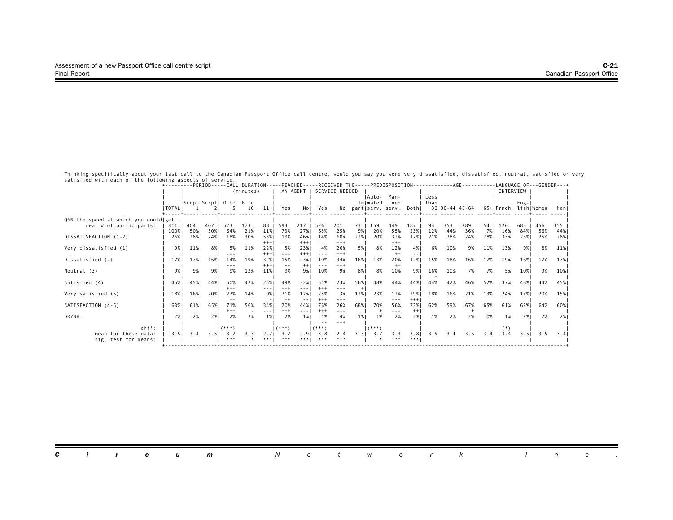|                                      |              |            |              |                        | +---------PERIOD-----CALL DURATION-----REACHED-----RECEIVED THE-----PREDISPOSITION---------- |                                                                                                                                                                                                                                                                                                                                                                                              |               |                                                                                                                                                                                                                                                                                                                                                                                                                                                |                                                                                                                                                                                                                                                                                                                                                                                              |                |             |                     |            |               |            |                | - - AGE - - - - - - - - |           |            |             |            | -LANGUAGE OF---GENDER---+ |
|--------------------------------------|--------------|------------|--------------|------------------------|----------------------------------------------------------------------------------------------|----------------------------------------------------------------------------------------------------------------------------------------------------------------------------------------------------------------------------------------------------------------------------------------------------------------------------------------------------------------------------------------------|---------------|------------------------------------------------------------------------------------------------------------------------------------------------------------------------------------------------------------------------------------------------------------------------------------------------------------------------------------------------------------------------------------------------------------------------------------------------|----------------------------------------------------------------------------------------------------------------------------------------------------------------------------------------------------------------------------------------------------------------------------------------------------------------------------------------------------------------------------------------------|----------------|-------------|---------------------|------------|---------------|------------|----------------|-------------------------|-----------|------------|-------------|------------|---------------------------|
|                                      |              |            |              |                        | (minutes)                                                                                    |                                                                                                                                                                                                                                                                                                                                                                                              | AN AGENT      |                                                                                                                                                                                                                                                                                                                                                                                                                                                |                                                                                                                                                                                                                                                                                                                                                                                              | SERVICE NEEDED |             |                     |            |               |            |                |                         |           | INTERVIEW  |             |            |                           |
|                                      |              |            |              |                        |                                                                                              |                                                                                                                                                                                                                                                                                                                                                                                              |               |                                                                                                                                                                                                                                                                                                                                                                                                                                                |                                                                                                                                                                                                                                                                                                                                                                                              |                |             | IAuto-              | Man-       |               | Less       |                |                         |           |            |             |            |                           |
|                                      |              |            |              | Scrpt Scrpt  0 to 6 to |                                                                                              |                                                                                                                                                                                                                                                                                                                                                                                              |               |                                                                                                                                                                                                                                                                                                                                                                                                                                                |                                                                                                                                                                                                                                                                                                                                                                                              |                |             | Inlmated            | ned        |               | than       |                |                         |           |            | $Eng -  $   |            |                           |
|                                      | I TOTAL I    |            |              |                        | 10                                                                                           | $11+1$                                                                                                                                                                                                                                                                                                                                                                                       | Yes           | Nol                                                                                                                                                                                                                                                                                                                                                                                                                                            | Yes                                                                                                                                                                                                                                                                                                                                                                                          |                |             | No partiserv. serv. |            | Bothl         |            | 30 30-44 45-64 |                         |           | 65+IFrnch  | lishlWomen  |            | Meni                      |
|                                      |              |            |              |                        |                                                                                              |                                                                                                                                                                                                                                                                                                                                                                                              |               |                                                                                                                                                                                                                                                                                                                                                                                                                                                |                                                                                                                                                                                                                                                                                                                                                                                              |                |             |                     |            |               |            |                |                         |           |            |             |            |                           |
| Q6N the speed at which you could get |              |            |              |                        |                                                                                              |                                                                                                                                                                                                                                                                                                                                                                                              |               |                                                                                                                                                                                                                                                                                                                                                                                                                                                |                                                                                                                                                                                                                                                                                                                                                                                              |                |             |                     |            |               |            |                |                         |           |            |             |            |                           |
| real # of participants:              | 811          | 404        | 407          | 523                    | 173                                                                                          | 88                                                                                                                                                                                                                                                                                                                                                                                           | 593           | 217                                                                                                                                                                                                                                                                                                                                                                                                                                            | 526                                                                                                                                                                                                                                                                                                                                                                                          | 201            | 73          | 159                 | 449        | 187           | 94         | 353            | 289                     | 54        | 126        | 685         | 456        | 355                       |
| DISSATISFACTION (1-2)                | 100%<br>26%1 | 50%<br>28% | 50% <br>24%1 | 64%<br>18%             | 21%<br>30%                                                                                   | 11%<br>53%                                                                                                                                                                                                                                                                                                                                                                                   | 73%<br>19%    | 27%<br>46%                                                                                                                                                                                                                                                                                                                                                                                                                                     | 65%<br>14%                                                                                                                                                                                                                                                                                                                                                                                   | 25%<br>60%     | 9%  <br>22% | 20%<br>20%          | 55%<br>32% | 23%<br>17%    | 12%<br>21% | 44%<br>28%     | 36%<br>24%              | 7%<br>28% | 16%<br>33% | 84% <br>25% | 56%<br>25% | 44%<br>28%                |
|                                      |              |            |              | ---                    |                                                                                              | $+++$                                                                                                                                                                                                                                                                                                                                                                                        | $- - -$       | $+++$                                                                                                                                                                                                                                                                                                                                                                                                                                          | $- - -$                                                                                                                                                                                                                                                                                                                                                                                      | $+++$          |             |                     | $+++$      | $\cdots$      |            |                |                         |           |            |             |            |                           |
| Very dissatisfied (1)                | 9%           | 11%        | 8% I         | 5%                     | 11%                                                                                          | 22%                                                                                                                                                                                                                                                                                                                                                                                          | 5%            | 23%                                                                                                                                                                                                                                                                                                                                                                                                                                            | 4%                                                                                                                                                                                                                                                                                                                                                                                           | 26%            | 5%1         | 8%                  | 12%        | 4%            | 6%         | 10%            | 9%                      | 11%       | 13%        | 9%1         | 8%         | 11%                       |
|                                      |              |            |              |                        |                                                                                              | $^{+++}$                                                                                                                                                                                                                                                                                                                                                                                     | $- - -$       | $+++$                                                                                                                                                                                                                                                                                                                                                                                                                                          | $\frac{1}{2} \frac{1}{2} \frac{1}{2} \frac{1}{2} \frac{1}{2} \frac{1}{2} \frac{1}{2} \frac{1}{2} \frac{1}{2} \frac{1}{2} \frac{1}{2} \frac{1}{2} \frac{1}{2} \frac{1}{2} \frac{1}{2} \frac{1}{2} \frac{1}{2} \frac{1}{2} \frac{1}{2} \frac{1}{2} \frac{1}{2} \frac{1}{2} \frac{1}{2} \frac{1}{2} \frac{1}{2} \frac{1}{2} \frac{1}{2} \frac{1}{2} \frac{1}{2} \frac{1}{2} \frac{1}{2} \frac{$ | $***$          |             |                     | $^{++}$    | $\frac{1}{2}$ |            |                |                         |           |            |             |            |                           |
| Dissatisfied (2)                     | 17%          | 17%        | 16%          | 14%                    | 19%                                                                                          | 32%                                                                                                                                                                                                                                                                                                                                                                                          | 15%           | 23%                                                                                                                                                                                                                                                                                                                                                                                                                                            | 10%                                                                                                                                                                                                                                                                                                                                                                                          | 34%            | 16%         | 13%                 | 20%        | 12%           | 15%        | 18%            | 16%                     | 17%       | 19%        | 16%         | 17%        | 17%                       |
|                                      |              |            |              |                        |                                                                                              | $^{+++}$                                                                                                                                                                                                                                                                                                                                                                                     | $\frac{1}{2}$ | $++$                                                                                                                                                                                                                                                                                                                                                                                                                                           |                                                                                                                                                                                                                                                                                                                                                                                              | $^{+++}$       |             |                     | $^{++}$    |               |            |                |                         |           |            |             |            |                           |
| Neutral (3)                          | 9%           | 9%         | 9%1          | 9%                     | 12%                                                                                          | 11%                                                                                                                                                                                                                                                                                                                                                                                          | 9%            | 9%                                                                                                                                                                                                                                                                                                                                                                                                                                             | 10%                                                                                                                                                                                                                                                                                                                                                                                          | 9%             | 8%          | 8%                  | 10%        | 9%            | 16%        | 10%            | 7%                      | 7%        | 5%         | 10%         | 9%         | 10%                       |
|                                      |              |            |              |                        |                                                                                              |                                                                                                                                                                                                                                                                                                                                                                                              |               |                                                                                                                                                                                                                                                                                                                                                                                                                                                |                                                                                                                                                                                                                                                                                                                                                                                              |                |             |                     |            |               |            |                |                         |           |            |             |            |                           |
| Satisfied (4)                        | 45%          | 45%        | 44%          | 50%                    | 42%                                                                                          | 25%                                                                                                                                                                                                                                                                                                                                                                                          | 49%           | 32%                                                                                                                                                                                                                                                                                                                                                                                                                                            | 51%                                                                                                                                                                                                                                                                                                                                                                                          | 23%            | 56%1        | 48%                 | 44%        | 44%           | 44%        | 42%            | 46%                     | 52%       | 37%        | 46%1        | 44%        | 45%                       |
|                                      |              |            |              | $***$                  |                                                                                              | $\frac{1}{2} \frac{1}{2} \frac{1}{2} \frac{1}{2} \frac{1}{2} \frac{1}{2} \frac{1}{2} \frac{1}{2} \frac{1}{2} \frac{1}{2} \frac{1}{2} \frac{1}{2} \frac{1}{2} \frac{1}{2} \frac{1}{2} \frac{1}{2} \frac{1}{2} \frac{1}{2} \frac{1}{2} \frac{1}{2} \frac{1}{2} \frac{1}{2} \frac{1}{2} \frac{1}{2} \frac{1}{2} \frac{1}{2} \frac{1}{2} \frac{1}{2} \frac{1}{2} \frac{1}{2} \frac{1}{2} \frac{$ | $***$         | $- - -$                                                                                                                                                                                                                                                                                                                                                                                                                                        | $***$                                                                                                                                                                                                                                                                                                                                                                                        | ---            | $^{+}$      |                     |            |               |            |                |                         |           |            |             |            |                           |
| Very satisfied (5)                   | 18%          | 16%        | 20%          | 22%                    | 14%                                                                                          | 9% I                                                                                                                                                                                                                                                                                                                                                                                         | 21%           | 12%                                                                                                                                                                                                                                                                                                                                                                                                                                            | 25%                                                                                                                                                                                                                                                                                                                                                                                          | 3%             | 12%         | 23%                 | 12%        | 29%           | 18%        | 16%            | 21%                     | 13%       | 24%        | 17%         | 20%        | 15%                       |
|                                      |              |            |              | $++$                   |                                                                                              |                                                                                                                                                                                                                                                                                                                                                                                              | $++$          | $\frac{1}{2} \left( \frac{1}{2} \right) \frac{1}{2} \left( \frac{1}{2} \right) \frac{1}{2} \left( \frac{1}{2} \right) \frac{1}{2} \left( \frac{1}{2} \right) \frac{1}{2} \left( \frac{1}{2} \right) \frac{1}{2} \left( \frac{1}{2} \right) \frac{1}{2} \left( \frac{1}{2} \right) \frac{1}{2} \left( \frac{1}{2} \right) \frac{1}{2} \left( \frac{1}{2} \right) \frac{1}{2} \left( \frac{1}{2} \right) \frac{1}{2} \left( \frac{1}{2} \right)$ | $^{+++}$                                                                                                                                                                                                                                                                                                                                                                                     | ---            |             |                     | $- - -$    | $+++$         |            |                |                         |           |            |             |            |                           |
| SATISFACTION (4-5)                   | 63%          | 61%        | 65%          | 71%                    | 56%                                                                                          | 34%1                                                                                                                                                                                                                                                                                                                                                                                         | 70%           | 44%                                                                                                                                                                                                                                                                                                                                                                                                                                            | 76%                                                                                                                                                                                                                                                                                                                                                                                          | 26%            | 68%         | 70%                 | 56%        | 73%           | 62%        | 59%            | 67%                     | 65%       | 61%        | 63%         | 64%        | 60% I                     |
|                                      |              |            |              | $^{+++}$               |                                                                                              | $- - -$                                                                                                                                                                                                                                                                                                                                                                                      | $+++$         | ----                                                                                                                                                                                                                                                                                                                                                                                                                                           | $^{+++}$                                                                                                                                                                                                                                                                                                                                                                                     | $- - -$        |             |                     | ---        | $++$          |            |                |                         |           |            |             |            |                           |
| DK/NR                                | 2%           | 2%         | 2%1          | 2%                     | 2%                                                                                           | 1%                                                                                                                                                                                                                                                                                                                                                                                           | 2%            | 1%                                                                                                                                                                                                                                                                                                                                                                                                                                             | 1%                                                                                                                                                                                                                                                                                                                                                                                           | 4%             | 1%          | 1%                  | 2%         | 2%1           | 1%         | 2%             | 2%                      | 0%        | 1%         | 2%1         | 2%         | 2% 1                      |
|                                      |              |            |              |                        |                                                                                              |                                                                                                                                                                                                                                                                                                                                                                                              |               |                                                                                                                                                                                                                                                                                                                                                                                                                                                |                                                                                                                                                                                                                                                                                                                                                                                              | $+++$          |             |                     |            |               |            |                |                         |           |            |             |            |                           |
| $\mathsf{chi}^2$ :                   |              |            |              | $(***")$               |                                                                                              |                                                                                                                                                                                                                                                                                                                                                                                              | $(***")$      |                                                                                                                                                                                                                                                                                                                                                                                                                                                | $(***)$                                                                                                                                                                                                                                                                                                                                                                                      |                |             | $(***")$            |            |               |            |                |                         |           |            |             |            |                           |
| mean for these data:                 | 3.51         | 3.4        | 3.51         | 3.7                    | 3.3                                                                                          | 2.71                                                                                                                                                                                                                                                                                                                                                                                         | 3.7           | 2.91                                                                                                                                                                                                                                                                                                                                                                                                                                           | 3.8                                                                                                                                                                                                                                                                                                                                                                                          | 2.4            | 3.51        | 3.7                 | 3.3        | 3.8           | 3.5        | 3.4            | 3.6                     | 3.4       | 3.4        | 3.51        | 3.5        | 3.41                      |
| sig. test for means:                 |              |            |              | ***                    |                                                                                              | ***!                                                                                                                                                                                                                                                                                                                                                                                         | ***           | ***!                                                                                                                                                                                                                                                                                                                                                                                                                                           | ***                                                                                                                                                                                                                                                                                                                                                                                          | ***            |             |                     | ***        | ***           |            |                |                         |           |            |             |            |                           |
|                                      |              |            |              |                        |                                                                                              |                                                                                                                                                                                                                                                                                                                                                                                              |               |                                                                                                                                                                                                                                                                                                                                                                                                                                                |                                                                                                                                                                                                                                                                                                                                                                                              |                |             |                     |            |               |            |                |                         |           |            |             |            |                           |

|  |  |  | <b>Circum</b> Network Inc. |  |  |  |  |  |  |
|--|--|--|----------------------------|--|--|--|--|--|--|
|  |  |  |                            |  |  |  |  |  |  |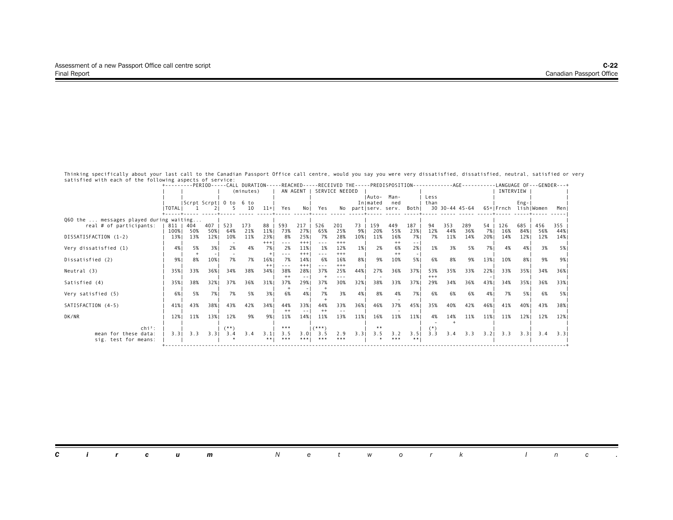|                                         | +---------PERIOD-----CALL DURATION-----REACHED-----RECEIVED THE-----PREDISPOSITION-------------AGE--------- |                        |            |        |           |       |                                                                                                                                                                                                                                                                                                                                                                                              |                      |                |                |      |          |                     |               |       |     |                |      | -LANGUAGE OF---GENDER---+ |           |     |       |
|-----------------------------------------|-------------------------------------------------------------------------------------------------------------|------------------------|------------|--------|-----------|-------|----------------------------------------------------------------------------------------------------------------------------------------------------------------------------------------------------------------------------------------------------------------------------------------------------------------------------------------------------------------------------------------------|----------------------|----------------|----------------|------|----------|---------------------|---------------|-------|-----|----------------|------|---------------------------|-----------|-----|-------|
|                                         |                                                                                                             |                        |            |        | (minutes) |       |                                                                                                                                                                                                                                                                                                                                                                                              | AN AGENT I           |                | SERVICE NEEDED |      |          |                     |               |       |     |                |      | INTERVIEW                 |           |     |       |
|                                         |                                                                                                             |                        |            |        |           |       |                                                                                                                                                                                                                                                                                                                                                                                              |                      |                |                |      | IAuto-   | Man-                |               | Less  |     |                |      |                           |           |     |       |
|                                         |                                                                                                             | Scrpt Scrpt  0 to 6 to |            |        |           |       |                                                                                                                                                                                                                                                                                                                                                                                              |                      |                |                |      | Inlmated | ned                 |               | than  |     |                |      |                           | $Eng -  $ |     |       |
|                                         | <b>I TOTAL I</b>                                                                                            |                        |            |        | 10        | $11+$ | Yes                                                                                                                                                                                                                                                                                                                                                                                          | No I                 | Yes            |                |      |          | No partiserv. serv. | Bothl         |       |     | 30 30-44 45-64 |      | 65+IFrnch lishIWomen      |           |     | Meni  |
| Q60 the  messages played during waiting |                                                                                                             |                        |            |        |           |       |                                                                                                                                                                                                                                                                                                                                                                                              |                      |                |                |      |          |                     |               |       |     |                |      |                           |           |     |       |
| real # of participants:                 | 811   404                                                                                                   |                        | $407 \mid$ | 523    | 173       | 88    | 593                                                                                                                                                                                                                                                                                                                                                                                          | 217                  | 526            | 201            | 73   | 159      | 449                 | 187           | 94    | 353 | 289            | 54   | 126                       | 685       | 456 | 355   |
|                                         | 100%                                                                                                        | 50%                    | 50%        | 64%    | 21%       | 11%   | 73%                                                                                                                                                                                                                                                                                                                                                                                          | 27%                  | 65%            | 25%            | 9%1  | 20%      | 55%                 | 23%           | 12%   | 44% | 36%            | 7% 1 | 16%                       | 84% I     | 56% | 44%   |
| DISSATISFACTION (1-2)                   | 13%                                                                                                         | 13%                    | 12%        | 10%    | 11%       | 23%   | 8%                                                                                                                                                                                                                                                                                                                                                                                           | 25%                  | 7%             | 28%            | 10%  | 11%      | 16%                 | 7% I          | 7%    | 11% | 14%            | 20%  | 14%                       | 12%       | 12% | 14%   |
|                                         |                                                                                                             |                        |            |        |           | $+++$ | $\frac{1}{2} \frac{1}{2} \frac{1}{2} \frac{1}{2} \frac{1}{2} \frac{1}{2} \frac{1}{2} \frac{1}{2} \frac{1}{2} \frac{1}{2} \frac{1}{2} \frac{1}{2} \frac{1}{2} \frac{1}{2} \frac{1}{2} \frac{1}{2} \frac{1}{2} \frac{1}{2} \frac{1}{2} \frac{1}{2} \frac{1}{2} \frac{1}{2} \frac{1}{2} \frac{1}{2} \frac{1}{2} \frac{1}{2} \frac{1}{2} \frac{1}{2} \frac{1}{2} \frac{1}{2} \frac{1}{2} \frac{$ | $+ + +$              |                | $+++$          |      |          | $++$                | $\frac{1}{2}$ |       |     |                |      |                           |           |     |       |
| Very dissatisfied (1)                   | 4%                                                                                                          | 5%                     | 3%1        | 2%     | 4%        | 7% I  | 2%                                                                                                                                                                                                                                                                                                                                                                                           | 11%                  | 1%             | 12%            | 1%   | 2%       | 6%                  | 2%1           | 1%    | 3%  | 5%             | 7% 1 | 4%                        | 4%        | 3%  | 5% 1  |
| Dissatisfied (2)                        | 9%                                                                                                          | 8%                     | 10%        | 7%     | 7%        | 16%   | $- - -$<br>7%                                                                                                                                                                                                                                                                                                                                                                                | $+++$<br>14%         | $- - -$<br>6%  | $+++$<br>16%   | 8%   | 9%       | $++$<br>10%         | 5%            | 6%    | 8%  | 9%             | 13%  | 10%                       | 8%1       | 9%  | 9% I  |
|                                         |                                                                                                             |                        |            |        |           | $++$  | $- - -$                                                                                                                                                                                                                                                                                                                                                                                      | $+++$                | $- - -$        | $+++$          |      |          |                     |               |       |     |                |      |                           |           |     |       |
| Neutral (3)                             | 35%                                                                                                         | 33%                    | 36%        | 34%    | 38%       | 34%1  | 38%                                                                                                                                                                                                                                                                                                                                                                                          | 28%                  | 37%            | 25%            | 44%  | 27%      | 36%                 | 37%           | 53%   | 35% | 33%            | 22%  | 33%                       | 35%1      | 34% | 36% 1 |
|                                         |                                                                                                             |                        |            |        |           |       | $++$                                                                                                                                                                                                                                                                                                                                                                                         | $\frac{1}{2}$        |                |                |      |          |                     |               | $+++$ |     |                |      |                           |           |     |       |
| Satisfied (4)                           | 35%                                                                                                         | 38%                    | 32%        | 37%    | 36%       | 31%   | 37%                                                                                                                                                                                                                                                                                                                                                                                          | 29%                  | 37%            | 30%            | 32%  | 38%      | 33%                 | 37%           | 29%   | 34% | 36%            | 43%  | 34%                       | 35%       | 36% | 33% 1 |
|                                         |                                                                                                             |                        |            |        |           |       |                                                                                                                                                                                                                                                                                                                                                                                              |                      |                |                |      |          |                     |               |       |     |                |      |                           |           |     |       |
| Very satisfied (5)                      | 6%                                                                                                          | 5%                     | 7%1        | 7%     | 5%        | 3%    | 6%                                                                                                                                                                                                                                                                                                                                                                                           | 4%                   | 7%             | 3%             | 4%   | 8%       | 4%                  | 7%1           | 6%    | 6%  | 6%             | 4%   | 7%                        | 5% I      | 6%  | 5% 1  |
|                                         |                                                                                                             |                        |            |        |           |       |                                                                                                                                                                                                                                                                                                                                                                                              |                      |                |                |      |          |                     |               |       |     |                |      |                           |           |     |       |
| SATISFACTION (4-5)                      | 41%                                                                                                         | 43%                    | 38%1       | 43%    | 42%       | 34%1  | 44%<br>$^{++}$                                                                                                                                                                                                                                                                                                                                                                               | 33%<br>$\frac{1}{2}$ | 44%<br>$^{++}$ | 33%            | 36%  | 46%      | 37%                 | 45%           | 35%   | 40% | 42%            | 46%  | 41%                       | 40%       | 43% | 38%1  |
| DK/NR                                   | 12%                                                                                                         | 11%                    | 13%        | 12%    | 9%        | 9%1   | 11%                                                                                                                                                                                                                                                                                                                                                                                          | 14%                  | 11%            | 13%            | 11%  | 16%      | 11%                 | 11%           | 4%    | 14% | 11%            | 11%  | 11%                       | 12%       | 12% | 12%   |
|                                         |                                                                                                             |                        |            |        |           |       |                                                                                                                                                                                                                                                                                                                                                                                              |                      |                |                |      |          |                     |               |       |     |                |      |                           |           |     |       |
| $\mathsf{chi}^2$ :                      |                                                                                                             |                        |            | $(**)$ |           |       | ***                                                                                                                                                                                                                                                                                                                                                                                          |                      | $($ ***)       |                |      |          |                     |               |       |     |                |      |                           |           |     |       |
| mean for these data:                    | 3.31                                                                                                        | 3.3                    | 3.3        | 3.4    | 3.4       | 3.1   | 3.5                                                                                                                                                                                                                                                                                                                                                                                          | 3.01                 | 3.5            | 2.9            | 3.31 | 3.5      | 3.2                 | 3.51          | 3.3   | 3.4 | 3.3            | 3.21 | 3.3                       | 3.3       | 3.4 | 3.31  |
| sig. test for means:                    |                                                                                                             |                        |            |        |           | ** 1  | ***                                                                                                                                                                                                                                                                                                                                                                                          | ***!                 | ***            | ***            |      |          | ***                 | **            |       |     |                |      |                           |           |     |       |
|                                         |                                                                                                             |                        |            |        |           |       |                                                                                                                                                                                                                                                                                                                                                                                              |                      |                |                |      |          |                     |               |       |     |                |      |                           |           |     |       |

|  |  | <b>Circum</b> Network Inc. |  |  |  |  |  |  |
|--|--|----------------------------|--|--|--|--|--|--|
|  |  |                            |  |  |  |  |  |  |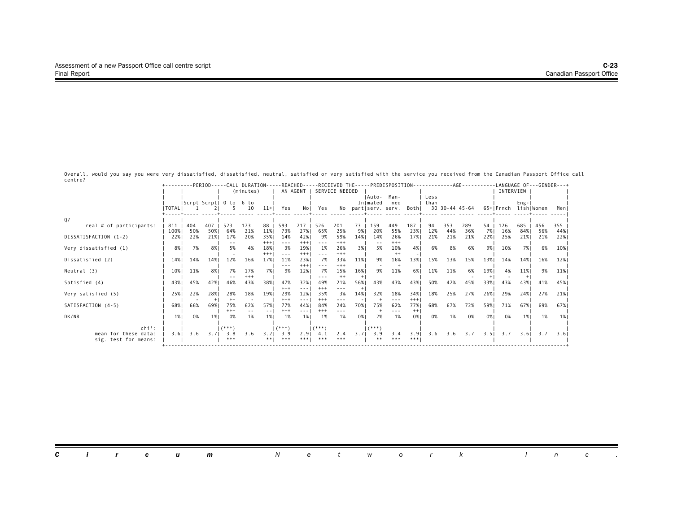Overall, would you say you were very dissatisfied, dissatisfied, neutral, satisfied or very satisfied with the service you received from the Canadian Passport Office call centre?

|                         |           |     |      |                   |                 |          |                                                                                                                                                                                                                                                                                                                                                                                              |            |              |                |      |          |                     |          |      |     | +---------PERIOD-----CALL DURATION-----REACHED-----RECEIVED THE-----PREDISPOSITION-----------AGE--------LANGUAGE OF---GENDER---+ |      |                      |         |     |       |
|-------------------------|-----------|-----|------|-------------------|-----------------|----------|----------------------------------------------------------------------------------------------------------------------------------------------------------------------------------------------------------------------------------------------------------------------------------------------------------------------------------------------------------------------------------------------|------------|--------------|----------------|------|----------|---------------------|----------|------|-----|----------------------------------------------------------------------------------------------------------------------------------|------|----------------------|---------|-----|-------|
|                         |           |     |      |                   | (minutes)       |          | AN AGENT                                                                                                                                                                                                                                                                                                                                                                                     |            |              | SERVICE NEEDED |      |          |                     |          |      |     |                                                                                                                                  |      | INTERVIEW            |         |     |       |
|                         |           |     |      |                   |                 |          |                                                                                                                                                                                                                                                                                                                                                                                              |            |              |                |      | IAuto-   | Man-                |          | Less |     |                                                                                                                                  |      |                      |         |     |       |
|                         |           |     |      | Scrpt Scrpt  O to | 6 to            |          |                                                                                                                                                                                                                                                                                                                                                                                              |            |              |                |      | Inlmated | ned                 |          | than |     |                                                                                                                                  |      |                      | $Eng -$ |     |       |
|                         | I TOTAL I |     |      |                   | 10              | $11+$    | Yes                                                                                                                                                                                                                                                                                                                                                                                          | Nol        | Yes          |                |      |          | No part serv. serv. | Both     |      |     | 30 30-44 45-64                                                                                                                   |      | 65+ Frnch lish Women |         |     | Menl  |
|                         |           |     |      |                   |                 |          |                                                                                                                                                                                                                                                                                                                                                                                              |            |              |                |      |          |                     |          |      |     |                                                                                                                                  |      |                      |         |     |       |
| Q7                      |           |     |      |                   |                 |          |                                                                                                                                                                                                                                                                                                                                                                                              |            |              |                |      |          |                     |          |      |     |                                                                                                                                  |      |                      |         |     |       |
| real # of participants: | 811       | 404 | 407  | 523               | 173             | 88       | 593                                                                                                                                                                                                                                                                                                                                                                                          | 217        | 526          | 201            | 73   | 159      | 449                 | 187      | 94   | 353 | 289                                                                                                                              | 54   | 126                  | 685     | 456 | 355   |
|                         | 100%      | 50% | 50%  | 64%               | 21%             | 11%      | 73%                                                                                                                                                                                                                                                                                                                                                                                          | 27%        | 65%          | 25%            | 9%   | 20%      | 55%                 | 23%      | 12%  | 44% | 36%                                                                                                                              | 7% 1 | 16%                  | 84% I   | 56% | 44%   |
| DISSATISFACTION (1-2)   | 22%       | 22% | 21%  | 17%               | 20%             | 35%      | 14%                                                                                                                                                                                                                                                                                                                                                                                          | 42%        | 9%           | 59%            | 14%  | 14%      | 26%                 | 17%      | 21%  | 21% | 21%                                                                                                                              | 22%  | 25%                  | 21%     | 21% | 22%   |
|                         |           |     |      |                   |                 | $^{+++}$ | ---                                                                                                                                                                                                                                                                                                                                                                                          | $+++$      |              | $+++$          |      |          | $+++$               |          |      |     |                                                                                                                                  |      |                      |         |     |       |
| Very dissatisfied (1)   | 8%        | 7%  | 8%   | 5%                | 4%              | 18%      | 3%                                                                                                                                                                                                                                                                                                                                                                                           | 19%        | 1%           | 26%            | 3%   | 5%       | 10%                 | 4%       | 6%   | 8%  | 6%                                                                                                                               | 9%1  | 10%                  | 7%1     | 6%  | 10%   |
|                         |           |     |      |                   |                 | $+++$    | $\frac{1}{2} \frac{1}{2} \frac{1}{2} \frac{1}{2} \frac{1}{2} \frac{1}{2} \frac{1}{2} \frac{1}{2} \frac{1}{2} \frac{1}{2} \frac{1}{2} \frac{1}{2} \frac{1}{2} \frac{1}{2} \frac{1}{2} \frac{1}{2} \frac{1}{2} \frac{1}{2} \frac{1}{2} \frac{1}{2} \frac{1}{2} \frac{1}{2} \frac{1}{2} \frac{1}{2} \frac{1}{2} \frac{1}{2} \frac{1}{2} \frac{1}{2} \frac{1}{2} \frac{1}{2} \frac{1}{2} \frac{$ | $+ + +$    | $- - -$      | $+++$          |      |          | $^{++}$             |          |      |     |                                                                                                                                  |      |                      |         |     |       |
| Dissatisfied (2)        | 14%       | 14% | 14%  | 12%               | 16%             | 17%      | 11%                                                                                                                                                                                                                                                                                                                                                                                          | 23%        | 7%           | 33%            | 11%  | 9%       | 16%                 | 13%      | 15%  | 13% | 15%                                                                                                                              | 13%  | 14%                  | 14%     | 16% | 12%   |
|                         |           |     |      |                   |                 |          | ---                                                                                                                                                                                                                                                                                                                                                                                          | $+ + +$    |              | $***$          |      |          |                     |          |      |     |                                                                                                                                  |      |                      |         |     |       |
| Neutral (3)             | 10%       | 11% | 8% I | 7%                | 17%<br>$^{+++}$ | 7%       | 9%                                                                                                                                                                                                                                                                                                                                                                                           | 12%        | 7%           | 15%<br>$++$    | 16%  | 9%       | 11%                 | 6%       | 11%  | 11% | 6%                                                                                                                               | 19%  | 4%                   | 11%     | 9%  | 11%   |
|                         |           |     |      |                   |                 |          |                                                                                                                                                                                                                                                                                                                                                                                              |            | $- - -$      |                | $+1$ |          |                     |          |      |     |                                                                                                                                  |      |                      |         |     |       |
| Satisfied (4)           | 43%       | 45% | 42%  | 46%               | 43%             | 38%      | 47%<br>$+++$                                                                                                                                                                                                                                                                                                                                                                                 | 32%<br>--- | 49%<br>$***$ | 21%            | 56%  | 43%      | 43%                 | 43%      | 50%  | 42% | 45%                                                                                                                              | 33%  | 43%                  | 43%     | 41% | 45% I |
| Very satisfied (5)      | 25%       | 22% | 28%  | 28%               | 18%             | 19%      | 29%                                                                                                                                                                                                                                                                                                                                                                                          | 12%        | 35%          | ---<br>3%      | 14%  | 32%      | 18%                 | 34%      | 18%  | 25% | 27%                                                                                                                              | 26%  | 29%                  | 24%     | 27% | 21%   |
|                         |           |     |      | $^{++}$           |                 |          | $+++$                                                                                                                                                                                                                                                                                                                                                                                        |            | $***$        |                |      |          |                     | $^{+++}$ |      |     |                                                                                                                                  |      |                      |         |     |       |
| SATISFACTION (4-5)      | 68%       | 66% | 69%  | 75%               | 62%             | 57%      | 77%                                                                                                                                                                                                                                                                                                                                                                                          | ---<br>44% | 84%          | 24%            | 70%  | 75%      | 62%                 | 77%      | 68%  | 67% | 72%                                                                                                                              | 59%  | 71%                  | 67%     | 69% | 67%   |
|                         |           |     |      | $^{+++}$          |                 |          | $^{+++}$                                                                                                                                                                                                                                                                                                                                                                                     | ---        | $^{+++}$     |                |      |          |                     | $++$     |      |     |                                                                                                                                  |      |                      |         |     |       |
| DK/NR                   | 1%        | 0%  | 1%   | 0%                | 1%              | 1%       | 1%                                                                                                                                                                                                                                                                                                                                                                                           | 1%         | 1%           | 1%             | 0%   | 2%       | 1%                  | 0%1      | 0%   | 1%  | 0%                                                                                                                               | 0%   | 0%                   | 1%      | 1%  | 1%    |
|                         |           |     |      |                   |                 |          |                                                                                                                                                                                                                                                                                                                                                                                              |            |              |                |      |          |                     |          |      |     |                                                                                                                                  |      |                      |         |     |       |
| $\mathsf{chi}^2$ :      |           |     |      | $(***")$          |                 |          | $(***")$                                                                                                                                                                                                                                                                                                                                                                                     |            | $(***")$     |                |      | $(***")$ |                     |          |      |     |                                                                                                                                  |      |                      |         |     |       |
| mean for these data:    | 3.61      | 3.6 | 3.71 | 3.8               | 3.6             | 3.21     | 3.9                                                                                                                                                                                                                                                                                                                                                                                          | 2.91       | 4.1          | 2.4            | 3.71 | 3.9      | 3.4                 | 3.9      | 3.6  |     | $3.6$ $3.7$                                                                                                                      | 3.51 | 3.7                  | 3.61    | 3.7 | 3.61  |
| sig. test for means:    |           |     |      | ***               |                 | ** 1     | ***                                                                                                                                                                                                                                                                                                                                                                                          | ***!       | ***          | ***            |      | **       | ***                 | ***      |      |     |                                                                                                                                  |      |                      |         |     |       |
|                         |           |     |      |                   |                 |          |                                                                                                                                                                                                                                                                                                                                                                                              |            |              |                |      |          |                     |          |      |     |                                                                                                                                  |      |                      |         |     |       |

| <b>Circum</b> Network Inc. |  |
|----------------------------|--|
|----------------------------|--|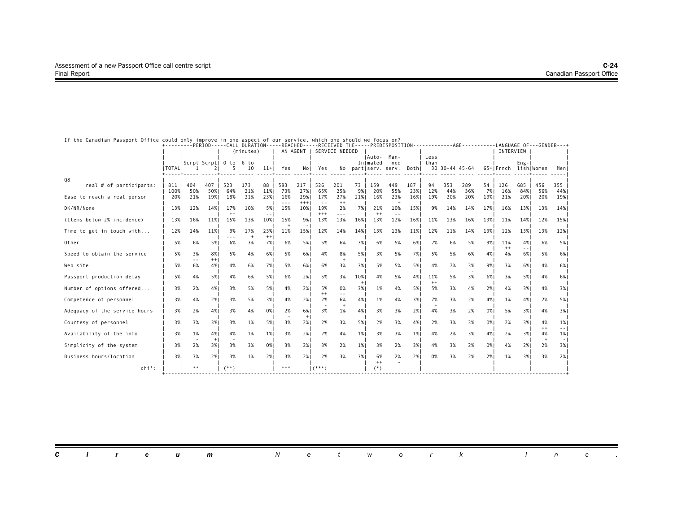| If the Canadian Passport Office could only improve in one aspect of our service, which one should we focus on? |                  |                     |             |             |            |                                                                                                                                                                                                                                                                                                                                                                                                     |                |              |                      |                |              |                     |             |            |              |                | +---------PERIOD-----CALL DURATION-----REACHED-----RECEIVED THE-----PREDISPOSITION-----------AGE--------LANGUAGE OF---GENDER---+ |            |            |            |              |                                                                                                                                                                                                                                                                                                                                                                                                                                                      |
|----------------------------------------------------------------------------------------------------------------|------------------|---------------------|-------------|-------------|------------|-----------------------------------------------------------------------------------------------------------------------------------------------------------------------------------------------------------------------------------------------------------------------------------------------------------------------------------------------------------------------------------------------------|----------------|--------------|----------------------|----------------|--------------|---------------------|-------------|------------|--------------|----------------|----------------------------------------------------------------------------------------------------------------------------------|------------|------------|------------|--------------|------------------------------------------------------------------------------------------------------------------------------------------------------------------------------------------------------------------------------------------------------------------------------------------------------------------------------------------------------------------------------------------------------------------------------------------------------|
|                                                                                                                |                  |                     |             |             | (minutes)  |                                                                                                                                                                                                                                                                                                                                                                                                     |                | AN AGENT     |                      | SERVICE NEEDED |              |                     |             |            |              |                |                                                                                                                                  |            | INTERVIEW  |            |              |                                                                                                                                                                                                                                                                                                                                                                                                                                                      |
|                                                                                                                |                  | Scrpt Scrpt  0 to   |             |             | 6 to       |                                                                                                                                                                                                                                                                                                                                                                                                     |                |              |                      |                |              | IAuto-<br>Inlmated  | Man-<br>ned |            | Less<br>than |                |                                                                                                                                  |            |            | $Eng-$     |              |                                                                                                                                                                                                                                                                                                                                                                                                                                                      |
|                                                                                                                | <b>I TOTAL I</b> |                     |             |             | 10         | $11+$                                                                                                                                                                                                                                                                                                                                                                                               | Yes            | Nol          | Yes                  |                |              | No partiserv. serv. |             | Bothl      |              | 30 30-44 45-64 |                                                                                                                                  |            | 65+lFrnch  | lishIWomen |              | Menl                                                                                                                                                                                                                                                                                                                                                                                                                                                 |
| Q8                                                                                                             |                  |                     |             |             |            |                                                                                                                                                                                                                                                                                                                                                                                                     |                |              |                      |                |              |                     |             |            |              |                |                                                                                                                                  |            |            |            |              |                                                                                                                                                                                                                                                                                                                                                                                                                                                      |
| real # of participants:                                                                                        | 811<br>100%      | 404<br>50%          | 407<br>50%1 | 523<br>64%  | 173<br>21% | 88<br>11%                                                                                                                                                                                                                                                                                                                                                                                           | 593<br>73%     | 217<br>27%   | 526<br>65%           | 201<br>25%     | 73<br>9%     | 159<br>20%          | 449<br>55%  | 187<br>23% | 94<br>12%    | 353<br>44%     | 289<br>36%                                                                                                                       | 54<br>7% I | 126<br>16% | 685<br>84% | 456<br>56%   | 355<br>44%                                                                                                                                                                                                                                                                                                                                                                                                                                           |
| Ease to reach a real person                                                                                    | 20%1             | 21%                 | 19%         | 18%         | 21%        | 23%                                                                                                                                                                                                                                                                                                                                                                                                 | 16%<br>$- - -$ | 29%<br>$+++$ | 17%<br>$\sim$ $\sim$ | 27%<br>$++$    | 21%          | 16%                 | 23%<br>$+$  | 16%        | 19%          | 20%            | 20%                                                                                                                              | 19%        | 21%        | 20%        | 20%          | 19%                                                                                                                                                                                                                                                                                                                                                                                                                                                  |
| DK/NR/None                                                                                                     | 13%              | 12%                 | 14%         | 17%         | 10%        | 5%                                                                                                                                                                                                                                                                                                                                                                                                  | 15%            | 10%          | 19%                  | 2%             | 7%1          | 21%                 | 10%         | 15%        | 9%           | 14%            | 14%                                                                                                                              | 17%        | 16%        | 13%        | 13%          | 14%                                                                                                                                                                                                                                                                                                                                                                                                                                                  |
| (Items below 2% incidence)                                                                                     | 13%              | 16%                 | 11%         | $++$<br>15% | 13%        | $\frac{1}{2} \frac{1}{2} \frac{1}{2} \frac{1}{2} \frac{1}{2} \frac{1}{2} \frac{1}{2} \frac{1}{2} \frac{1}{2} \frac{1}{2} \frac{1}{2} \frac{1}{2} \frac{1}{2} \frac{1}{2} \frac{1}{2} \frac{1}{2} \frac{1}{2} \frac{1}{2} \frac{1}{2} \frac{1}{2} \frac{1}{2} \frac{1}{2} \frac{1}{2} \frac{1}{2} \frac{1}{2} \frac{1}{2} \frac{1}{2} \frac{1}{2} \frac{1}{2} \frac{1}{2} \frac{1}{2} \frac{$<br>10% | 15%            | 9%           | $***$<br>13%         | ---<br>13%     | 16%          | $++$<br>13%         | 12%         | 16%        | 11%          | 13%            | 16%                                                                                                                              | 13%        | 11%        | 14%        | 12%          | 15%                                                                                                                                                                                                                                                                                                                                                                                                                                                  |
| Time to get in touch with                                                                                      | 12%              | 14%                 | 11%         | 9%          | 17%        | 23%                                                                                                                                                                                                                                                                                                                                                                                                 | 11%            | 15%          | 12%                  | 14%            | 14%          | 13%                 | 13%         | 11%        | 12%          | 11%            | 14%                                                                                                                              | 13%        | 12%        | 13%        | 13%          | 12%                                                                                                                                                                                                                                                                                                                                                                                                                                                  |
| Other                                                                                                          | 5% 1             | 6%                  | 5%          | ---<br>6%   | $+$<br>3%  | $^{++}$<br>7%1                                                                                                                                                                                                                                                                                                                                                                                      | 6%             | 5%           | 5%                   | 6%             | 3%           | 6%                  | 5%          | 6%         | 2%           | 6%             | 5%                                                                                                                               | 9%         | 11%        | 4%         | 6%           | 5%                                                                                                                                                                                                                                                                                                                                                                                                                                                   |
| Speed to obtain the service                                                                                    | 5%               | 3%                  | 8%          | 5%          | 4%         | 6%                                                                                                                                                                                                                                                                                                                                                                                                  | 5%             | 6%           | 4%                   | 8%             | 5%           | 3%                  | 5%          | 7%         | 5%           | 5%             | 6%                                                                                                                               | 4%         | $++$<br>4% | 6%         | 5%           | 6%                                                                                                                                                                                                                                                                                                                                                                                                                                                   |
| Web site                                                                                                       | 5% 1             | $\frac{1}{2}$<br>6% | $++$<br>4%  | 4%          | 6%         | 7%                                                                                                                                                                                                                                                                                                                                                                                                  | 5%             | 6%           | 6%                   | 3%             | 3%           | 5%                  | 5%          | 5%         | 4%           | 7%             | 3%                                                                                                                               | 9%         | 3%         | 6%         | 4%           | 6%                                                                                                                                                                                                                                                                                                                                                                                                                                                   |
| Passport production delay                                                                                      | 5% 1             | 4%                  | 5%          | 4%          | 6%         | 5%                                                                                                                                                                                                                                                                                                                                                                                                  | 6%             | 2%           | 5%                   | 3%             | 10%          | 4%                  | 5%          | 4%         | 11%<br>$++$  | 5%             | 3%                                                                                                                               | 6%1        | 3%         | 5%1        | 4%           | 6%                                                                                                                                                                                                                                                                                                                                                                                                                                                   |
| Number of options offered                                                                                      | 3%               | 2%                  | 4%          | 3%          | 5%         | 5%                                                                                                                                                                                                                                                                                                                                                                                                  | 4%             | 2%           | 5%<br>$++$           | 0%             | $^{+}$<br>3% | 1%                  | 4%          | 5%         | 5%           | 3%             | 4%                                                                                                                               | 2%         | 4%         | 3%         | 4%           | 3%                                                                                                                                                                                                                                                                                                                                                                                                                                                   |
| Competence of personnel                                                                                        | 3%               | 4%                  | 2%1         | 3%          | 5%         | 3%                                                                                                                                                                                                                                                                                                                                                                                                  | 4%             | 2%           | 2%                   | 6%             | 4%           | 1%                  | 4%          | 3%         | 7%<br>$^{+}$ | 3%             | 2%                                                                                                                               | 4%         | 1%         | 4%         | 2%           | 5%                                                                                                                                                                                                                                                                                                                                                                                                                                                   |
| Adequacy of the service hours                                                                                  | 3%               | 2%                  | 4%          | 3%          | 4%         | 0%                                                                                                                                                                                                                                                                                                                                                                                                  | 2%             | 6%<br>$+$    | 3%                   | 1%             | 4%           | 3%                  | 3%          | 2%         | 4%           | 3%             | 2%                                                                                                                               | 0%         | 5%         | 3%         | 4%           | 3%                                                                                                                                                                                                                                                                                                                                                                                                                                                   |
| Courtesy of personnel                                                                                          | 3% 1             | 3%                  | 3%1         | 3%          | 1%         | 5%                                                                                                                                                                                                                                                                                                                                                                                                  | 3%             | 2%1          | 2%                   | 3%             | 5%           | 2%                  | 3%          | 4%         | 2%           | 3%             | 3%                                                                                                                               | 0%         | 2%         | 3%         | 4%<br>$++$   | 1%<br>$\frac{1}{2} \left( \frac{1}{2} \right) \frac{1}{2} \left( \frac{1}{2} \right) \frac{1}{2} \left( \frac{1}{2} \right) \frac{1}{2} \left( \frac{1}{2} \right) \frac{1}{2} \left( \frac{1}{2} \right) \frac{1}{2} \left( \frac{1}{2} \right) \frac{1}{2} \left( \frac{1}{2} \right) \frac{1}{2} \left( \frac{1}{2} \right) \frac{1}{2} \left( \frac{1}{2} \right) \frac{1}{2} \left( \frac{1}{2} \right) \frac{1}{2} \left( \frac{1}{2} \right)$ |
| Availability of the info                                                                                       | 3%               | 1%                  | 4%<br>$+1$  | 4%          | 1%         | 1%                                                                                                                                                                                                                                                                                                                                                                                                  | 3%             | 2%           | 2%                   | 4%             | 1%           | 3%                  | 3%          | 1%         | 4%           | 2%             | 3%                                                                                                                               | 4%         | 2%         | 3%         | 4%<br>$^{+}$ | 1%<br>$\lnot$                                                                                                                                                                                                                                                                                                                                                                                                                                        |
| Simplicity of the system                                                                                       | 3%               | 2%                  | 3%1         | 3%          | 3%         | 0%                                                                                                                                                                                                                                                                                                                                                                                                  | 3%             | 2%           | 3%                   | 2%             | 1%           | 3%                  | 2%          | 3%         | 4%           | 3%             | 2%                                                                                                                               | 0%         | 4%         | 2%         | 2%           | 3%                                                                                                                                                                                                                                                                                                                                                                                                                                                   |
| Business hours/location                                                                                        | 3%               | 3%                  | 2%          | 3%          | 1%         | 2%1                                                                                                                                                                                                                                                                                                                                                                                                 | 3%             | 2%1          | 2%                   | 3%             | 3%           | 6%<br>$++$          | 2%          | 2%         | 0%           | 3%             | 2%                                                                                                                               | 2%         | 1%         | 3%         | 3%           | 2%1                                                                                                                                                                                                                                                                                                                                                                                                                                                  |
| $chi^2$ :                                                                                                      |                  | $* *$               |             | $(**)$      |            |                                                                                                                                                                                                                                                                                                                                                                                                     | ***            |              | $($ ***)             |                |              | $(*)$               |             |            |              |                |                                                                                                                                  |            |            |            |              |                                                                                                                                                                                                                                                                                                                                                                                                                                                      |

|  |  | <b>Circum</b> Network Inc. |  |  |  |  |  |  |
|--|--|----------------------------|--|--|--|--|--|--|
|  |  |                            |  |  |  |  |  |  |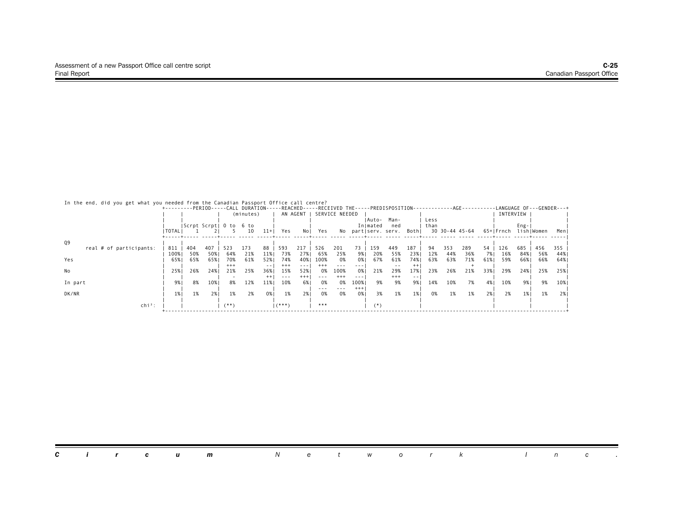#### In the end, did you get what you needed from the Canadian Passport Office call centre?

|                         |                |     |                        |         |           |         |          |          |          |                |          |          | +---------PERIOD-----CALL DURATION-----REACHED-----RECEIVED THE-----PREDISPOSITION- |         |      |     |                |      |           |           |            | ------------AGE-----------LANGUAGE OF---GENDER---+ |
|-------------------------|----------------|-----|------------------------|---------|-----------|---------|----------|----------|----------|----------------|----------|----------|-------------------------------------------------------------------------------------|---------|------|-----|----------------|------|-----------|-----------|------------|----------------------------------------------------|
|                         |                |     |                        |         | (minutes) |         |          | AN AGENT |          | SERVICE NEEDED |          |          |                                                                                     |         |      |     |                |      | INTERVIEW |           |            |                                                    |
|                         |                |     |                        |         |           |         |          |          |          |                |          | lAuto-   | Man-                                                                                |         | Less |     |                |      |           |           |            |                                                    |
|                         |                |     | Scrpt Scrpt  0 to 6 to |         |           |         |          |          |          |                |          | In mated | ned                                                                                 |         | than |     |                |      |           | $Eng -  $ |            |                                                    |
|                         | <b>I TOTAL</b> |     |                        |         | 10        | $11+$   | Yes      | Nol      | Yes      | No             |          |          | partiserv. serv. Bothi                                                              |         |      |     | 30 30-44 45-64 |      | 65+ Frnch |           | lish Women | Menl                                               |
|                         |                |     |                        |         |           |         |          |          |          |                |          |          |                                                                                     |         |      |     |                |      |           |           |            |                                                    |
| Q9                      |                |     |                        |         |           |         |          |          |          |                |          |          |                                                                                     |         |      |     |                |      |           |           |            |                                                    |
| real # of participants: | 811            | 404 | 407                    | 523     | 173       | 88      | 593      | 217      | 526      | 201            | 73       | 159      | 449                                                                                 | 187     | 94   | 353 | 289            | 54   | 126       | 685       | 456        | 355                                                |
|                         | 100%           | 50% | 50%                    | 64%     | 21%       | 11%     | 73%      | 27%      | 65%      | 25%            | 9%       | 20%      | 55%                                                                                 | 23%     | 12%  | 44% | 36%            | 7% I | 16%       | 84%       | 56%        | 44%                                                |
| Yes                     | 65%            | 65% | 65%                    | 70%     | 61%       | 52%     | 74%      | 40%      | 100%     | 0%             | 0%       | 67%      | 61%                                                                                 | 74%     | 63%  | 63% | 71%            | 61%  | 59%       | 66%       | 66%        | 64%                                                |
|                         |                |     |                        | $***$   |           | $ -$    | $^{+++}$ | $- - -$  | $^{+++}$ | $- - -$        | $- - -$  |          | $ -$                                                                                | $^{++}$ |      |     |                |      |           |           |            |                                                    |
| No                      | 25%            | 26% | 24%                    | 21%     | 25%       | 36%     | 15%      | 52%      | -0%      | 100%           | 0%       | 21%      | 29%                                                                                 | 17%     | 23%  | 26% | 21%            | 33%1 | 29%       | 24%1      | 25%        | 25%                                                |
|                         |                |     |                        |         |           | $^{++}$ | $- - -$  | $^{+++}$ |          | $^{+++}$       | $- - -$  |          | $+++$                                                                               | $ -$    |      |     |                |      |           |           |            |                                                    |
| In part                 | 9%             | 8%  | 10%                    | 8%      | 12%       | 11%     | 10%      | 6%       | 0%       | 0%             | 100%     | 9%       | 9%                                                                                  | 9%      | 14%  | 10% | 7%             | 4% I | 10%       | 9% I      | 9%         | 10%                                                |
|                         |                |     |                        |         |           |         |          |          | $- - -$  | $\frac{1}{2}$  | $^{+++}$ |          |                                                                                     |         |      |     |                |      |           |           |            |                                                    |
| DK/NR                   | 1%             | 1%  | 2%                     | 1%      | 2%        | 0%      | 1%       | 2%       | 0%       | 0%             | 0%       | 3%       | 1%                                                                                  | 1%      | 0%   | 1%  | 1%             | 2%   | 2%        | 1%        | 1%         | 2%                                                 |
|                         |                |     |                        |         |           |         |          |          |          |                |          |          |                                                                                     |         |      |     |                |      |           |           |            |                                                    |
| $chi^2$ :               |                |     |                        | $($ **) |           |         | $($ ***) |          | ***      |                |          | (*       |                                                                                     |         |      |     |                |      |           |           |            |                                                    |
|                         |                |     |                        |         |           |         |          |          |          |                |          |          |                                                                                     |         |      |     |                |      |           |           |            |                                                    |

|  |  |  |  |  |  | <b>Circum</b> Network Inc. |  |  |
|--|--|--|--|--|--|----------------------------|--|--|
|  |  |  |  |  |  |                            |  |  |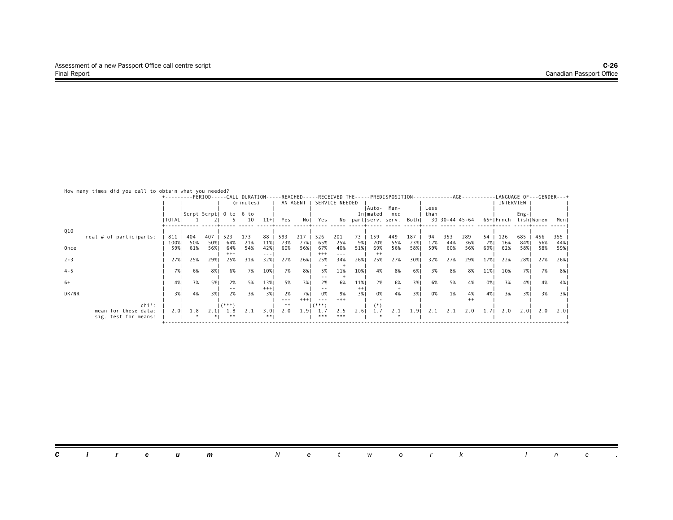| -LANGUAGE OF---GENDER---+                                               |
|-------------------------------------------------------------------------|
|                                                                         |
|                                                                         |
|                                                                         |
| lish Women<br>Meni                                                      |
|                                                                         |
| 456<br>355                                                              |
| 56%<br>44%                                                              |
| 59%<br>58%                                                              |
| 27%<br>26%                                                              |
|                                                                         |
| 7%<br>8%                                                                |
|                                                                         |
| 4%<br>-4%                                                               |
| 3%<br>3%                                                                |
|                                                                         |
|                                                                         |
| 2.01<br>2.0<br>2.01                                                     |
|                                                                         |
| INTERVIEW<br>$Eng -$<br>685<br>84% <br>58%<br>28%<br>7%1<br>4%  <br>3%1 |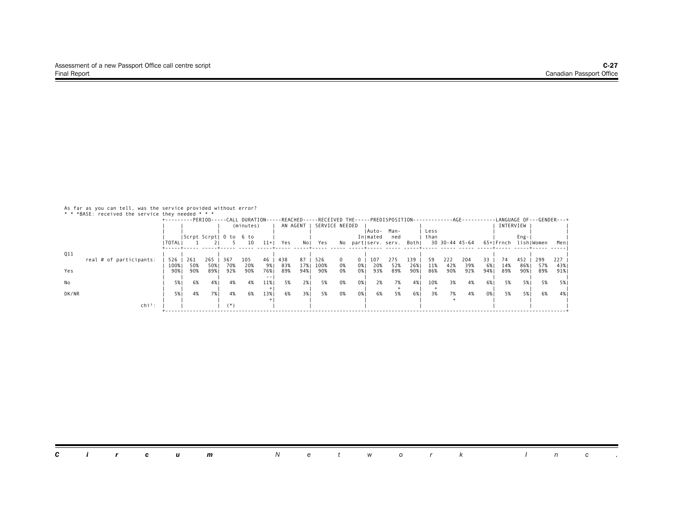As far as you can tell, was the service provided without error? \* \* \*BASE: received the service they needed \* \* \*

|       | DAJL, I CLC I VEU LIIC SCI VILLE LIICY IICCUCU |                                                                                                                                   |                        |       |     |           |       |     |          |      |                |      |          |                           |        |      |                |     |      |           |      |            |      |
|-------|------------------------------------------------|-----------------------------------------------------------------------------------------------------------------------------------|------------------------|-------|-----|-----------|-------|-----|----------|------|----------------|------|----------|---------------------------|--------|------|----------------|-----|------|-----------|------|------------|------|
|       |                                                | +---------PERIOD-----CALL DURATION-----REACHED-----RECEIVED THE-----PREDISPOSITION-----------AGE---------LANGUAGE OF---GENDER---+ |                        |       |     |           |       |     |          |      |                |      |          |                           |        |      |                |     |      |           |      |            |      |
|       |                                                |                                                                                                                                   |                        |       |     | (minutes) |       |     | AN AGENT |      | SERVICE NEEDED |      |          |                           |        |      |                |     |      | INTERVIEW |      |            |      |
|       |                                                |                                                                                                                                   |                        |       |     |           |       |     |          |      |                |      | lAuto-   | Man-                      |        | Less |                |     |      |           |      |            |      |
|       |                                                |                                                                                                                                   | Scrpt Scrpt  0 to 6 to |       |     |           |       |     |          |      |                |      | In mated | ned                       |        | than |                |     |      |           | Eng- |            |      |
|       |                                                | I TOTAL I                                                                                                                         |                        |       |     | 10        | $11+$ | Yes | Nol      | Yes  |                |      |          | No partiserv. serv. Bothi |        |      | 30 30-44 45-64 |     |      | 65+IFrnch |      | lishIWomen | Menl |
|       |                                                |                                                                                                                                   |                        |       |     |           |       |     |          |      |                |      |          |                           |        |      |                |     |      |           |      |            |      |
| Q11   |                                                |                                                                                                                                   |                        |       |     |           |       |     |          |      |                |      |          |                           |        |      |                |     |      |           |      |            |      |
|       | real # of participants:                        | 526                                                                                                                               | 261                    | 265   | 367 | 105       | 46    | 438 | 87       | 526  |                | 0    | 107      | 275                       | 139    | -59  | 222            | 204 | 33.  | 74        | 452  | 299        | 227  |
|       |                                                | 100%                                                                                                                              | 50%                    | 50%   | 70% | 20%       | 9% I  | 83% | 17%      | 100% | 0%             | 0%   | 20%      | 52%                       | 26%    | 11%  | 42%            | 39% | 6% I | 14%       | 86%  | 57%        | 43%  |
| Yes   |                                                | 90%                                                                                                                               | 90%                    | 89% I | 92% | 90%       | 76% I | 89% | 94%      | 90%  | 0%             | 0% I | 93%      | 89%                       | 90%    | 86%  | 90%            | 92% | 94%  | 89%       | 90%  | 89%        | 91%  |
|       |                                                |                                                                                                                                   |                        |       |     |           | $ -$  |     |          |      |                |      |          |                           |        |      |                |     |      |           |      |            |      |
| No    |                                                | 5%                                                                                                                                | 6%                     | 4%    | 4%  | 4%        | 11%   | 5%  | 2% I     | 5%   | 0%             | 0%   | 2%       | 7%                        | 4%     | 10%  | 3%             | 4%  | 6%   | 5%        | 5%   | 5%         | 5% I |
|       |                                                |                                                                                                                                   |                        |       |     |           |       |     |          |      |                |      |          |                           |        |      |                |     |      |           |      |            |      |
| DK/NR |                                                | 5%                                                                                                                                | 4%                     | 7% I  | 4%  | 6%        | 13%   | 6%  | 3%1      | 5%   | 0%             | 0% 1 | 6%       | 5%                        | - 6% I | 3%   | 7%             | 4%  | 0% 1 | 5%        | 5% l | 6%         | 4% I |
|       |                                                |                                                                                                                                   |                        |       |     |           |       |     |          |      |                |      |          |                           |        |      |                |     |      |           |      |            |      |
|       | $\ch{i}^2$ :                                   |                                                                                                                                   |                        |       | (*` |           |       |     |          |      |                |      |          |                           |        |      |                |     |      |           |      |            |      |
|       |                                                |                                                                                                                                   |                        |       |     |           |       |     |          |      |                |      |          |                           |        |      |                |     |      |           |      |            |      |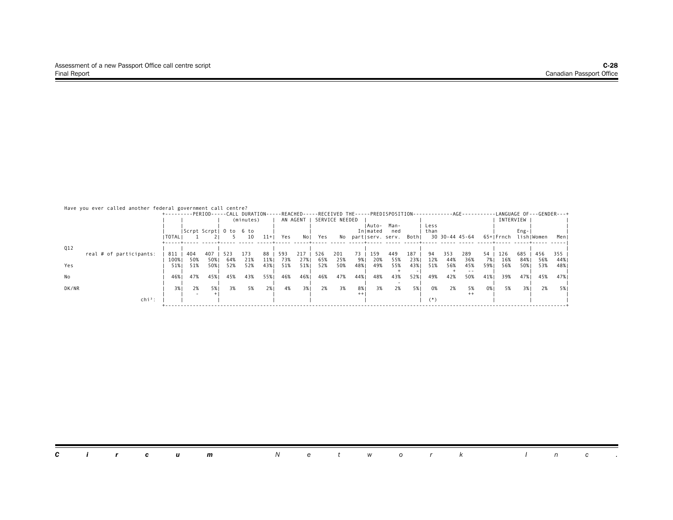| Have you ever called another federal government call centre? | +---------PERIOD-----CALL DURATION-----REACHED-----RECEIVED THE-----PREDISPOSITION-------------AGE-------- |                        |     |            |           |           |            |          |     |                |          |            |                           |     |       |                |         |          | -LANGUAGE OF---GENDER---+ |            |            |            |
|--------------------------------------------------------------|------------------------------------------------------------------------------------------------------------|------------------------|-----|------------|-----------|-----------|------------|----------|-----|----------------|----------|------------|---------------------------|-----|-------|----------------|---------|----------|---------------------------|------------|------------|------------|
|                                                              |                                                                                                            |                        |     |            | (minutes) |           |            | AN AGENT |     | SERVICE NEEDED |          |            |                           |     |       |                |         |          | INTERVIEW                 |            |            |            |
|                                                              |                                                                                                            |                        |     |            |           |           |            |          |     |                |          | IAuto-     | Man-                      |     | Less  |                |         |          |                           |            |            |            |
|                                                              |                                                                                                            | Scrpt Scrpt  0 to 6 to |     |            |           |           |            |          |     |                |          | In mated   | ned                       |     | than  |                |         |          |                           | $Eng -$    |            |            |
|                                                              | I TOTAL I                                                                                                  |                        |     |            | 10        | $11+$     | Yes        | Nol      | Yes |                |          |            | No partiserv. serv. Bothi |     |       | 30 30-44 45-64 |         |          | 65+ Frnch                 |            | lish Women | Men        |
|                                                              |                                                                                                            |                        |     |            |           |           |            |          |     |                |          |            |                           |     |       |                |         |          |                           |            |            |            |
| Q12                                                          |                                                                                                            |                        | 407 |            | 173       |           |            | 217      | 526 |                |          |            |                           | 187 | 94    | 353            | 289     |          |                           |            | 456        |            |
| real # of participants:                                      | 811<br>100%                                                                                                | 404<br>50%             | 50% | 523<br>64% | 21%       | 88<br>11% | 593<br>73% | 27%      | 65% | 201<br>25%     | 73<br>9% | 159<br>20% | 449<br>55%                | 23% | 12%   | 44%            | 36%     | 54<br>7% | 126<br>16%                | 685<br>84% | - 56%      | 355<br>44% |
| Yes                                                          | 51%                                                                                                        | 51%                    | 50% | 52%        | 52%       | 43%       | 51%        | 51%      | 52% | 50%            | 48%      | 49%        | 55%                       | 43% | 51%   | 56%            | 45%     | 59%      | 56%                       | 50%1       | 53%        | 48%        |
|                                                              |                                                                                                            |                        |     |            |           |           |            |          |     |                |          |            |                           |     |       |                |         |          |                           |            |            |            |
| No                                                           | 46%                                                                                                        | 47%                    | 45% | 45%        | 43%       | 55%       | 46%        | 46%      | 46% | 47%            | 44%      | 48%        | 43%                       | 52% | 49%   | 42%            | 50%     | 41%      | 39%                       | 47%        | 45%        | 47%        |
|                                                              |                                                                                                            |                        |     |            |           |           |            |          |     |                |          |            |                           |     |       |                |         |          |                           |            |            |            |
| DK/NR                                                        | 3%1                                                                                                        | 2%                     | 5%1 | 3%         | 5%        | 2%        | 4%         | 3%       | 2%  | 3%             | 8%       | 3%         | 2%                        | 5%  | 0%    | 2%             | 5%      | 0%       | 5%                        | 3%1        | 2%         | 5%         |
|                                                              |                                                                                                            |                        |     |            |           |           |            |          |     |                | $++$     |            |                           |     |       |                | $^{++}$ |          |                           |            |            |            |
| $chi^2$ :                                                    |                                                                                                            |                        |     |            |           |           |            |          |     |                |          |            |                           |     | $(*)$ |                |         |          |                           |            |            |            |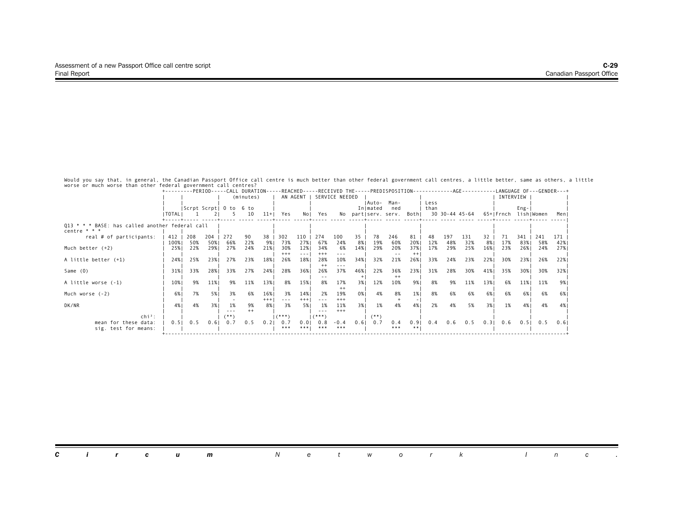Would you say that, in general, the Canadian Passport Office call centre is much better than other federal government call centres, a little better, same as others, a little<br>worse or much worse than other federal governmen

|                                                                   | +---------PERIOD-----CALL DURATION-----REACHED-----RECEIVED THE-----PREDISPOSITION------------AGE---------LANGUAGE OF---GENDER---+ |                        |       |      |           |       |         |          |          |                |      |          |                          |      |      |                |     |      |           |           |                      |      |
|-------------------------------------------------------------------|------------------------------------------------------------------------------------------------------------------------------------|------------------------|-------|------|-----------|-------|---------|----------|----------|----------------|------|----------|--------------------------|------|------|----------------|-----|------|-----------|-----------|----------------------|------|
|                                                                   |                                                                                                                                    |                        |       |      | (minutes) |       |         | AN AGENT |          | SERVICE NEEDED |      |          |                          |      |      |                |     |      | INTERVIEW |           |                      |      |
|                                                                   |                                                                                                                                    |                        |       |      |           |       |         |          |          |                |      | IAuto-   | Man-                     |      | Less |                |     |      |           |           |                      |      |
|                                                                   |                                                                                                                                    | Scrpt Scrpt  0 to 6 to |       |      |           |       |         |          |          |                |      | In mated | ned                      |      | than |                |     |      |           | $Eng -  $ |                      |      |
|                                                                   | I TOTAL I                                                                                                                          |                        |       |      | 10        | $11+$ | Yes     | Nol      | Yes      |                |      |          | No part serv. serv. Both |      |      | 30 30-44 45-64 |     |      |           |           | 65+ Frnch lish Women | Meni |
|                                                                   |                                                                                                                                    |                        |       |      |           |       |         |          |          |                |      |          |                          |      |      |                |     |      |           |           |                      |      |
| 013 * * * BASE: has called another federal call<br>centre $* * *$ |                                                                                                                                    |                        |       |      |           |       |         |          |          |                |      |          |                          |      |      |                |     |      |           |           |                      |      |
| real # of participants:                                           | 412                                                                                                                                | 208                    | $204$ | 272  | 90        | 38    | 302     | 110      | 274      | 100            | 35   | 78       | 246                      | 81   | 48   | 197            | 131 | 32   | 71        | 341       | 241                  | 171  |
|                                                                   | 100%                                                                                                                               | 50%                    | 50%   | 66%  | 22%       | 9%    | 73%     | 27%      | 67%      | 24%            | 8%   | 19%      | 60%                      | 20%  | 12%  | 48%            | 32% | 8%   | 17%       | 83%       | 58%                  | 42%  |
| Much better $(+2)$                                                | 25%                                                                                                                                | 22%                    | 29%   | 27%  | 24%       | 21%   | 30%     | 12%      | 34%      | 6%             | 14%  | 29%      | 20%                      | 37%  | 17%  | 29%            | 25% | 16%  | 23%       | 26%       | 24%                  | 27%  |
|                                                                   |                                                                                                                                    |                        |       |      |           |       | $***$   |          | $^{+++}$ |                |      |          |                          |      |      |                |     |      |           |           |                      |      |
| A little better (+1)                                              | 24%                                                                                                                                | 25%                    | 23%   | 27%  | 23%       | 18%   | 26%     | 18%      | 28%      | 10%            | 34%  | 32%      | 21%                      | 26%  | 33%  | 24%            | 23% | 22%  | 30%       | 23%       | 26%                  | 22%  |
|                                                                   |                                                                                                                                    |                        |       |      |           |       |         |          |          | ---            |      |          |                          |      |      |                |     |      |           |           |                      |      |
| Same (0)                                                          | 31%                                                                                                                                | 33%                    | 28%   | 33%  | 27%       | 24%   | 28%     | 36%      | 26%      | 37%            | 46%  | 22%      | 36%                      | 23%  | 31%  | 28%            | 30% | 41%  | 35%       | 30%       | 30%                  | 32%  |
|                                                                   |                                                                                                                                    |                        |       |      |           |       |         |          |          |                |      |          | $^{++}$                  |      |      |                |     |      |           |           |                      |      |
| A little worse (-1)                                               | 10%                                                                                                                                | 9%                     | 11%   | 9%   | 11%       | 13%   | 8%      | 15%      | 8%       | 17%            | 3%1  | 12%      | 10%                      | 9%   | 8%   | 9%             | 11% | 13%  | 6%        | 11%       | 11%                  | 9%   |
|                                                                   |                                                                                                                                    |                        |       |      |           |       |         |          |          | $^{++}$        |      |          |                          |      |      |                |     |      |           |           |                      |      |
| Much worse (-2)                                                   | 6%                                                                                                                                 | 7%                     | 5%1   | 3%   | 6%        | 16%   | 3%      | 14%      | 2%       | 19%            | 0%   | 4%       | 8%                       | 1%   | 8%   | 6%             | 6%  | 6%   | 6%        | 6%        | 6%                   | 6%   |
|                                                                   |                                                                                                                                    |                        |       |      |           | $+++$ |         | $+++$    |          | $+++$          |      |          |                          |      |      |                |     |      |           |           |                      |      |
| DK/NR                                                             | 4%                                                                                                                                 | 4%                     | 3%    | 1%   | 9%        | 8% I  | 3%      | 5%       | 1%       | 11%            | 3%1  | 1%       | 4%                       | 4%   | 2%   | 4%             | 5%  | 3%   | 1%        | 4%        | 4%                   | 4% I |
|                                                                   |                                                                                                                                    |                        |       |      | $++$      |       |         |          |          | $+++$          |      |          |                          |      |      |                |     |      |           |           |                      |      |
| $chi^2$ :                                                         |                                                                                                                                    |                        |       | '**) |           |       | $(***)$ |          | (***     |                |      | (**      |                          |      |      |                |     |      |           |           |                      |      |
| mean for these data:                                              | 0.51                                                                                                                               | 0.5                    | 0.61  | 0.7  | 0.5       | 0.21  | 0.7     | 0.01     | 0.8      | $-0.4$         | 0.61 | 0.7      | 0.4                      | 0.91 | 0.4  | 0.6            | 0.5 | 0.31 | 0.6       | 0.51      | 0.5                  | 0.61 |
| sig. test for means:                                              |                                                                                                                                    |                        |       |      |           |       | ***     | ***!     | ***      | ***            |      |          | ***                      | **   |      |                |     |      |           |           |                      |      |
|                                                                   |                                                                                                                                    |                        |       |      |           |       |         |          |          |                |      |          |                          |      |      |                |     |      |           |           |                      |      |

|  |  | <b>Circum</b> Network Inc. |  |  |  |  |  |  |
|--|--|----------------------------|--|--|--|--|--|--|
|  |  |                            |  |  |  |  |  |  |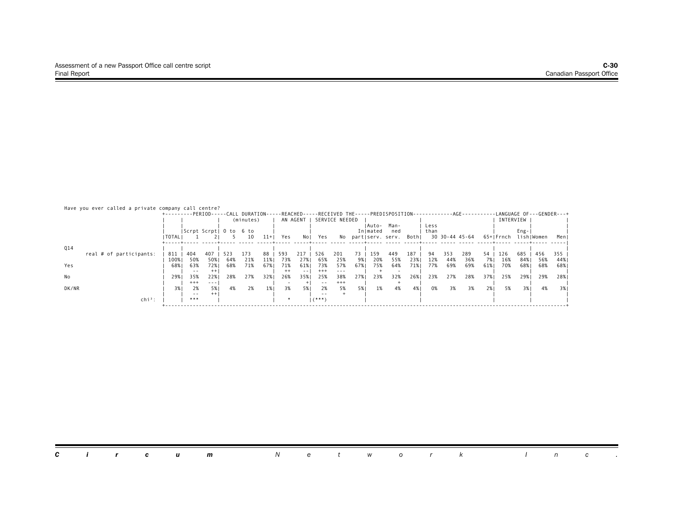| Have you ever called a private company call centre? | +---------PERIOD-----CALL DURATION-----REACHED-----RECEIVED THE-----PREDISPOSITION-----------AGE---------LANGUAGE OF---GENDER---+ |                        |                |     |           |       |                |              |                  |                      |     |          |                                  |     |      |                |     |     |                      |        |       |      |
|-----------------------------------------------------|-----------------------------------------------------------------------------------------------------------------------------------|------------------------|----------------|-----|-----------|-------|----------------|--------------|------------------|----------------------|-----|----------|----------------------------------|-----|------|----------------|-----|-----|----------------------|--------|-------|------|
|                                                     |                                                                                                                                   |                        |                |     | (minutes) |       |                | AN AGENT     |                  | SERVICE NEEDED       |     |          |                                  |     |      |                |     |     | INTERVIEW            |        |       |      |
|                                                     |                                                                                                                                   |                        |                |     |           |       |                |              |                  |                      |     | lAuto-   | Man-                             |     | Less |                |     |     |                      |        |       |      |
|                                                     | I TOTAL I                                                                                                                         | Scrpt Scrpt  0 to 6 to |                |     | 10        | $11+$ | Yes            | Nol          | Yes              |                      |     | Inlmated | ned<br>No partiserv. serv. Bothi |     | than | 30 30-44 45-64 |     |     | 65+ Frnch lish Women | $Eng-$ |       | Menl |
|                                                     |                                                                                                                                   |                        |                |     |           |       |                |              |                  |                      |     |          |                                  |     |      |                |     |     |                      |        |       |      |
| Q14<br>real # of participants:                      | 811                                                                                                                               | 404                    | 407            | 523 | 173       | 88    | 593            | 217          | 526              | 201                  | 73  | 159      | 449                              | 187 | 94   | 353            | 289 | 54  | 126                  | 685    | 456   | 355  |
|                                                     | 100%                                                                                                                              | 50%                    | 50%            | 64% | 21%       | 11%   | 73%            | 27%          | 65%              | 25%                  | 9%  | 20%      | 55%                              | 23% | 12%  | 44%            | 36% | 7%  | 16%                  | 84%    | - 56% | 44%  |
| Yes                                                 | 68%                                                                                                                               | 63%                    | 72%            | 68% | 71%       | 67% 1 | 71%            | 61%          | 73%              | 57%                  | 67% | 75%      | 64%                              | 71% | 77%  | 69%            | 69% | 61% | 70%                  | 68%1   | 68%   | 68%  |
| No                                                  | 29%                                                                                                                               | $ -$<br>35%            | $^{++}$<br>22% | 28% | 27%       | 32%   | $^{++}$<br>26% | $- -$<br>35% | $^{+++}$<br>25%  | $\frac{1}{2}$<br>38% | 27% | 23%      | 32%                              | 26% | 23%  | 27%            | 28% | 37% | 25%                  | 29%    | 29%   | 28%  |
|                                                     |                                                                                                                                   | $^{+++}$               | $- - -$        |     |           |       |                |              | $- -$            | $^{+++}$             |     |          |                                  |     |      |                |     |     |                      |        |       |      |
| DK/NR                                               | 3%                                                                                                                                | 2%                     | 5%1<br>$^{++}$ | 4%  | 2%        | 1%    | 3%             | 5%           | 2%               | 5%                   | 5%  | 1%       | 4%                               | 4%  | 0%   | 3%             | 3%  | 2%  | 5%                   | 3%1    | 4%    | 3%   |
| $chi^2$ :                                           |                                                                                                                                   | $- -$<br>***           |                |     |           |       |                |              | $ -$<br>$(***")$ |                      |     |          |                                  |     |      |                |     |     |                      |        |       |      |
|                                                     |                                                                                                                                   |                        |                |     |           |       |                |              |                  |                      |     |          |                                  |     |      |                |     |     |                      |        |       |      |

|  |  |  |  |  |  | <b>Circum</b> Network Inc. |  |  |  |  |  |  |  |  |  |  |  |
|--|--|--|--|--|--|----------------------------|--|--|--|--|--|--|--|--|--|--|--|
|--|--|--|--|--|--|----------------------------|--|--|--|--|--|--|--|--|--|--|--|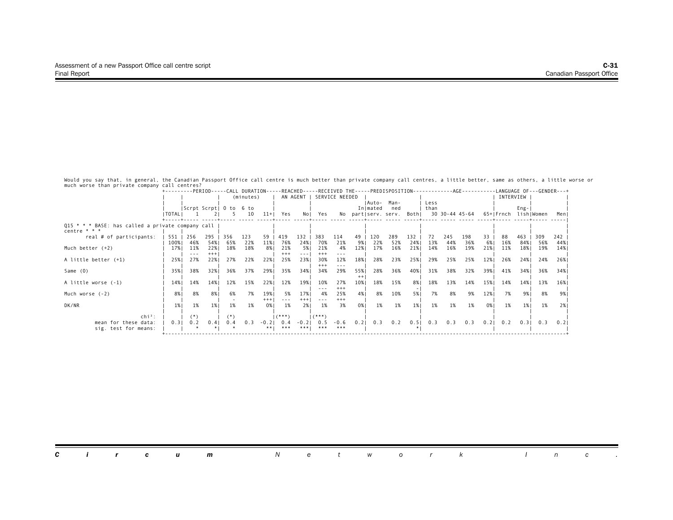Would you say that, in general, the Canadian Passport Office call centre is much better than private company call centres, a little better, same as others, a little worse or<br>much worse than private company call centres?<br>+-

|                                                                       |           |       |                        |           |     |         |          | +---------PERIOD-----CALL DURATION-----REACHED-----RECEIVED THE-----PREDISPOSITION------------AGE---------LANGUAGE OF---GENDER---+ |                |          |      |          |                          |      |      |                |     |      |           |           |                      |      |
|-----------------------------------------------------------------------|-----------|-------|------------------------|-----------|-----|---------|----------|------------------------------------------------------------------------------------------------------------------------------------|----------------|----------|------|----------|--------------------------|------|------|----------------|-----|------|-----------|-----------|----------------------|------|
|                                                                       |           |       |                        | (minutes) |     |         | AN AGENT |                                                                                                                                    | SERVICE NEEDED |          |      |          |                          |      |      |                |     |      | INTERVIEW |           |                      |      |
|                                                                       |           |       |                        |           |     |         |          |                                                                                                                                    |                |          |      | IAuto-   | Man-                     |      | Less |                |     |      |           |           |                      |      |
|                                                                       |           |       | Scrpt Scrpt  0 to 6 to |           |     |         |          |                                                                                                                                    |                |          |      | In mated | ned                      |      | than |                |     |      |           | $Eng -  $ |                      |      |
|                                                                       | I TOTAL I |       |                        |           | 10  | $11+$   | Yes      | Nol                                                                                                                                | Yes            |          |      |          | No part serv. serv. Both |      |      | 30 30-44 45-64 |     |      |           |           | 65+ Frnch lish Women | Meni |
|                                                                       |           |       |                        |           |     |         |          |                                                                                                                                    |                |          |      |          |                          |      |      |                |     |      |           |           |                      |      |
| Q15 $* * *$ BASE: has called a private company call<br>centre $* * *$ |           |       |                        |           |     |         |          |                                                                                                                                    |                |          |      |          |                          |      |      |                |     |      |           |           |                      |      |
| real # of participants:                                               | 551       | 256   | 295   356              |           | 123 |         | 59   419 | $132$                                                                                                                              | 383            | 114      | 49   | 120      | 289                      | 132  | 72   | 245            | 198 | 33   | 88        | 463       | 309                  | 242  |
|                                                                       | 100%      | 46%   | 54%                    | 65%       | 22% | 11%     | 76%      | 24%                                                                                                                                | 70%            | 21%      | 9%   | 22%      | 52%                      | 24%  | 13%  | 44%            | 36% | 6%   | 16%       | 84%       | 56%                  | 44%  |
| Much better $(+2)$                                                    | 17%       | 11%   | 22%                    | 18%       | 18% | 8% I    | 21%      | 5% 1                                                                                                                               | 21%            | 4%       | 12%  | 17%      | 16%                      | 21%  | 14%  | 16%            | 19% | 21%  | 11%       | 18%       | 19%                  | 14%  |
|                                                                       |           |       | $^{+++}$               |           |     |         | $***$    |                                                                                                                                    | $^{+++}$       |          |      |          |                          |      |      |                |     |      |           |           |                      |      |
| A little better (+1)                                                  | 25%       | 27%   | 22%1                   | 27%       | 22% | 22%     | 25%      | 23%                                                                                                                                | 30%            | 12%      | 18%  | 28%      | 23%                      | 25%  | 29%  | 25%            | 25% | 12%  | 26%       | 24% I     | 24%                  | 26%  |
|                                                                       |           |       |                        |           |     |         |          |                                                                                                                                    | $***$          | ---      |      |          |                          |      |      |                |     |      |           |           |                      |      |
| Same (0)                                                              | 35%       | 38%   | 32%                    | 36%       | 37% | 29%     | 35%      | 34%                                                                                                                                | 34%            | 29%      | 55%  | 28%      | 36%                      | 40%  | 31%  | 38%            | 32% | 39%  | 41%       | 34%1      | 36%                  | 34%  |
|                                                                       |           |       |                        |           |     |         |          |                                                                                                                                    |                |          | $++$ |          |                          |      |      |                |     |      |           |           |                      |      |
| A little worse (-1)                                                   | 14%       | 14%   | 14%                    | 12%       | 15% | 22%     | 12%      | 19%                                                                                                                                | 10%            | 27%      | 10%  | 18%      | 15%                      | 8%   | 18%  | 13%            | 14% | 15%  | 14%       | 14%       | 13%                  | 16%  |
|                                                                       |           |       |                        |           |     |         |          |                                                                                                                                    |                | $***$    |      |          |                          |      |      |                |     |      |           |           |                      |      |
| Much worse (-2)                                                       | 8%        | 8%    | 8% I                   | 6%        | 7%  | 19%     | - 5%     | 17%                                                                                                                                | 4%             | 25%      | 4% I | 8%       | 10%                      | 5% 1 | 7%   | 8%             | 9%  | 12%  | 7%        | 9%1       | 8%                   | 9% I |
|                                                                       |           |       |                        |           |     | $+++$   |          | $+++$                                                                                                                              |                | $^{+++}$ |      |          |                          |      |      |                |     |      |           |           |                      |      |
| DK/NR                                                                 | 1%        | 1%    | 1%                     | 1%        | 1%  | 0% I    | 1%       | 2%1                                                                                                                                | 1%             | 3%       | 0%   | 1%       | 1%                       | 1%   | 1%   | 1%             | 1%  | 0%   | 1%        | $1\%$     | 1%                   | 2%   |
|                                                                       |           |       |                        |           |     |         |          |                                                                                                                                    |                |          |      |          |                          |      |      |                |     |      |           |           |                      |      |
| $\mathsf{chi}^2$ :                                                    |           | $(*)$ |                        | $^{(*)}$  |     |         | (***)    |                                                                                                                                    | 1 (***         |          |      |          |                          |      |      |                |     |      |           |           |                      |      |
| mean for these data:                                                  | 0.31      | 0.2   | 0.41                   | 0.4       | 0.3 | $-0.21$ | 0.4      | $-0.2$                                                                                                                             | 0.5            | $-0.6$   | 0.21 | 0.3      | 0.2                      | 0.5  | 0.3  | 0.3            | 0.3 | 0.21 | 0.2       | 0.31      | 0.3                  | 0.21 |
| sig. test for means:                                                  |           |       |                        |           |     | **!     | ***      | ****                                                                                                                               | ***            | ***      |      |          |                          |      |      |                |     |      |           |           |                      |      |
|                                                                       |           |       |                        |           |     |         |          |                                                                                                                                    |                |          |      |          |                          |      |      |                |     |      |           |           |                      |      |

| <b>Circum</b> Network Inc. |
|----------------------------|
|----------------------------|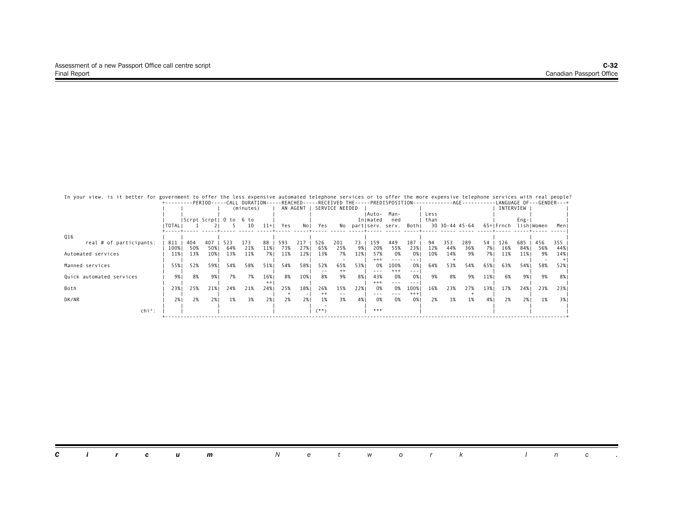| In your view, is it better for government to offer the less expensive automated telephone services or to offer the more expensive telephone services with real people?<br>+---------PERIOD-----CALL DURATION-----REACHED-----RECEIVED THE-----PREDISPOSITION-----------AGE---------LANGUAGE OF---GENDER---+ |        |     |     |                        |           |         |     |                                 |                |                |             |              |                         |               |      |     |                |      |           |           |            |     |
|-------------------------------------------------------------------------------------------------------------------------------------------------------------------------------------------------------------------------------------------------------------------------------------------------------------|--------|-----|-----|------------------------|-----------|---------|-----|---------------------------------|----------------|----------------|-------------|--------------|-------------------------|---------------|------|-----|----------------|------|-----------|-----------|------------|-----|
|                                                                                                                                                                                                                                                                                                             |        |     |     |                        | (minutes) |         |     | AN AGENT                        |                | SERVICE NEEDED |             |              |                         |               |      |     |                |      | INTERVIEW |           |            |     |
|                                                                                                                                                                                                                                                                                                             |        |     |     |                        |           |         |     |                                 |                |                |             | Auto-        | Man-                    |               | Less |     |                |      |           |           |            |     |
|                                                                                                                                                                                                                                                                                                             | TOTALI |     |     | Scrpt Scrpt  0 to 6 to | 10        | $11+$   | Yes | Nol                             | Yes            | No             |             | Inlmated     | ned<br>part serv. serv. | Bothl         | than |     | 30 30-44 45-64 |      | 65+lFrnch | $Eng -  $ | lishIWomen | Men |
|                                                                                                                                                                                                                                                                                                             |        |     |     |                        |           |         |     |                                 |                |                |             |              |                         |               |      |     |                |      |           |           |            |     |
| Q16                                                                                                                                                                                                                                                                                                         |        |     |     |                        |           |         |     |                                 |                |                |             |              |                         |               |      |     |                |      |           |           |            |     |
| real # of participants:                                                                                                                                                                                                                                                                                     | 811    | 404 | 407 | 523                    | 173       | 88      | 593 | 217                             | 526            | 201            | 73          | 159          | 449                     | 187           | 94   | 353 | 289            | 54   | 126       | 685       | 456        | 355 |
|                                                                                                                                                                                                                                                                                                             | 100%   | 50% | 50% | 64%<br>13%             | 21%       | 11%     | 73% | 27%                             | 65%            | 25%            | 9%  <br>12% | 20%          | 55%                     | 23%           | 12%  | 44% | 36%            | 7% I | 16%       | 84% I     | 56%        | 44% |
| Automated services                                                                                                                                                                                                                                                                                          | 11%    | 13% | 10% |                        | 11%       | 7%      | 11% | 12%                             | 13%            | 7%             |             | 57%<br>$***$ | 0%<br>$- - -$           | 0%<br>---     | 10%  | 14% | 9%             | 7%1  | 11%       | 11%       | 9%         | 14% |
| Manned services                                                                                                                                                                                                                                                                                             | 55%    | 52% | 59% | 54%                    | 58%       | 51%     | 54% | 58%                             | 52%            | 65%            | 53%         | 0%           | 100%                    | 0%            | 64%  | 53% | 54%            | 65%  | 63%       | 54%       | 58%        | 52% |
|                                                                                                                                                                                                                                                                                                             |        |     |     |                        |           |         |     |                                 | $- -$          | $++$           |             |              | $+++$                   | ---           |      |     |                |      |           |           |            |     |
| Quick automated services                                                                                                                                                                                                                                                                                    | 9%     | 8%  | 9%  | 7%                     | 7%        | 16%     | 8%  | 10%                             | 8%             | 9%             | 8%          | 43%          | 0%                      | 0%            | 9%   | 8%  | 9%             | 11%  | 6%        | 9%1       | 9%         | 8%  |
|                                                                                                                                                                                                                                                                                                             |        |     |     |                        |           | $^{++}$ |     |                                 |                |                |             | $+++$        | $- - -$                 | ---           |      |     |                |      | 17%       |           |            |     |
| Both                                                                                                                                                                                                                                                                                                        | 23%    | 25% | 21% | 24%                    | 21%       | 24%     | 25% | 18%<br>$\overline{\phantom{0}}$ | 26%<br>$^{++}$ | 15%<br>$- -$   | 22%         | 0%           | 0%<br>---               | 100%<br>$+++$ | 16%  | 23% | 27%            | 13%  |           | 24%1      | 23%        | 23% |
| DK/NR                                                                                                                                                                                                                                                                                                       | 2%     | 2%  | 2%  | 1%                     | 3%        | 2%      | 2%  | 2%1                             | 1%             | 3%             | 4%          | 0%           | 0%                      | 0%            | 2%   | 1%  | 1%             | 4%   | 2%        | 2%1       | 1%         | 3%  |
|                                                                                                                                                                                                                                                                                                             |        |     |     |                        |           |         |     |                                 |                |                |             |              |                         |               |      |     |                |      |           |           |            |     |
| $\mathsf{chi}^2$ :                                                                                                                                                                                                                                                                                          |        |     |     |                        |           |         |     |                                 | $(***)$        |                |             | ***          |                         |               |      |     |                |      |           |           |            |     |
|                                                                                                                                                                                                                                                                                                             |        |     |     |                        |           |         |     |                                 |                |                |             |              |                         |               |      |     |                |      |           |           |            |     |